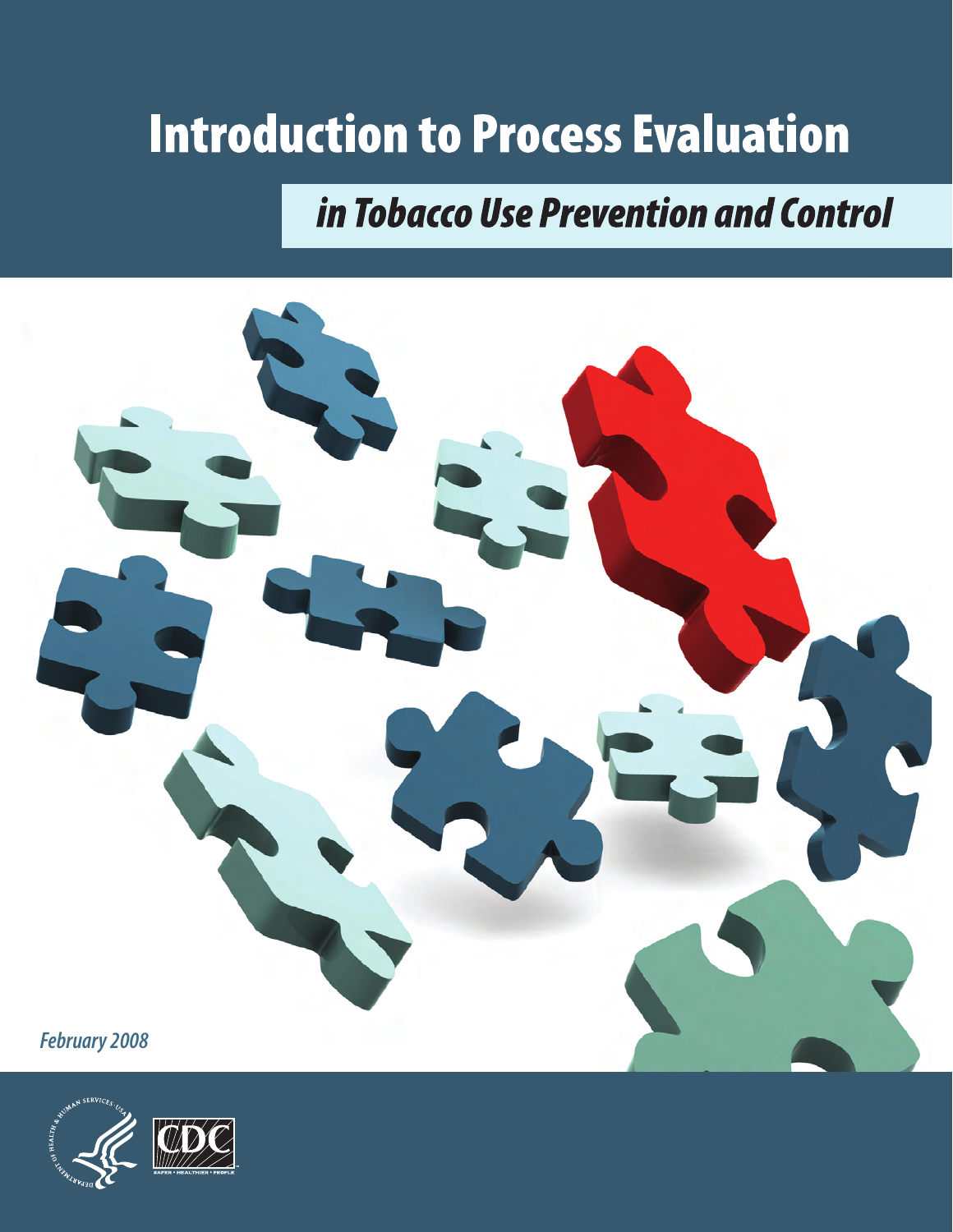# **Introduction to Process Evaluation**

## in Tobacco Use Prevention and Control



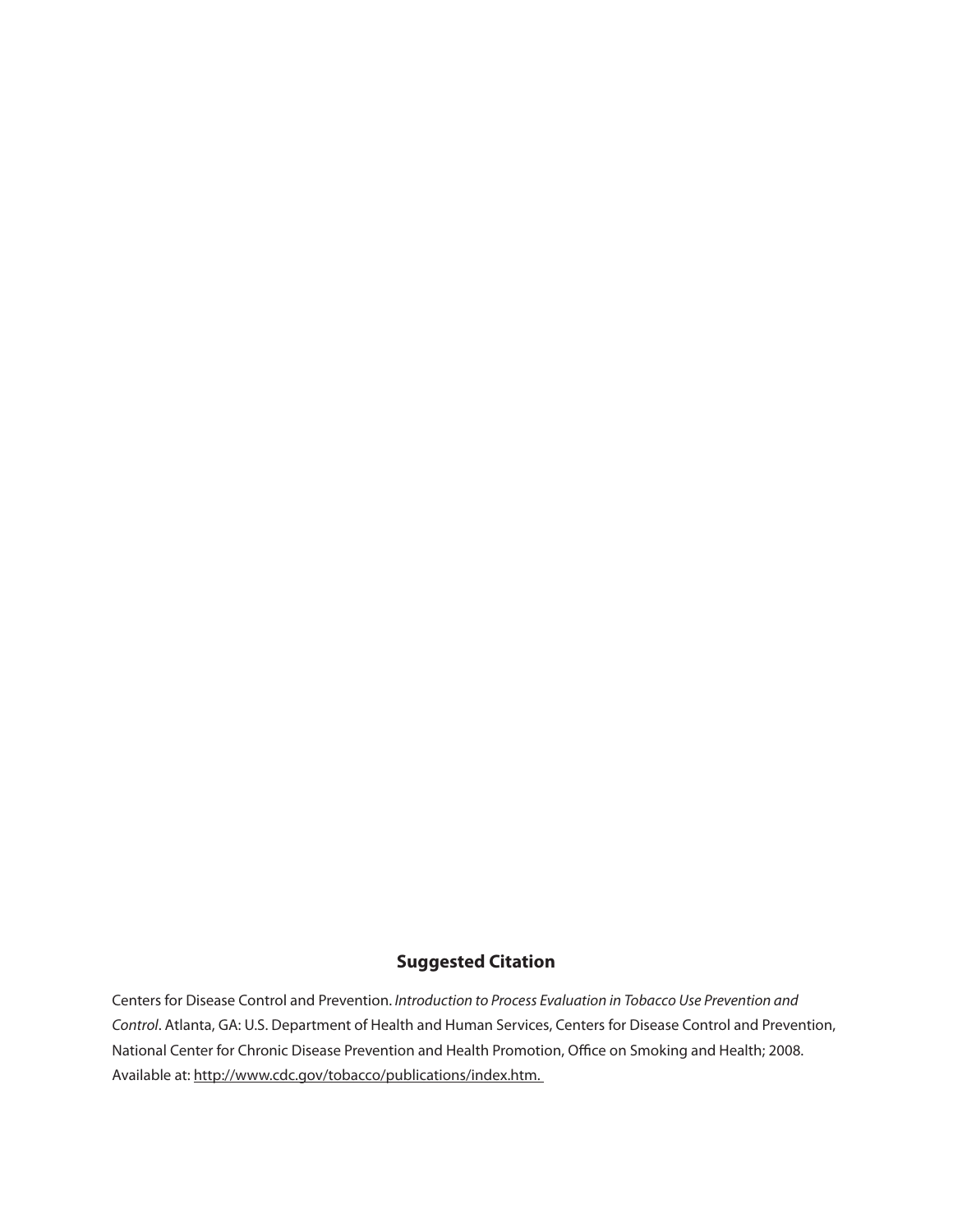## **Suggested Citation**

Centers for Disease Control and Prevention. *Introduction to Process Evaluation in Tobacco Use Prevention and Control*. Atlanta, GA: U.S. Department of Health and Human Services, Centers for Disease Control and Prevention, National Center for Chronic Disease Prevention and Health Promotion, Office on Smoking and Health; 2008. Available at: http://www.cdc.gov/tobacco/publications/index.htm.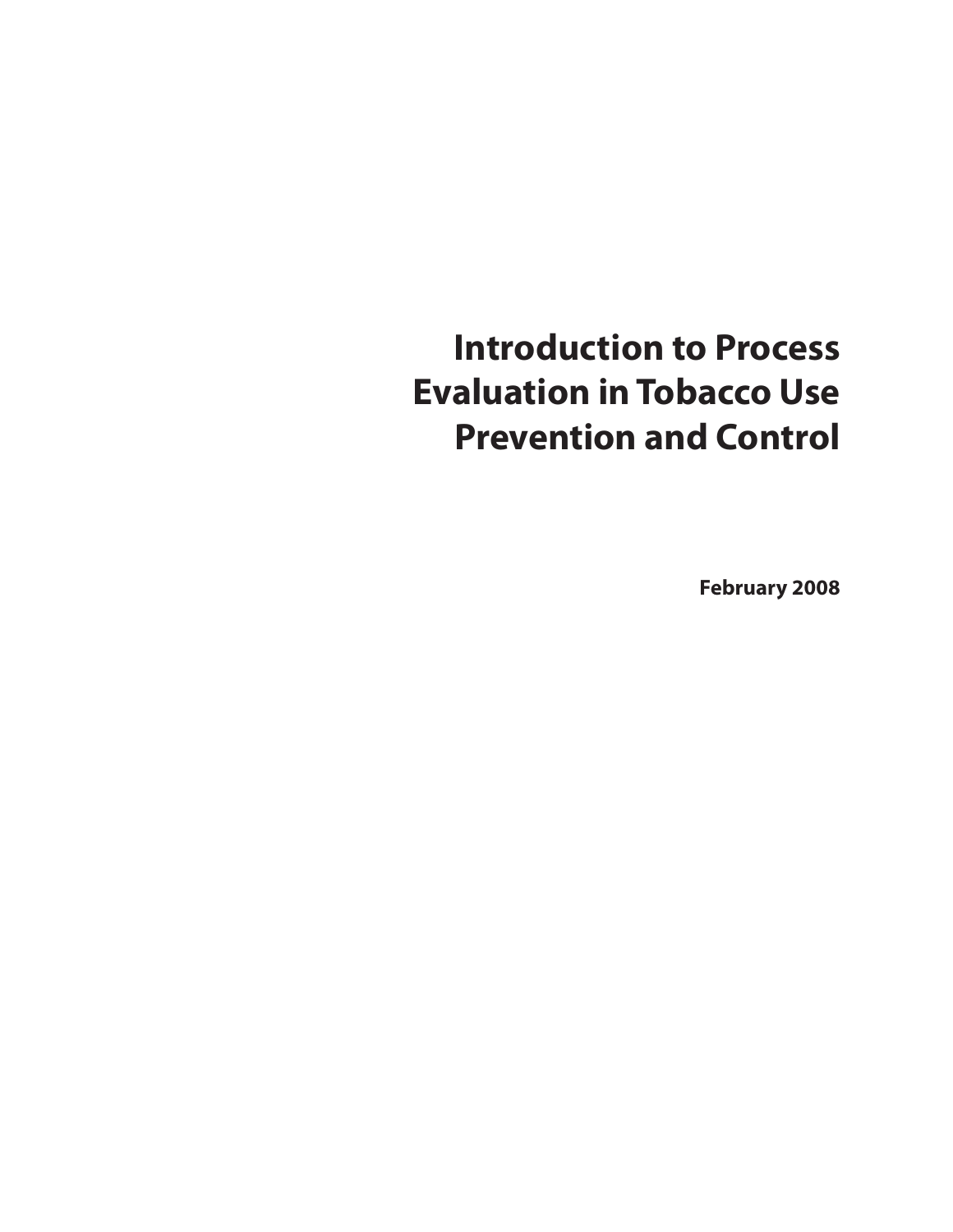## **Introduction to Process Evaluation in Tobacco Use Prevention and Control**

**February 2008**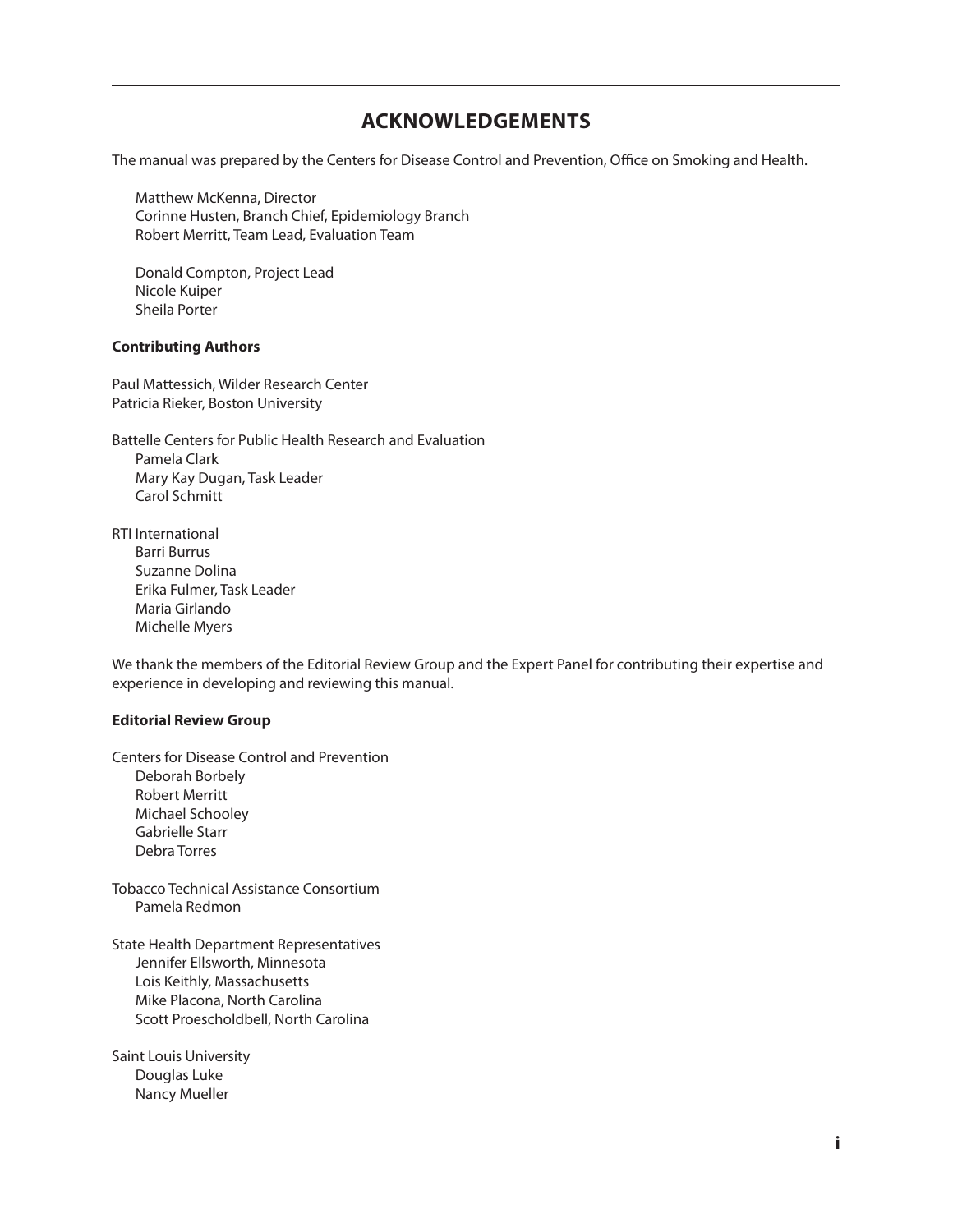## **ACknowlEdgEmEnTs**

The manual was prepared by the Centers for Disease Control and Prevention, Office on Smoking and Health.

Matthew McKenna, Director Corinne Husten, Branch Chief, Epidemiology Branch Robert Merritt, Team Lead, Evaluation Team

Donald Compton, Project Lead Nicole Kuiper Sheila Porter

#### **Contributing Authors**

Paul Mattessich, Wilder Research Center Patricia Rieker, Boston University

Battelle Centers for Public Health Research and Evaluation Pamela Clark Mary Kay Dugan, Task Leader Carol Schmitt

RTI International Barri Burrus Suzanne Dolina Erika Fulmer, Task Leader Maria Girlando Michelle Myers

We thank the members of the Editorial Review Group and the Expert Panel for contributing their expertise and experience in developing and reviewing this manual.

#### **Editorial Review group**

Centers for Disease Control and Prevention Deborah Borbely Robert Merritt Michael Schooley Gabrielle Starr Debra Torres

Tobacco Technical Assistance Consortium Pamela Redmon

State Health Department Representatives Jennifer Ellsworth, Minnesota Lois Keithly, Massachusetts Mike Placona, North Carolina Scott Proescholdbell, North Carolina

Saint Louis University Douglas Luke Nancy Mueller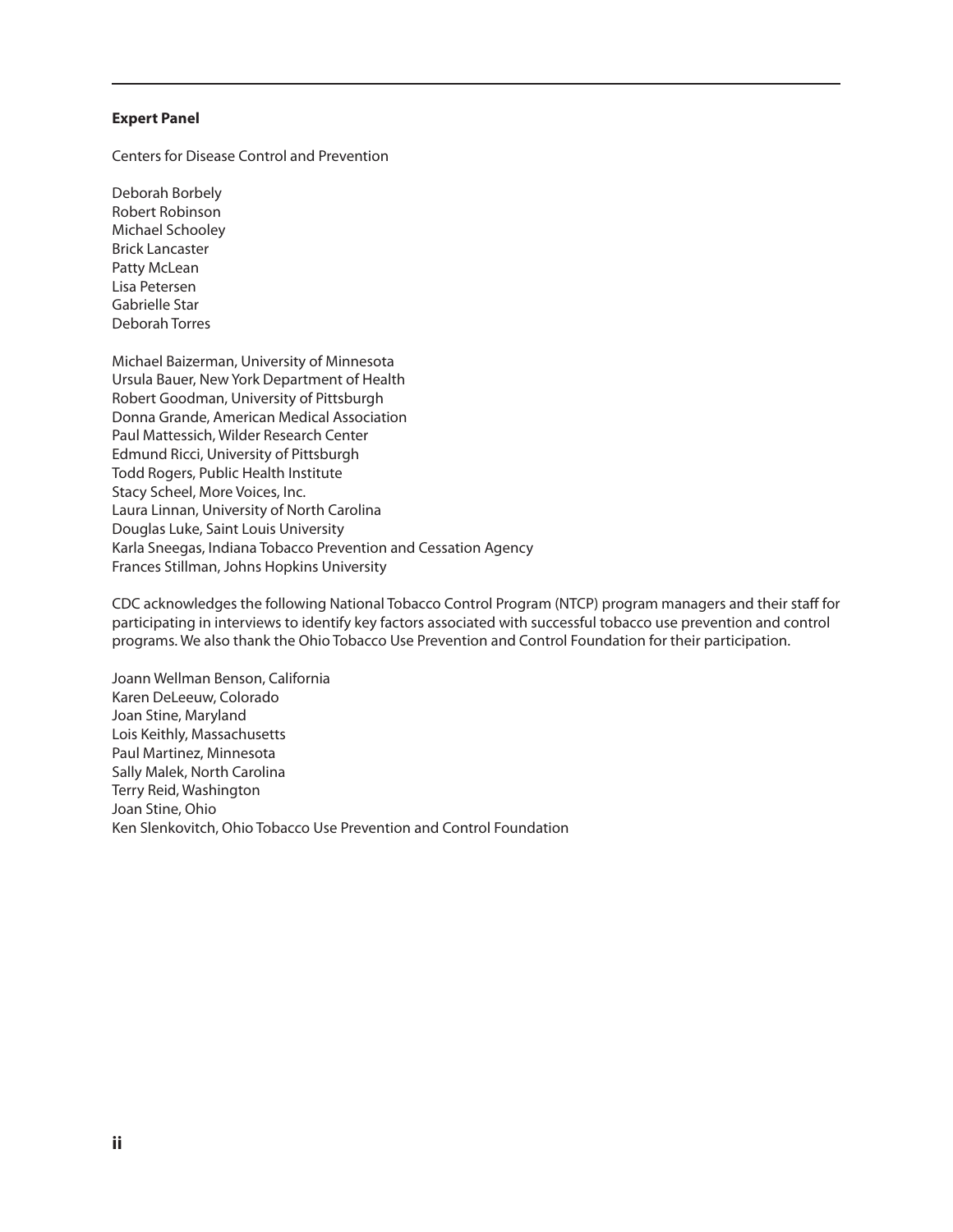#### **Expert Panel**

Centers for Disease Control and Prevention

Deborah Borbely Robert Robinson Michael Schooley Brick Lancaster Patty McLean Lisa Petersen Gabrielle Star Deborah Torres

Michael Baizerman, University of Minnesota Ursula Bauer, New York Department of Health Robert Goodman, University of Pittsburgh Donna Grande, American Medical Association Paul Mattessich, Wilder Research Center Edmund Ricci, University of Pittsburgh Todd Rogers, Public Health Institute Stacy Scheel, More Voices, Inc. Laura Linnan, University of North Carolina Douglas Luke, Saint Louis University Karla Sneegas, Indiana Tobacco Prevention and Cessation Agency Frances Stillman, Johns Hopkins University

CDC acknowledges the following National Tobacco Control Program (NTCP) program managers and their staff for participating in interviews to identify key factors associated with successful tobacco use prevention and control programs. We also thank the Ohio Tobacco Use Prevention and Control Foundation for their participation.

Joann Wellman Benson, California Karen DeLeeuw, Colorado Joan Stine, Maryland Lois Keithly, Massachusetts Paul Martinez, Minnesota Sally Malek, North Carolina Terry Reid, Washington Joan Stine, Ohio Ken Slenkovitch, Ohio Tobacco Use Prevention and Control Foundation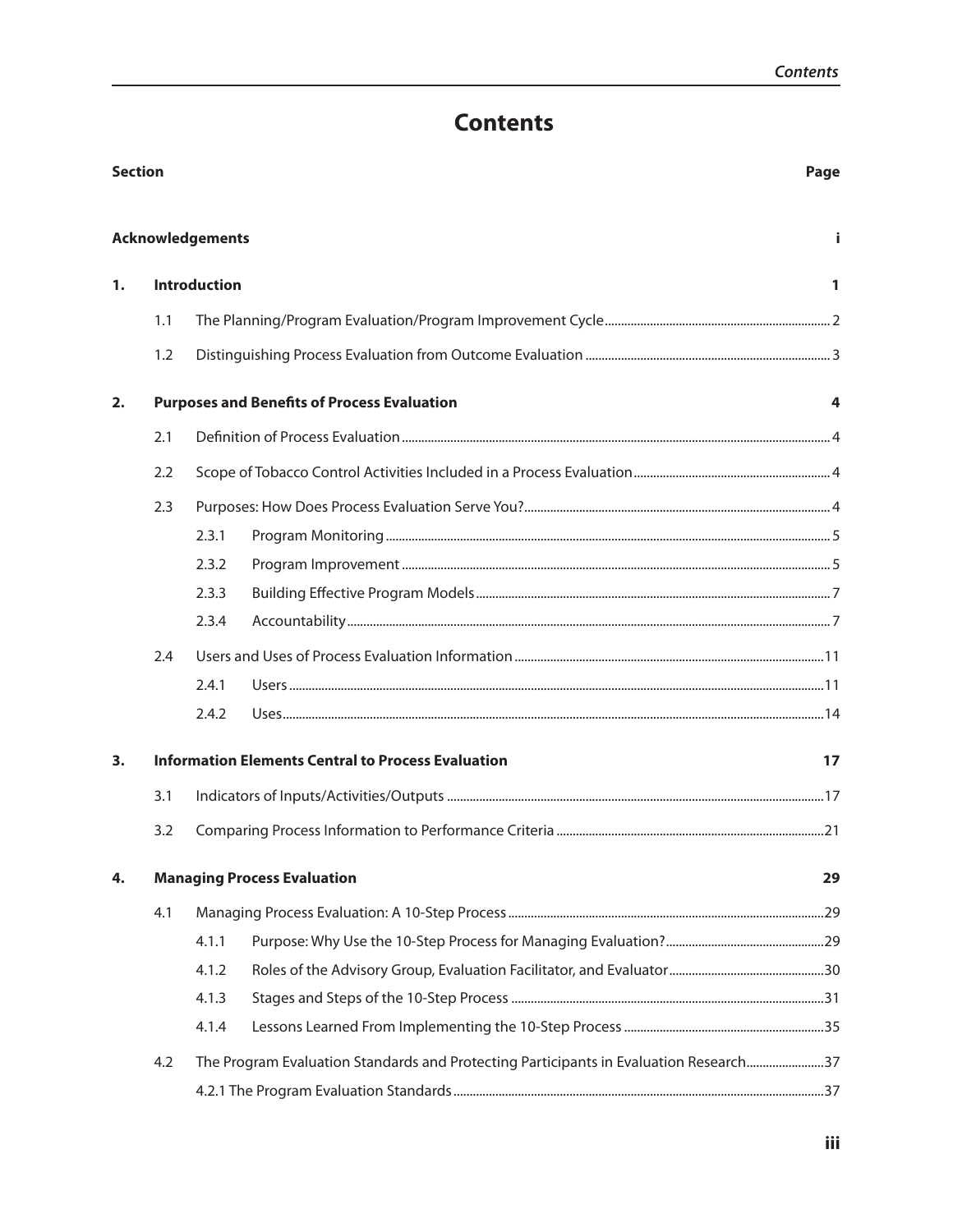## **Contents**

| <b>Section</b> |     |                         | Page                                                                                  |    |
|----------------|-----|-------------------------|---------------------------------------------------------------------------------------|----|
|                |     | <b>Acknowledgements</b> |                                                                                       |    |
| 1.             |     | <b>Introduction</b>     |                                                                                       | 1  |
|                | 1.1 |                         |                                                                                       |    |
|                | 1.2 |                         |                                                                                       |    |
| 2.             |     |                         | <b>Purposes and Benefits of Process Evaluation</b>                                    | 4  |
|                | 2.1 |                         |                                                                                       |    |
|                | 2.2 |                         |                                                                                       |    |
|                | 2.3 |                         |                                                                                       |    |
|                |     | 2.3.1                   |                                                                                       |    |
|                |     | 2.3.2                   |                                                                                       |    |
|                |     | 2.3.3                   |                                                                                       |    |
|                |     | 2.3.4                   |                                                                                       |    |
|                | 2.4 |                         |                                                                                       |    |
|                |     | 2.4.1                   |                                                                                       |    |
|                |     | 2.4.2                   |                                                                                       |    |
| 3.             |     |                         | <b>Information Elements Central to Process Evaluation</b>                             | 17 |
|                | 3.1 |                         |                                                                                       |    |
|                | 3.2 |                         |                                                                                       |    |
| 4.             |     |                         | <b>Managing Process Evaluation</b>                                                    | 29 |
|                | 4.1 |                         |                                                                                       |    |
|                |     | 4.1.1                   |                                                                                       |    |
|                |     | 4.1.2                   |                                                                                       |    |
|                |     | 4.1.3                   |                                                                                       |    |
|                |     | 4.1.4                   |                                                                                       |    |
|                | 4.2 |                         | The Program Evaluation Standards and Protecting Participants in Evaluation Research37 |    |
|                |     |                         |                                                                                       |    |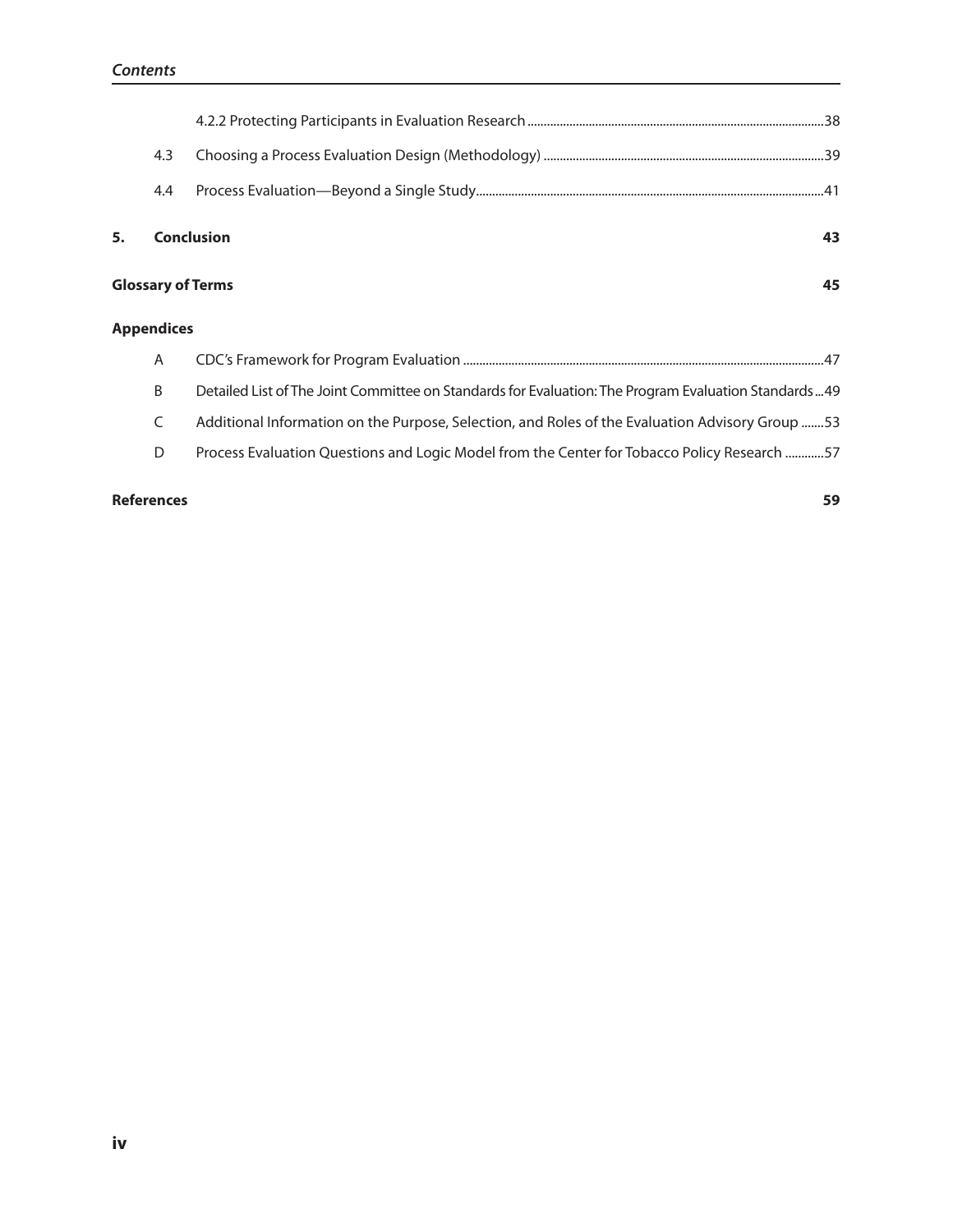|                   | 4.3                            |                                                                                                      |  |  |
|-------------------|--------------------------------|------------------------------------------------------------------------------------------------------|--|--|
|                   | 4.4                            |                                                                                                      |  |  |
| 5.                |                                | <b>Conclusion</b><br>43                                                                              |  |  |
|                   | <b>Glossary of Terms</b><br>45 |                                                                                                      |  |  |
| <b>Appendices</b> |                                |                                                                                                      |  |  |
|                   | A                              |                                                                                                      |  |  |
|                   | B                              | Detailed List of The Joint Committee on Standards for Evaluation: The Program Evaluation Standards49 |  |  |
|                   | C                              | 153 Additional Information on the Purpose, Selection, and Roles of the Evaluation Advisory Group 53  |  |  |
|                   | D                              | Process Evaluation Questions and Logic Model from the Center for Tobacco Policy Research 57          |  |  |
|                   |                                |                                                                                                      |  |  |

#### **References 59**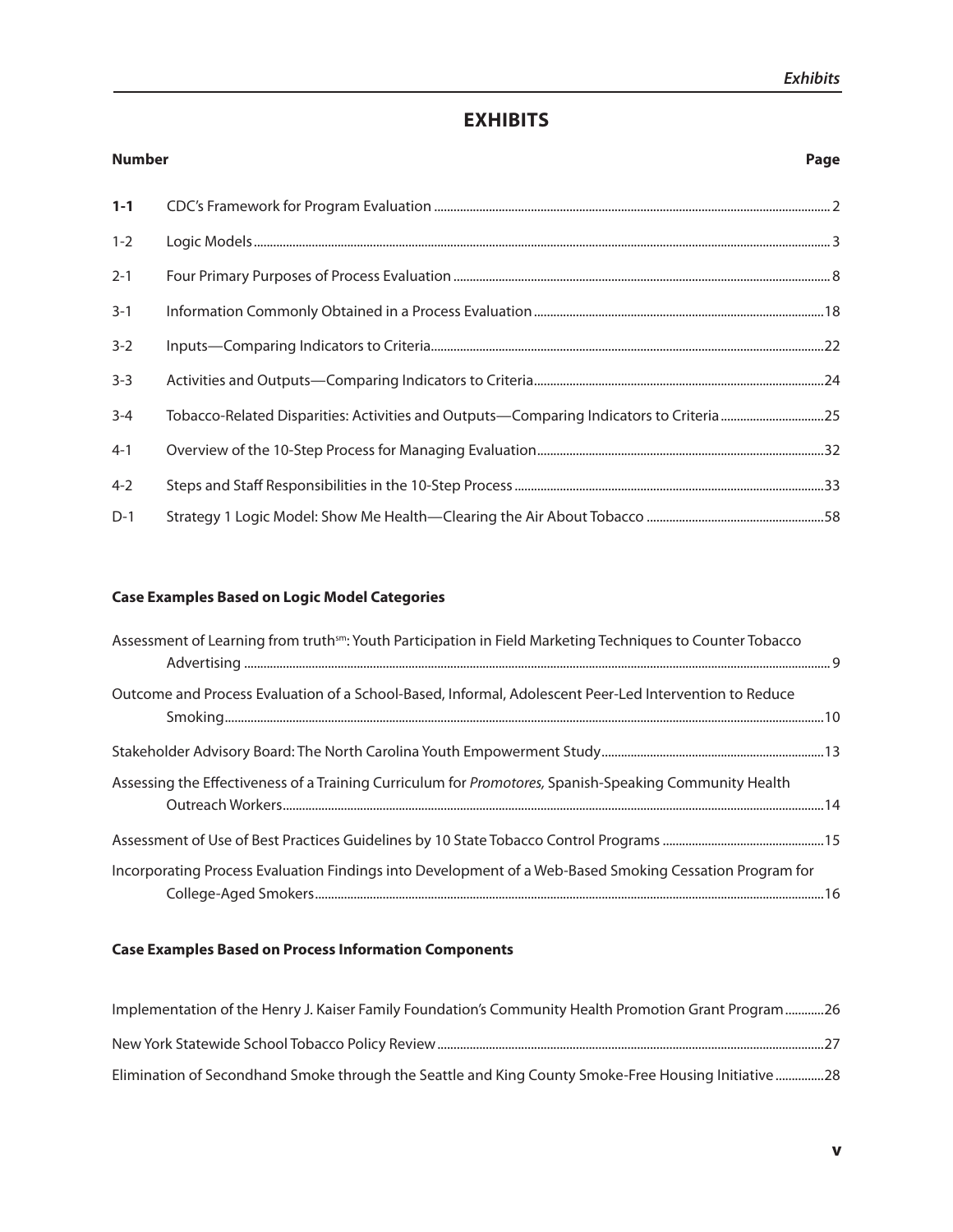## **ExhIBITs**

| <b>Number</b> | Page |
|---------------|------|
| $1 - 1$       |      |
| $1 - 2$       |      |
| $2 - 1$       |      |
| $3 - 1$       |      |
| $3 - 2$       |      |
| $3 - 3$       |      |
| $3 - 4$       |      |
| $4 - 1$       |      |
| $4 - 2$       |      |
| $D-1$         |      |

## **Case Examples Based on logic model Categories**

| Assessment of Learning from truth <sup>sm</sup> : Youth Participation in Field Marketing Techniques to Counter Tobacco |  |
|------------------------------------------------------------------------------------------------------------------------|--|
| Outcome and Process Evaluation of a School-Based, Informal, Adolescent Peer-Led Intervention to Reduce                 |  |
|                                                                                                                        |  |
| Assessing the Effectiveness of a Training Curriculum for Promotores, Spanish-Speaking Community Health                 |  |
|                                                                                                                        |  |
| Incorporating Process Evaluation Findings into Development of a Web-Based Smoking Cessation Program for                |  |

## **Case Examples Based on Process Information Components**

| Implementation of the Henry J. Kaiser Family Foundation's Community Health Promotion Grant Program26 |
|------------------------------------------------------------------------------------------------------|
|                                                                                                      |
| Elimination of Secondhand Smoke through the Seattle and King County Smoke-Free Housing Initiative28  |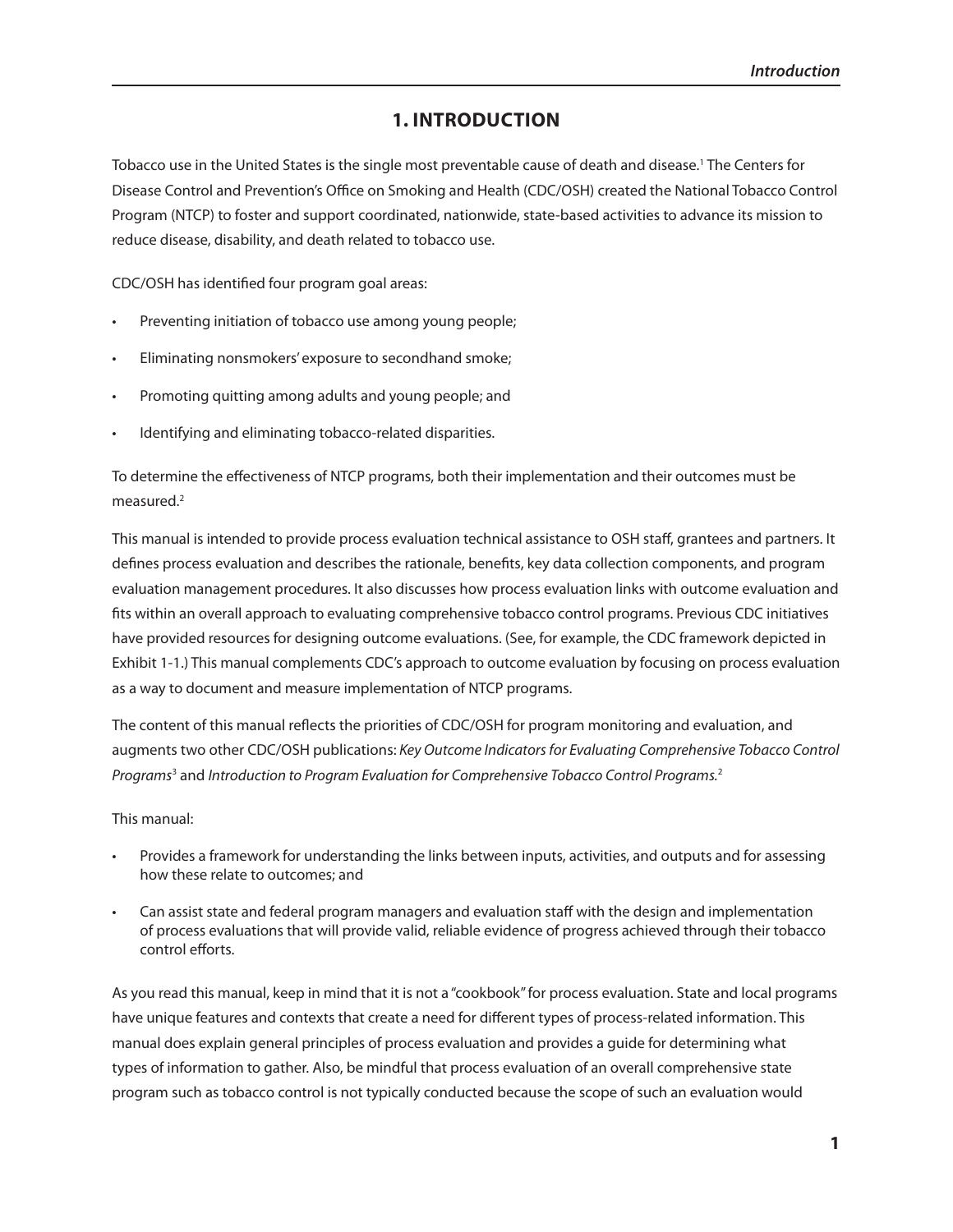## **1. InTRodUCTIon**

Tobacco use in the United States is the single most preventable cause of death and disease.<sup>1</sup> The Centers for Disease Control and Prevention's Office on Smoking and Health (CDC/OSH) created the National Tobacco Control Program (NTCP) to foster and support coordinated, nationwide, state-based activities to advance its mission to reduce disease, disability, and death related to tobacco use.

CDC/OSH has identified four program goal areas:

- Preventing initiation of tobacco use among young people;
- Eliminating nonsmokers' exposure to secondhand smoke;
- Promoting quitting among adults and young people; and
- Identifying and eliminating tobacco-related disparities.

To determine the effectiveness of NTCP programs, both their implementation and their outcomes must be measured $<sup>2</sup>$ </sup>

This manual is intended to provide process evaluation technical assistance to OSH staff, grantees and partners. It defines process evaluation and describes the rationale, benefits, key data collection components, and program evaluation management procedures. It also discusses how process evaluation links with outcome evaluation and fits within an overall approach to evaluating comprehensive tobacco control programs. Previous CDC initiatives have provided resources for designing outcome evaluations. (See, for example, the CDC framework depicted in Exhibit 1-1.) This manual complements CDC's approach to outcome evaluation by focusing on process evaluation as a way to document and measure implementation of NTCP programs.

The content of this manual reflects the priorities of CDC/OSH for program monitoring and evaluation, and augments two other CDC/OSH publications: *Key Outcome Indicators for Evaluating Comprehensive Tobacco Control Programs*<sup>3</sup> and *Introduction to Program Evaluation for Comprehensive Tobacco Control Programs.*<sup>2</sup>

#### This manual:

- Provides a framework for understanding the links between inputs, activities, and outputs and for assessing how these relate to outcomes; and
- Can assist state and federal program managers and evaluation staff with the design and implementation of process evaluations that will provide valid, reliable evidence of progress achieved through their tobacco control efforts.

As you read this manual, keep in mind that it is not a "cookbook" for process evaluation. State and local programs have unique features and contexts that create a need for different types of process-related information. This manual does explain general principles of process evaluation and provides a guide for determining what types of information to gather. Also, be mindful that process evaluation of an overall comprehensive state program such as tobacco control is not typically conducted because the scope of such an evaluation would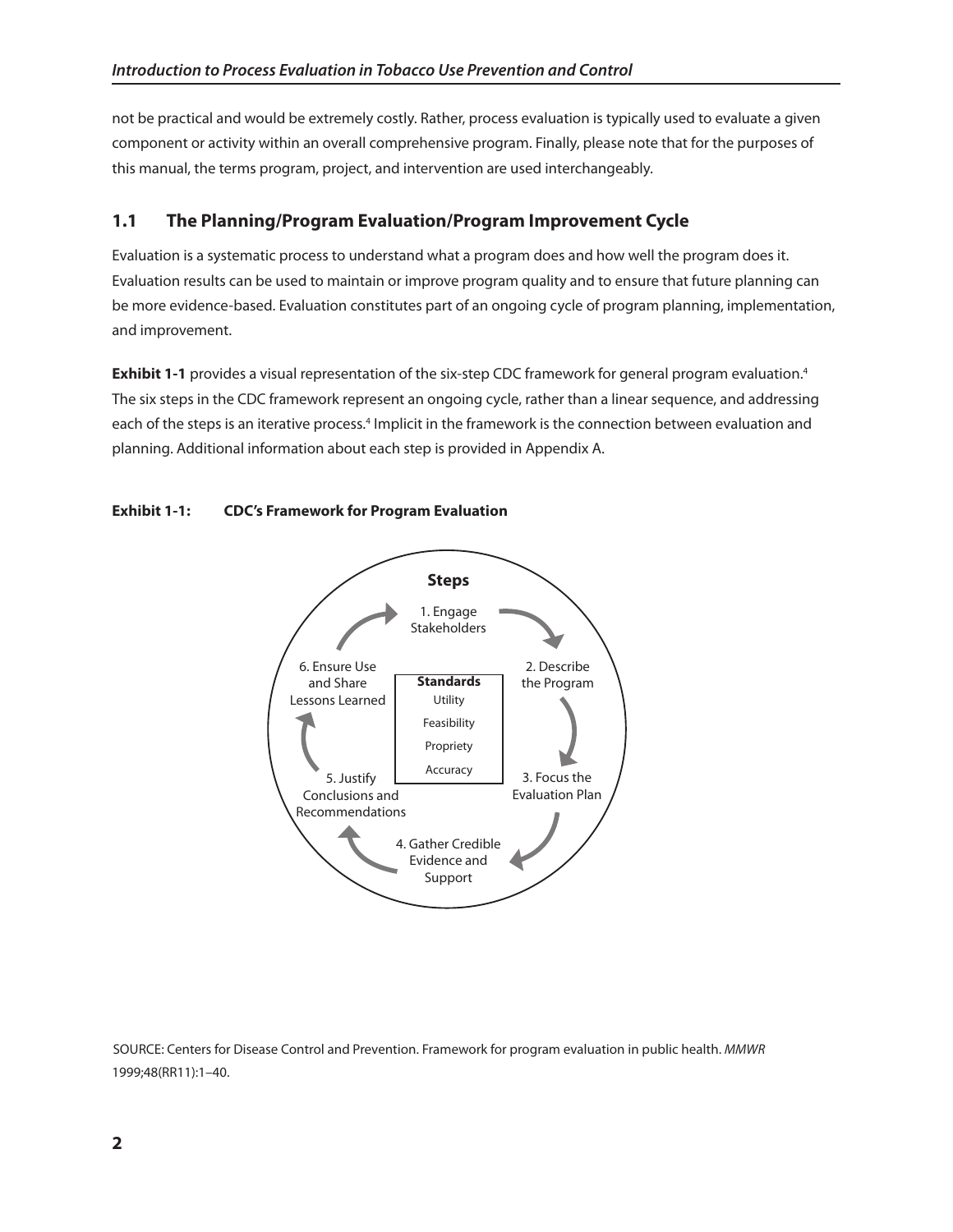not be practical and would be extremely costly. Rather, process evaluation is typically used to evaluate a given component or activity within an overall comprehensive program. Finally, please note that for the purposes of this manual, the terms program, project, and intervention are used interchangeably.

## **1.1 The Planning/Program Evaluation/Program Improvement Cycle**

Evaluation is a systematic process to understand what a program does and how well the program does it. Evaluation results can be used to maintain or improve program quality and to ensure that future planning can be more evidence-based. Evaluation constitutes part of an ongoing cycle of program planning, implementation, and improvement.

**Exhibit 1-1** provides a visual representation of the six-step CDC framework for general program evaluation.<sup>4</sup> The six steps in the CDC framework represent an ongoing cycle, rather than a linear sequence, and addressing each of the steps is an iterative process.<sup>4</sup> Implicit in the framework is the connection between evaluation and planning. Additional information about each step is provided in Appendix A.





SOURCE: Centers for Disease Control and Prevention. Framework for program evaluation in public health. *MMWR*  1999;48(RR11):1–40.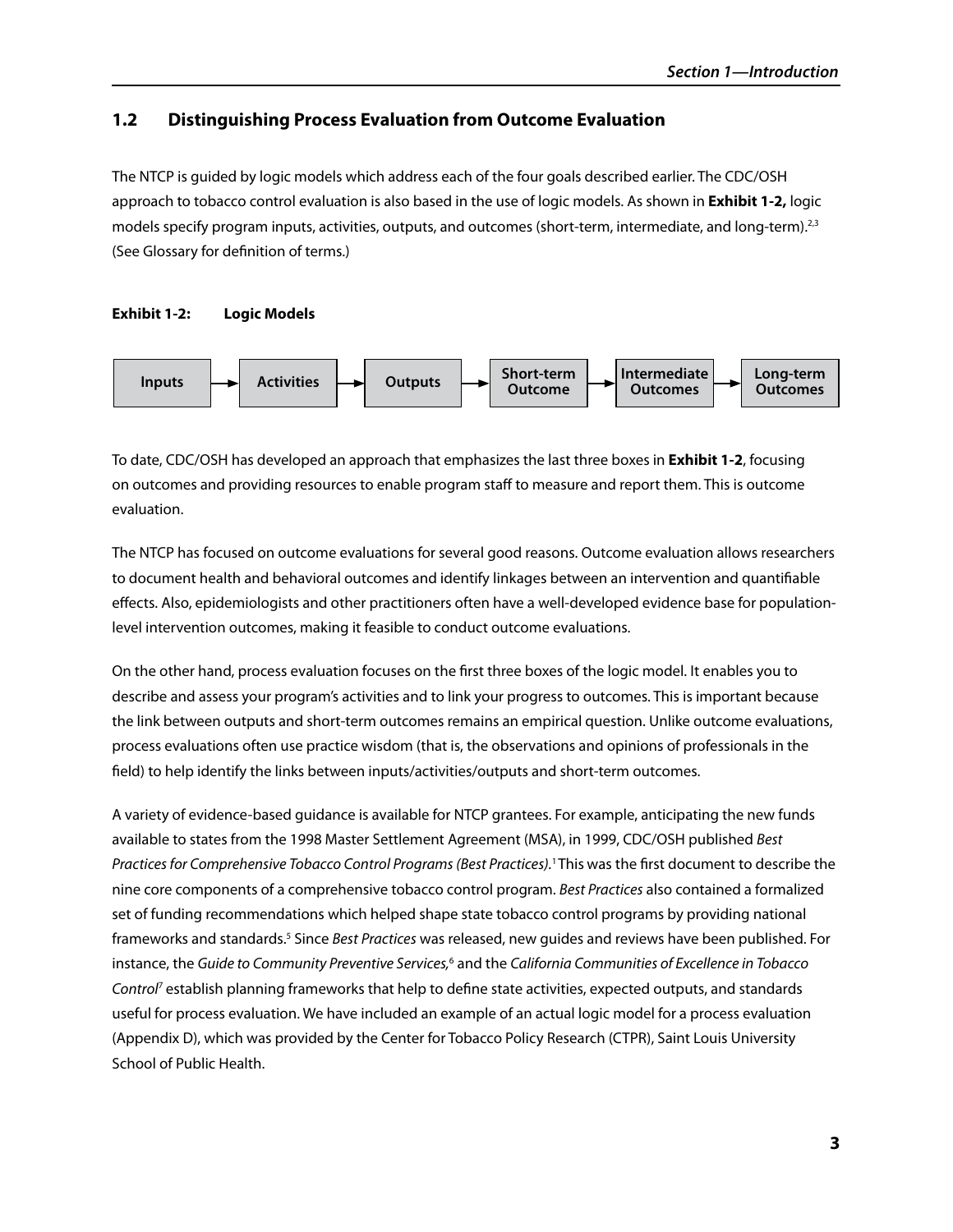## **1.2** Distinguishing Process Evaluation from Outcome Evaluation

The NTCP is guided by logic models which address each of the four goals described earlier. The CDC/OSH approach to tobacco control evaluation is also based in the use of logic models. As shown in **Exhibit 1-2,** logic models specify program inputs, activities, outputs, and outcomes (short-term, intermediate, and long-term).<sup>2,3</sup> (See Glossary for definition of terms.)

#### **Exhibit 1-2: logic models**



To date, CDC/OSH has developed an approach that emphasizes the last three boxes in **Exhibit 1-2**, focusing on outcomes and providing resources to enable program staff to measure and report them. This is outcome evaluation.

The NTCP has focused on outcome evaluations for several good reasons. Outcome evaluation allows researchers to document health and behavioral outcomes and identify linkages between an intervention and quantifiable effects. Also, epidemiologists and other practitioners often have a well-developed evidence base for populationlevel intervention outcomes, making it feasible to conduct outcome evaluations.

On the other hand, process evaluation focuses on the first three boxes of the logic model. It enables you to describe and assess your program's activities and to link your progress to outcomes. This is important because the link between outputs and short-term outcomes remains an empirical question. Unlike outcome evaluations, process evaluations often use practice wisdom (that is, the observations and opinions of professionals in the field) to help identify the links between inputs/activities/outputs and short-term outcomes.

A variety of evidence-based guidance is available for NTCP grantees. For example, anticipating the new funds available to states from the 1998 Master Settlement Agreement (MSA), in 1999, CDC/OSH published *Best Practices for Comprehensive Tobacco Control Programs (Best Practices).*1 This was the first document to describe the nine core components of a comprehensive tobacco control program. *Best Practices* also contained a formalized set of funding recommendations which helped shape state tobacco control programs by providing national frameworks and standards.<sup>5</sup> Since *Best Practices* was released, new guides and reviews have been published. For instance, the *Guide to Community Preventive Services,*<sup>6</sup> and the *California Communities of Excellence in Tobacco Control*7 establish planning frameworks that help to define state activities, expected outputs, and standards useful for process evaluation. We have included an example of an actual logic model for a process evaluation (Appendix D), which was provided by the Center for Tobacco Policy Research (CTPR), Saint Louis University School of Public Health.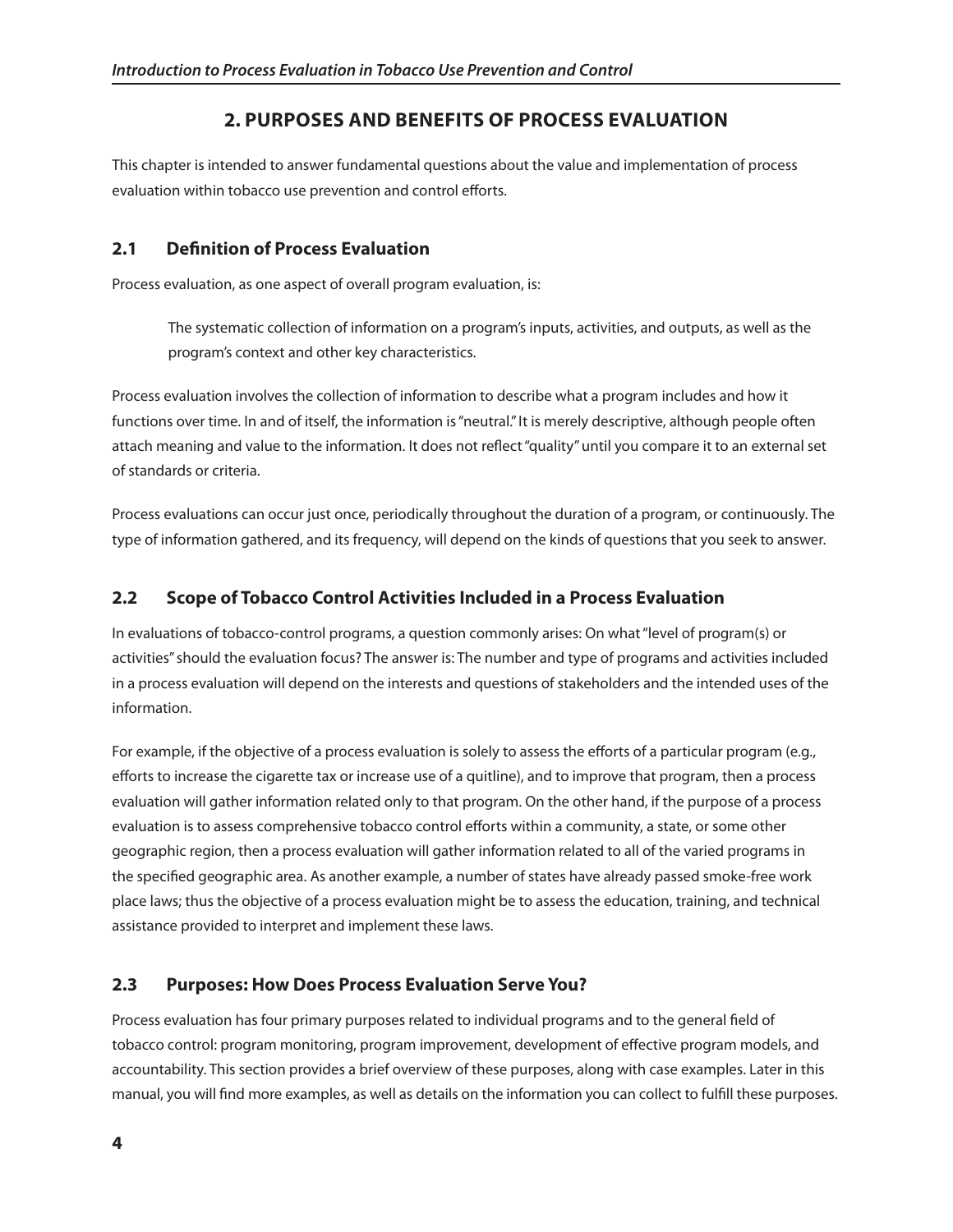## **2. PURPosEs And BEnEFITs oF PRoCEss EvAlUATIon**

This chapter is intended to answer fundamental questions about the value and implementation of process evaluation within tobacco use prevention and control efforts.

## **2.1 Definition of Process Evaluation**

Process evaluation, as one aspect of overall program evaluation, is:

The systematic collection of information on a program's inputs, activities, and outputs, as well as the program's context and other key characteristics.

Process evaluation involves the collection of information to describe what a program includes and how it functions over time. In and of itself, the information is "neutral." It is merely descriptive, although people often attach meaning and value to the information. It does not reflect "quality" until you compare it to an external set of standards or criteria.

Process evaluations can occur just once, periodically throughout the duration of a program, or continuously. The type of information gathered, and its frequency, will depend on the kinds of questions that you seek to answer.

## **2.2 scope of Tobacco Control Activities Included in a Process Evaluation**

In evaluations of tobacco-control programs, a question commonly arises: On what "level of program(s) or activities" should the evaluation focus? The answer is: The number and type of programs and activities included in a process evaluation will depend on the interests and questions of stakeholders and the intended uses of the information.

For example, if the objective of a process evaluation is solely to assess the efforts of a particular program (e.g., efforts to increase the cigarette tax or increase use of a quitline), and to improve that program, then a process evaluation will gather information related only to that program. On the other hand, if the purpose of a process evaluation is to assess comprehensive tobacco control efforts within a community, a state, or some other geographic region, then a process evaluation will gather information related to all of the varied programs in the specified geographic area. As another example, a number of states have already passed smoke-free work place laws; thus the objective of a process evaluation might be to assess the education, training, and technical assistance provided to interpret and implement these laws.

## **2.3 Purposes: how does Process Evaluation serve You?**

Process evaluation has four primary purposes related to individual programs and to the general field of tobacco control: program monitoring, program improvement, development of effective program models, and accountability. This section provides a brief overview of these purposes, along with case examples. Later in this manual, you will find more examples, as well as details on the information you can collect to fulfill these purposes.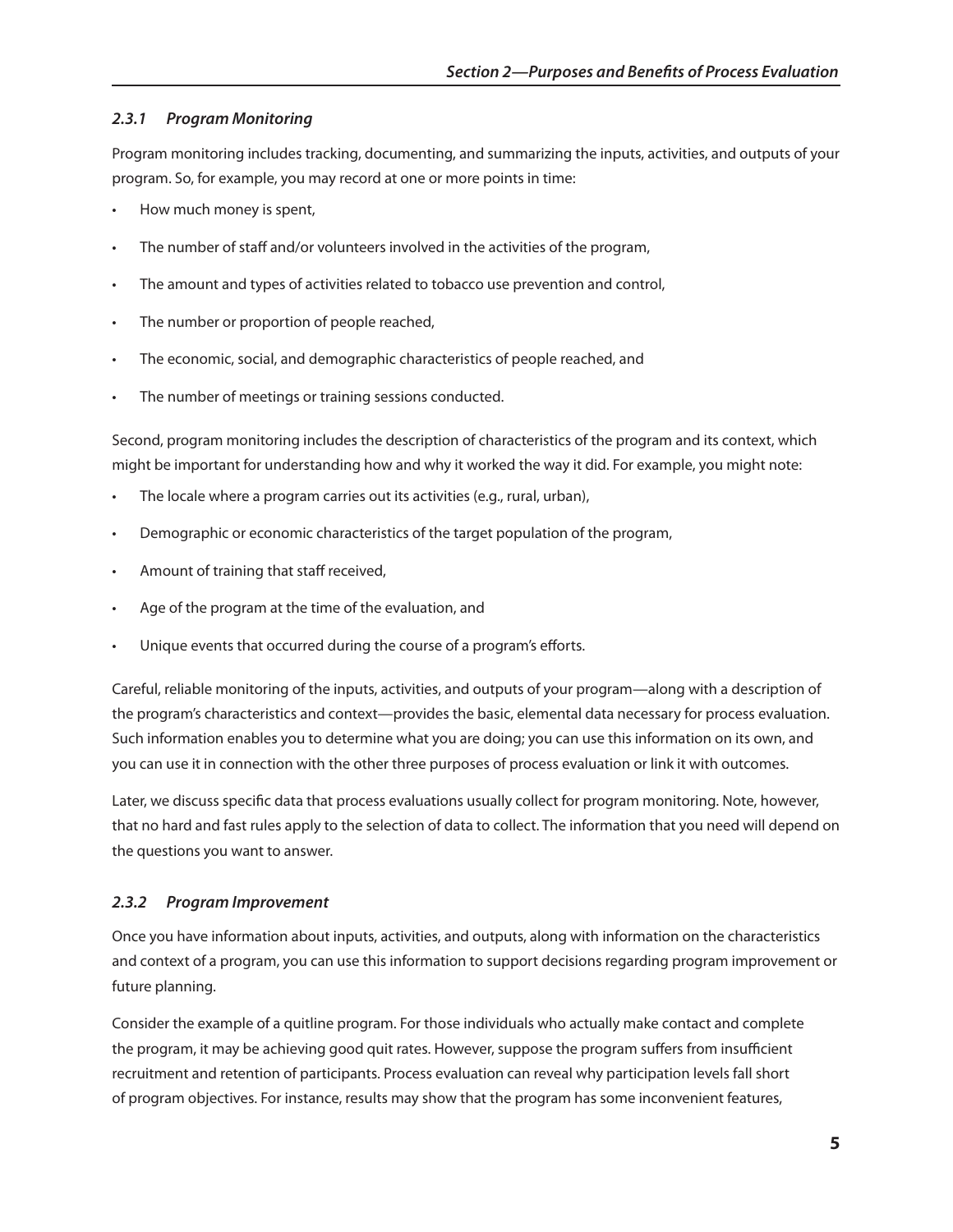## *2.3.1 Program Monitoring*

Program monitoring includes tracking, documenting, and summarizing the inputs, activities, and outputs of your program. So, for example, you may record at one or more points in time:

- How much money is spent,
- The number of staff and/or volunteers involved in the activities of the program,
- The amount and types of activities related to tobacco use prevention and control,
- The number or proportion of people reached,
- The economic, social, and demographic characteristics of people reached, and
- The number of meetings or training sessions conducted.

Second, program monitoring includes the description of characteristics of the program and its context, which might be important for understanding how and why it worked the way it did. For example, you might note:

- The locale where a program carries out its activities (e.g., rural, urban),
- Demographic or economic characteristics of the target population of the program,
- Amount of training that staff received,
- Age of the program at the time of the evaluation, and
- Unique events that occurred during the course of a program's efforts.

Careful, reliable monitoring of the inputs, activities, and outputs of your program—along with a description of the program's characteristics and context—provides the basic, elemental data necessary for process evaluation. Such information enables you to determine what you are doing; you can use this information on its own, and you can use it in connection with the other three purposes of process evaluation or link it with outcomes.

Later, we discuss specific data that process evaluations usually collect for program monitoring. Note, however, that no hard and fast rules apply to the selection of data to collect. The information that you need will depend on the questions you want to answer.

## *2.3.2 Program Improvement*

Once you have information about inputs, activities, and outputs, along with information on the characteristics and context of a program, you can use this information to support decisions regarding program improvement or future planning.

Consider the example of a quitline program. For those individuals who actually make contact and complete the program, it may be achieving good quit rates. However, suppose the program suffers from insufficient recruitment and retention of participants. Process evaluation can reveal why participation levels fall short of program objectives. For instance, results may show that the program has some inconvenient features,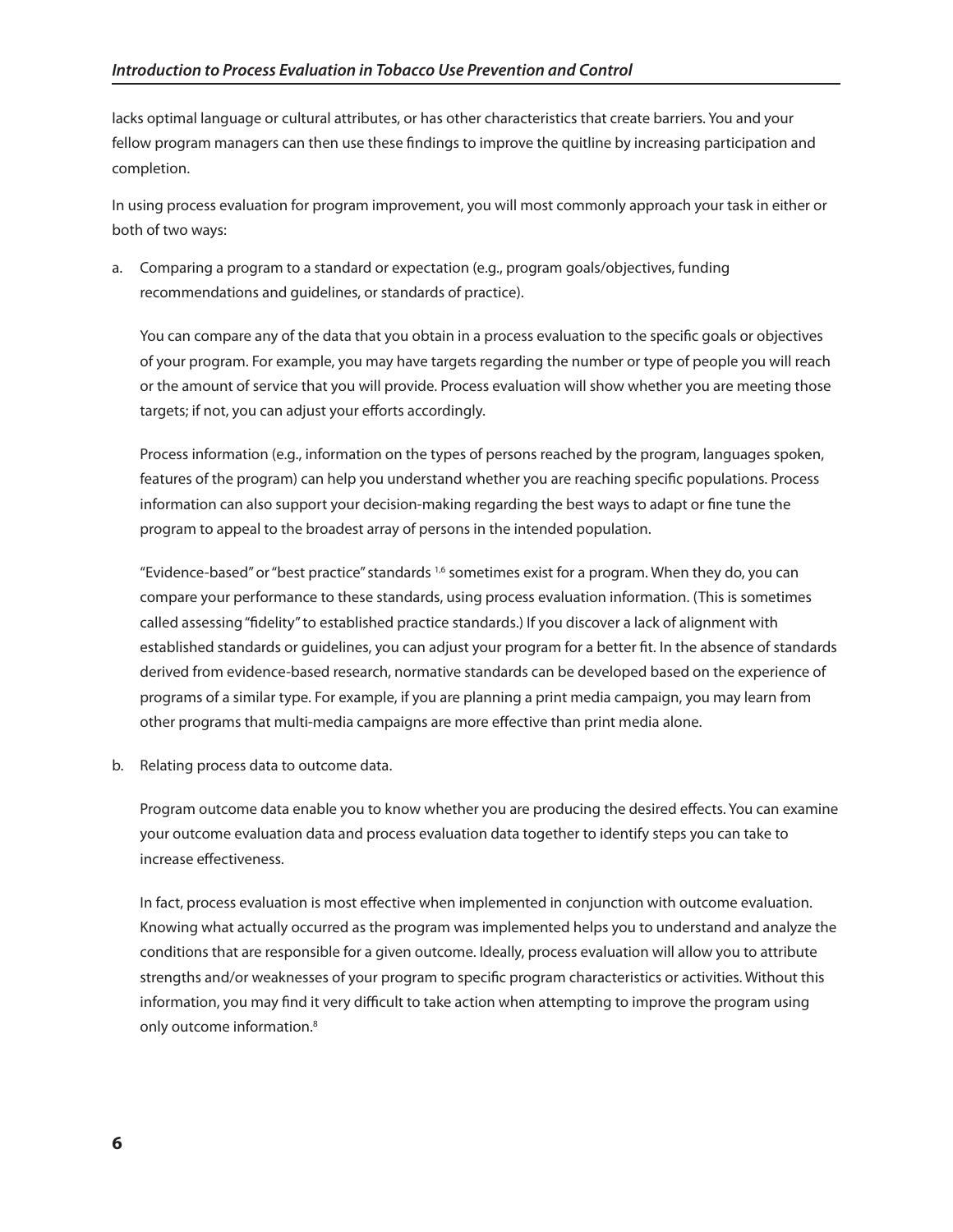lacks optimal language or cultural attributes, or has other characteristics that create barriers. You and your fellow program managers can then use these findings to improve the quitline by increasing participation and completion.

In using process evaluation for program improvement, you will most commonly approach your task in either or both of two ways:

a. Comparing a program to a standard or expectation (e.g., program goals/objectives, funding recommendations and guidelines, or standards of practice).

You can compare any of the data that you obtain in a process evaluation to the specific goals or objectives of your program. For example, you may have targets regarding the number or type of people you will reach or the amount of service that you will provide. Process evaluation will show whether you are meeting those targets; if not, you can adjust your efforts accordingly.

Process information (e.g., information on the types of persons reached by the program, languages spoken, features of the program) can help you understand whether you are reaching specific populations. Process information can also support your decision-making regarding the best ways to adapt or fine tune the program to appeal to the broadest array of persons in the intended population.

"Evidence-based" or "best practice" standards 1,6 sometimes exist for a program. When they do, you can compare your performance to these standards, using process evaluation information. (This is sometimes called assessing "fidelity" to established practice standards.) If you discover a lack of alignment with established standards or guidelines, you can adjust your program for a better fit. In the absence of standards derived from evidence-based research, normative standards can be developed based on the experience of programs of a similar type. For example, if you are planning a print media campaign, you may learn from other programs that multi-media campaigns are more effective than print media alone.

b. Relating process data to outcome data.

Program outcome data enable you to know whether you are producing the desired effects. You can examine your outcome evaluation data and process evaluation data together to identify steps you can take to increase effectiveness.

In fact, process evaluation is most effective when implemented in conjunction with outcome evaluation. Knowing what actually occurred as the program was implemented helps you to understand and analyze the conditions that are responsible for a given outcome. Ideally, process evaluation will allow you to attribute strengths and/or weaknesses of your program to specific program characteristics or activities. Without this information, you may find it very difficult to take action when attempting to improve the program using only outcome information.<sup>8</sup>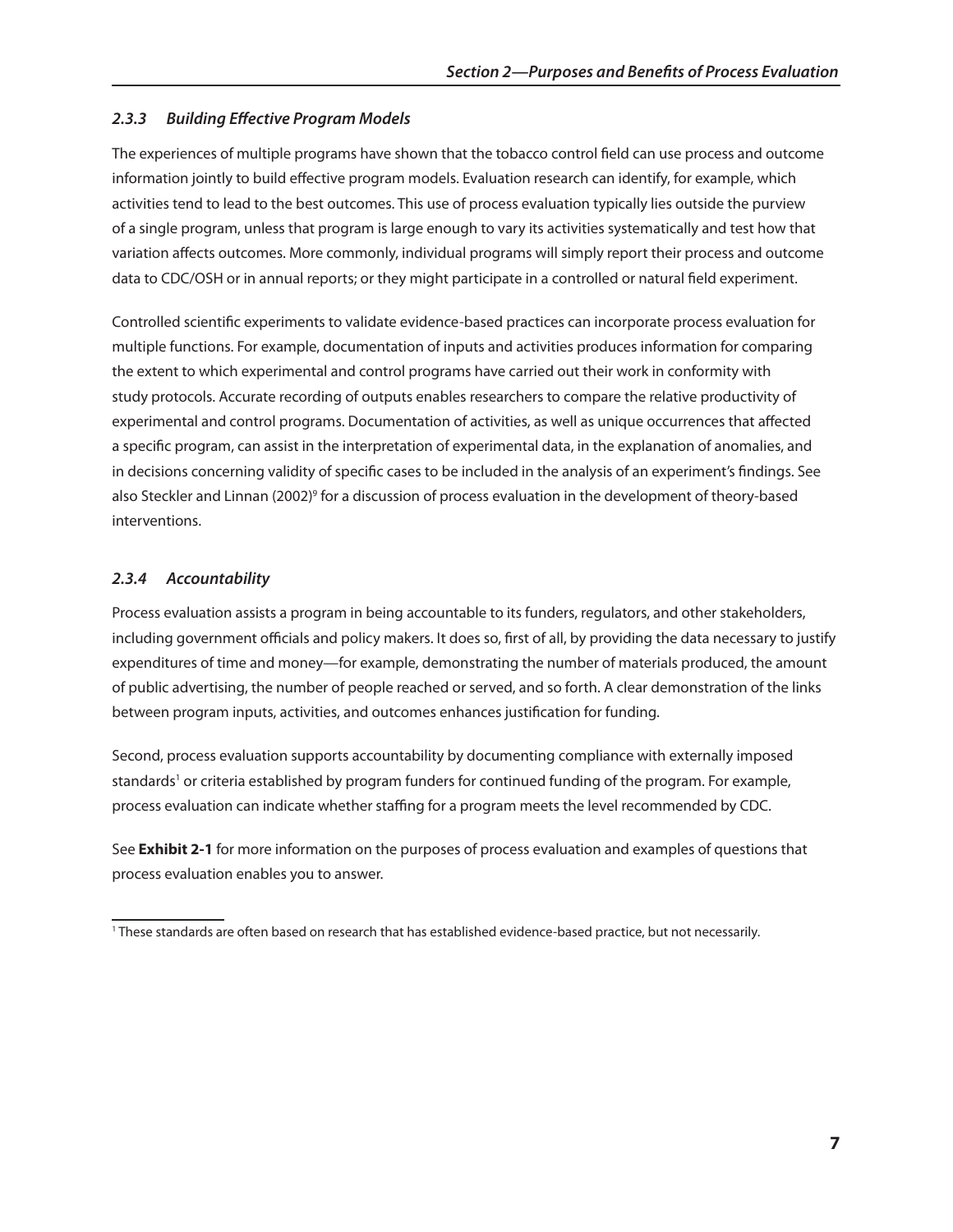## *2.3.3 Building Effective Program Models*

The experiences of multiple programs have shown that the tobacco control field can use process and outcome information jointly to build effective program models. Evaluation research can identify, for example, which activities tend to lead to the best outcomes. This use of process evaluation typically lies outside the purview of a single program, unless that program is large enough to vary its activities systematically and test how that variation affects outcomes. More commonly, individual programs will simply report their process and outcome data to CDC/OSH or in annual reports; or they might participate in a controlled or natural field experiment.

Controlled scientific experiments to validate evidence-based practices can incorporate process evaluation for multiple functions. For example, documentation of inputs and activities produces information for comparing the extent to which experimental and control programs have carried out their work in conformity with study protocols. Accurate recording of outputs enables researchers to compare the relative productivity of experimental and control programs. Documentation of activities, as well as unique occurrences that affected a specific program, can assist in the interpretation of experimental data, in the explanation of anomalies, and in decisions concerning validity of specific cases to be included in the analysis of an experiment's findings. See also Steckler and Linnan (2002)<sup>9</sup> for a discussion of process evaluation in the development of theory-based interventions.

## *2.3.4 Accountability*

Process evaluation assists a program in being accountable to its funders, regulators, and other stakeholders, including government officials and policy makers. It does so, first of all, by providing the data necessary to justify expenditures of time and money—for example, demonstrating the number of materials produced, the amount of public advertising, the number of people reached or served, and so forth. A clear demonstration of the links between program inputs, activities, and outcomes enhances justification for funding.

Second, process evaluation supports accountability by documenting compliance with externally imposed standards<sup>1</sup> or criteria established by program funders for continued funding of the program. For example, process evaluation can indicate whether staffing for a program meets the level recommended by CDC.

See **Exhibit 2-1** for more information on the purposes of process evaluation and examples of questions that process evaluation enables you to answer.

<sup>1</sup> These standards are often based on research that has established evidence-based practice, but not necessarily.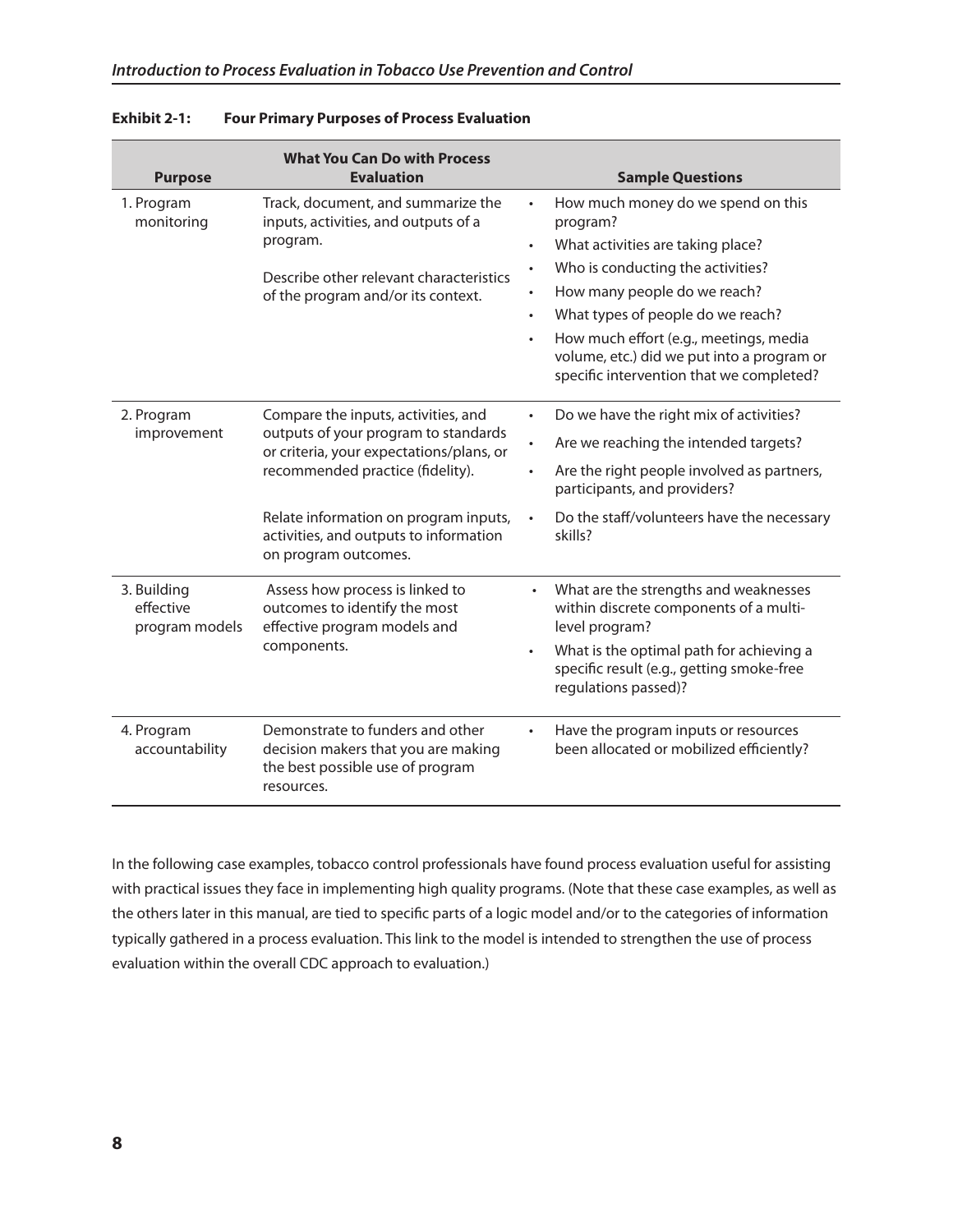| <b>Purpose</b>                             | <b>What You Can Do with Process</b><br><b>Evaluation</b>                                                                  |           | <b>Sample Questions</b>                                                                                                          |
|--------------------------------------------|---------------------------------------------------------------------------------------------------------------------------|-----------|----------------------------------------------------------------------------------------------------------------------------------|
| 1. Program<br>monitoring                   | Track, document, and summarize the<br>inputs, activities, and outputs of a<br>program.                                    | $\bullet$ | How much money do we spend on this<br>program?                                                                                   |
|                                            |                                                                                                                           | $\bullet$ | What activities are taking place?                                                                                                |
|                                            | Describe other relevant characteristics                                                                                   |           | Who is conducting the activities?                                                                                                |
|                                            | of the program and/or its context.                                                                                        |           | How many people do we reach?                                                                                                     |
|                                            |                                                                                                                           | $\bullet$ | What types of people do we reach?                                                                                                |
|                                            |                                                                                                                           |           | How much effort (e.g., meetings, media<br>volume, etc.) did we put into a program or<br>specific intervention that we completed? |
| 2. Program                                 | Compare the inputs, activities, and                                                                                       | $\bullet$ | Do we have the right mix of activities?                                                                                          |
| improvement                                | outputs of your program to standards<br>or criteria, your expectations/plans, or<br>recommended practice (fidelity).      |           | Are we reaching the intended targets?                                                                                            |
|                                            |                                                                                                                           |           | Are the right people involved as partners,<br>participants, and providers?                                                       |
|                                            | Relate information on program inputs,<br>activities, and outputs to information<br>on program outcomes.                   | $\bullet$ | Do the staff/volunteers have the necessary<br>skills?                                                                            |
| 3. Building<br>effective<br>program models | Assess how process is linked to<br>outcomes to identify the most<br>effective program models and                          | ٠         | What are the strengths and weaknesses<br>within discrete components of a multi-<br>level program?                                |
|                                            | components.                                                                                                               | $\bullet$ | What is the optimal path for achieving a<br>specific result (e.g., getting smoke-free<br>regulations passed)?                    |
| 4. Program<br>accountability               | Demonstrate to funders and other<br>decision makers that you are making<br>the best possible use of program<br>resources. |           | Have the program inputs or resources<br>been allocated or mobilized efficiently?                                                 |

In the following case examples, tobacco control professionals have found process evaluation useful for assisting with practical issues they face in implementing high quality programs. (Note that these case examples, as well as the others later in this manual, are tied to specific parts of a logic model and/or to the categories of information typically gathered in a process evaluation. This link to the model is intended to strengthen the use of process evaluation within the overall CDC approach to evaluation.)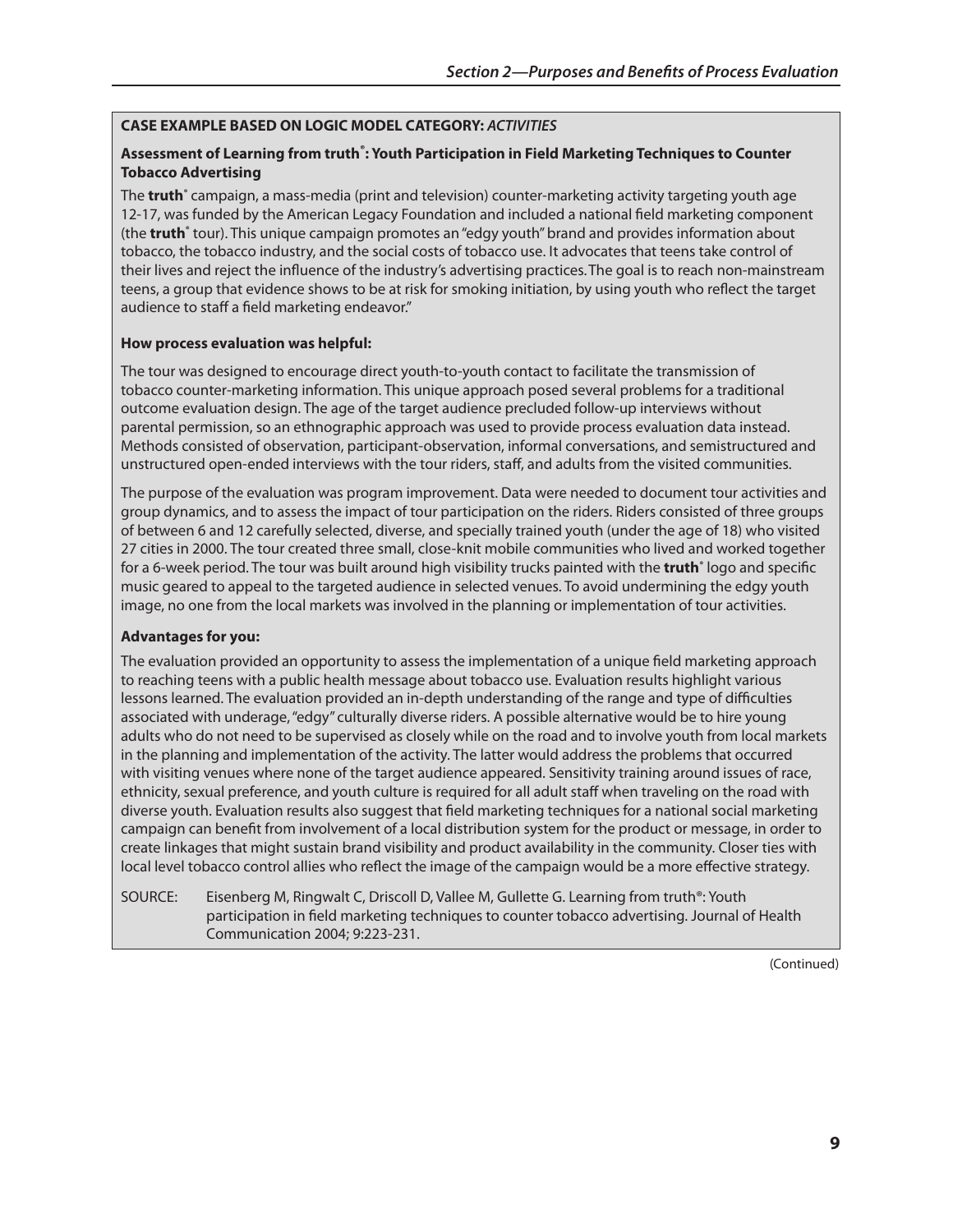## **CAsE ExAmPlE BAsEd on logIC modEl CATEgoRY:** *ACTIVITIES*

## **Assessment of learning from truth® : Youth Participation in Field marketing Techniques to Counter Tobacco Advertising**

The **truth**<sup>®</sup> campaign, a mass-media (print and television) counter-marketing activity targeting youth age 12-17, was funded by the American Legacy Foundation and included a national field marketing component (the **truth**<sup>®</sup> tour). This unique campaign promotes an "edgy youth" brand and provides information about tobacco, the tobacco industry, and the social costs of tobacco use. It advocates that teens take control of their lives and reject the influence of the industry's advertising practices.The goal is to reach non-mainstream teens, a group that evidence shows to be at risk for smoking initiation, by using youth who reflect the target audience to staff a field marketing endeavor."

#### **how process evaluation was helpful:**

The tour was designed to encourage direct youth-to-youth contact to facilitate the transmission of tobacco counter-marketing information. This unique approach posed several problems for a traditional outcome evaluation design. The age of the target audience precluded follow-up interviews without parental permission, so an ethnographic approach was used to provide process evaluation data instead. Methods consisted of observation, participant-observation, informal conversations, and semistructured and unstructured open-ended interviews with the tour riders, staff, and adults from the visited communities.

The purpose of the evaluation was program improvement. Data were needed to document tour activities and group dynamics, and to assess the impact of tour participation on the riders. Riders consisted of three groups of between 6 and 12 carefully selected, diverse, and specially trained youth (under the age of 18) who visited 27 cities in 2000. The tour created three small, close-knit mobile communities who lived and worked together for a 6-week period. The tour was built around high visibility trucks painted with the **truth**<sup>®</sup> logo and specific music geared to appeal to the targeted audience in selected venues. To avoid undermining the edgy youth image, no one from the local markets was involved in the planning or implementation of tour activities.

#### **Advantages for you:**

The evaluation provided an opportunity to assess the implementation of a unique field marketing approach to reaching teens with a public health message about tobacco use. Evaluation results highlight various lessons learned. The evaluation provided an in-depth understanding of the range and type of difficulties associated with underage, "edgy" culturally diverse riders. A possible alternative would be to hire young adults who do not need to be supervised as closely while on the road and to involve youth from local markets in the planning and implementation of the activity. The latter would address the problems that occurred with visiting venues where none of the target audience appeared. Sensitivity training around issues of race, ethnicity, sexual preference, and youth culture is required for all adult staff when traveling on the road with diverse youth. Evaluation results also suggest that field marketing techniques for a national social marketing campaign can benefit from involvement of a local distribution system for the product or message, in order to create linkages that might sustain brand visibility and product availability in the community. Closer ties with local level tobacco control allies who reflect the image of the campaign would be a more effective strategy.

SOURCE: Eisenberg M, Ringwalt C, Driscoll D, Vallee M, Gullette G. Learning from truth®: Youth participation in field marketing techniques to counter tobacco advertising. Journal of Health Communication 2004; 9:223-231.

(Continued)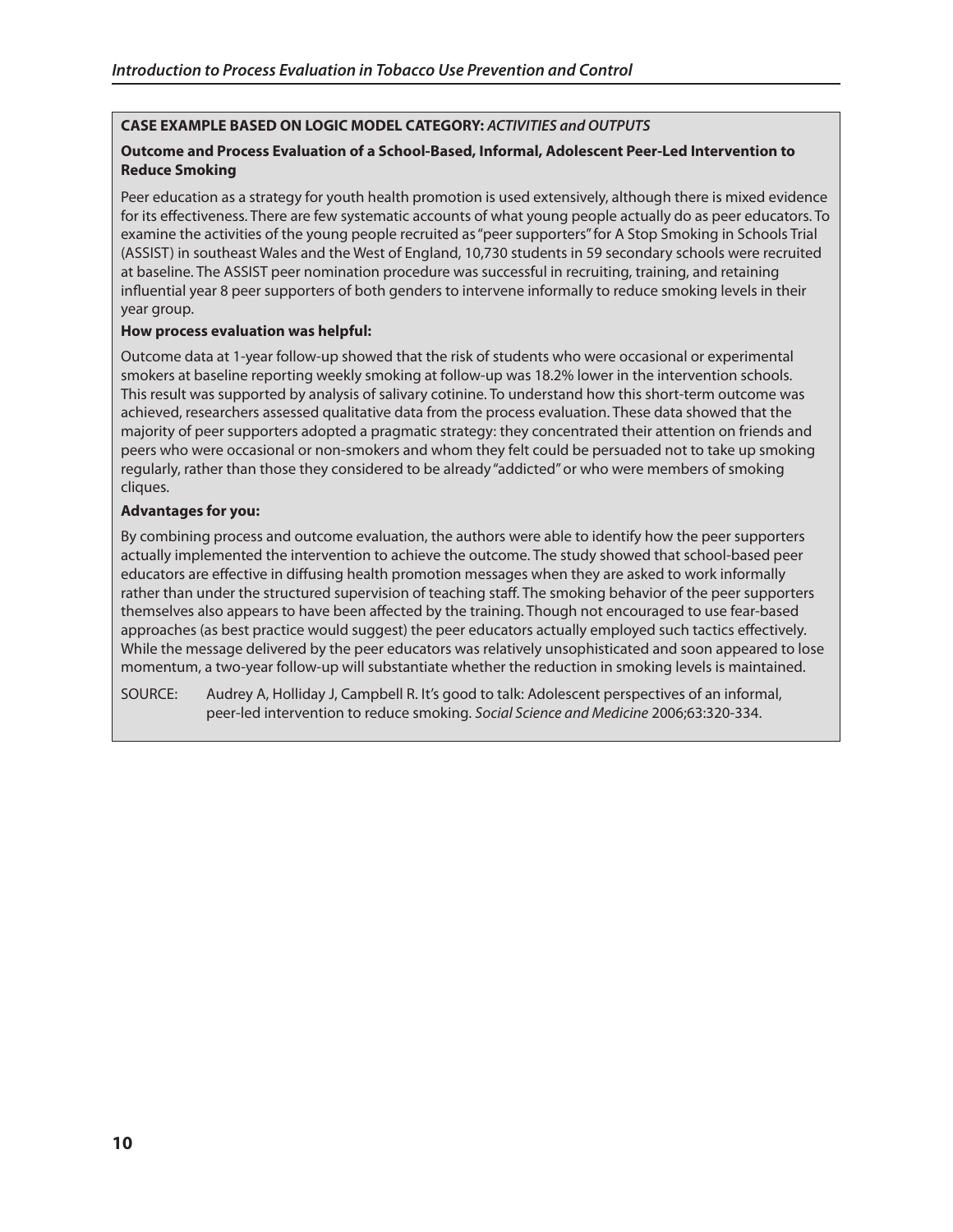## **CAsE ExAmPlE BAsEd on logIC modEl CATEgoRY:** *ACTIVITIES and OUTPUTS*

## **outcome and Process Evaluation of a school-Based, Informal, Adolescent Peer-led Intervention to Reduce smoking**

Peer education as a strategy for youth health promotion is used extensively, although there is mixed evidence for its effectiveness. There are few systematic accounts of what young people actually do as peer educators. To examine the activities of the young people recruited as "peer supporters" for A Stop Smoking in Schools Trial (ASSIST) in southeast Wales and the West of England, 10,730 students in 59 secondary schools were recruited at baseline. The ASSIST peer nomination procedure was successful in recruiting, training, and retaining influential year 8 peer supporters of both genders to intervene informally to reduce smoking levels in their year group.

## **how process evaluation was helpful:**

Outcome data at 1-year follow-up showed that the risk of students who were occasional or experimental smokers at baseline reporting weekly smoking at follow-up was 18.2% lower in the intervention schools. This result was supported by analysis of salivary cotinine. To understand how this short-term outcome was achieved, researchers assessed qualitative data from the process evaluation. These data showed that the majority of peer supporters adopted a pragmatic strategy: they concentrated their attention on friends and peers who were occasional or non-smokers and whom they felt could be persuaded not to take up smoking regularly, rather than those they considered to be already "addicted" or who were members of smoking cliques.

## **Advantages for you:**

By combining process and outcome evaluation, the authors were able to identify how the peer supporters actually implemented the intervention to achieve the outcome. The study showed that school-based peer educators are effective in diffusing health promotion messages when they are asked to work informally rather than under the structured supervision of teaching staff. The smoking behavior of the peer supporters themselves also appears to have been affected by the training. Though not encouraged to use fear-based approaches (as best practice would suggest) the peer educators actually employed such tactics effectively. While the message delivered by the peer educators was relatively unsophisticated and soon appeared to lose momentum, a two-year follow-up will substantiate whether the reduction in smoking levels is maintained.

SOURCE: Audrey A, Holliday J, Campbell R. It's good to talk: Adolescent perspectives of an informal, peer-led intervention to reduce smoking. *Social Science and Medicine* 2006;63:320-334.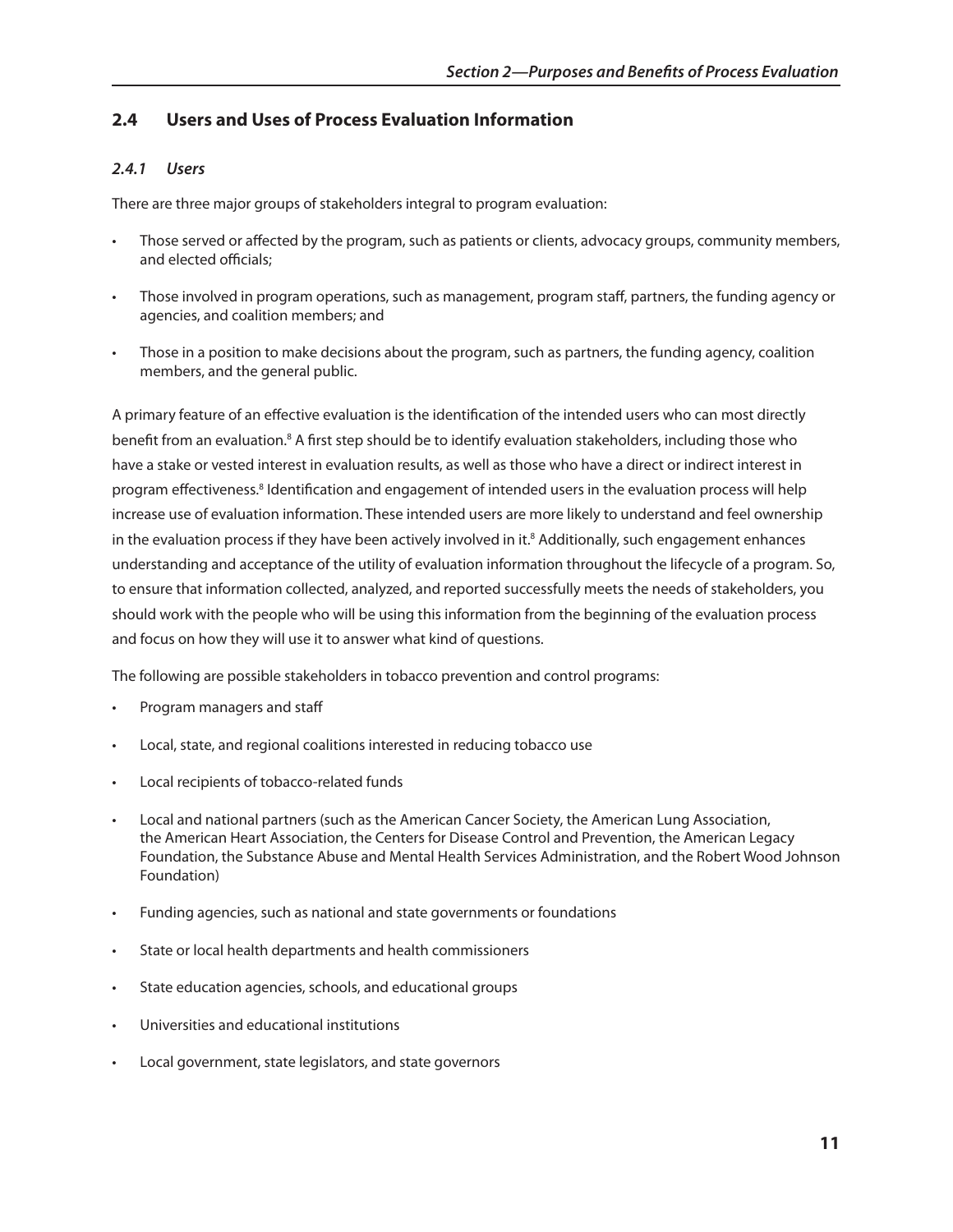## **2.4 Users and Uses of Process Evaluation Information**

## *2.4.1 Users*

There are three major groups of stakeholders integral to program evaluation:

- Those served or affected by the program, such as patients or clients, advocacy groups, community members, and elected officials;
- • Those involved in program operations, such as management, program staff, partners, the funding agency or agencies, and coalition members; and
- Those in a position to make decisions about the program, such as partners, the funding agency, coalition members, and the general public.

A primary feature of an effective evaluation is the identification of the intended users who can most directly benefit from an evaluation.<sup>8</sup> A first step should be to identify evaluation stakeholders, including those who have a stake or vested interest in evaluation results, as well as those who have a direct or indirect interest in program effectiveness.<sup>8</sup> Identification and engagement of intended users in the evaluation process will help increase use of evaluation information. These intended users are more likely to understand and feel ownership in the evaluation process if they have been actively involved in it.8 Additionally, such engagement enhances understanding and acceptance of the utility of evaluation information throughout the lifecycle of a program. So, to ensure that information collected, analyzed, and reported successfully meets the needs of stakeholders, you should work with the people who will be using this information from the beginning of the evaluation process and focus on how they will use it to answer what kind of questions.

The following are possible stakeholders in tobacco prevention and control programs:

- Program managers and staff
- Local, state, and regional coalitions interested in reducing tobacco use
- Local recipients of tobacco-related funds
- Local and national partners (such as the American Cancer Society, the American Lung Association, the American Heart Association, the Centers for Disease Control and Prevention, the American Legacy Foundation, the Substance Abuse and Mental Health Services Administration, and the Robert Wood Johnson Foundation)
- • Funding agencies, such as national and state governments or foundations
- State or local health departments and health commissioners
- • State education agencies, schools, and educational groups
- Universities and educational institutions
- Local government, state legislators, and state governors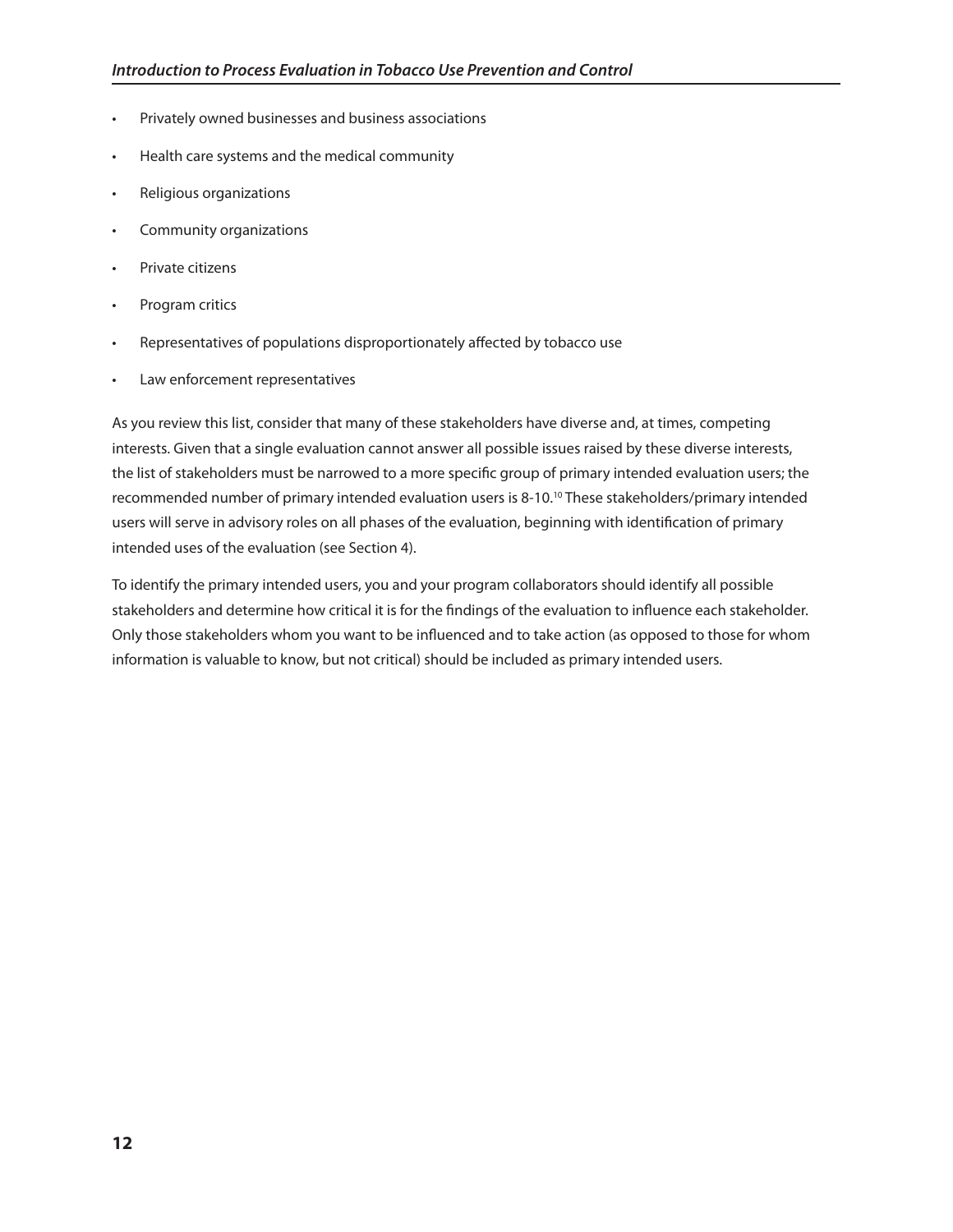- Privately owned businesses and business associations
- Health care systems and the medical community
- Religious organizations
- Community organizations
- Private citizens
- Program critics
- Representatives of populations disproportionately affected by tobacco use
- Law enforcement representatives

As you review this list, consider that many of these stakeholders have diverse and, at times, competing interests. Given that a single evaluation cannot answer all possible issues raised by these diverse interests, the list of stakeholders must be narrowed to a more specific group of primary intended evaluation users; the recommended number of primary intended evaluation users is 8-10.10 These stakeholders/primary intended users will serve in advisory roles on all phases of the evaluation, beginning with identification of primary intended uses of the evaluation (see Section 4).

To identify the primary intended users, you and your program collaborators should identify all possible stakeholders and determine how critical it is for the findings of the evaluation to influence each stakeholder. Only those stakeholders whom you want to be influenced and to take action (as opposed to those for whom information is valuable to know, but not critical) should be included as primary intended users.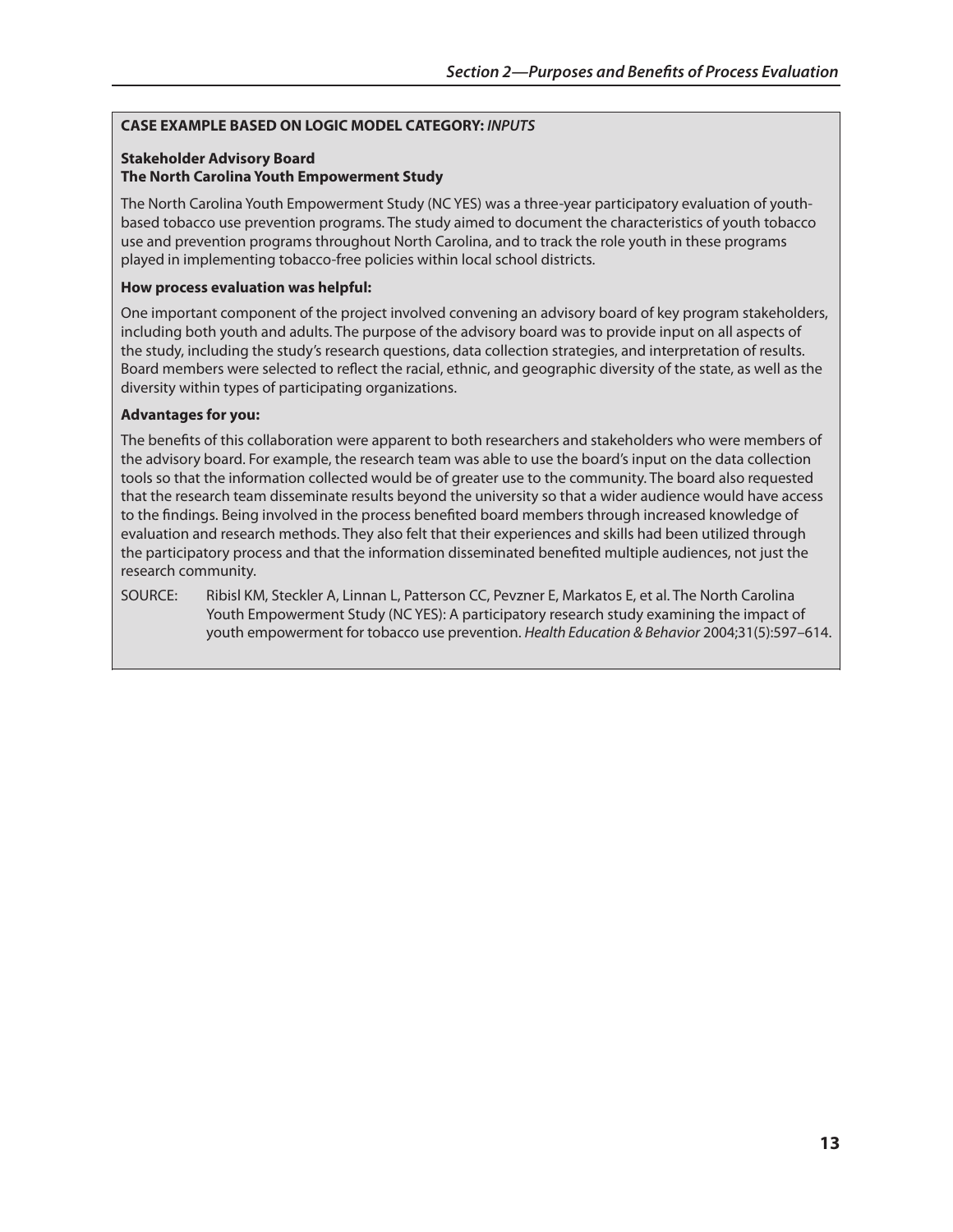#### **CAsE ExAmPlE BAsEd on logIC modEl CATEgoRY:** *INPUTS*

#### **stakeholder Advisory Board The North Carolina Youth Empowerment Study**

The North Carolina Youth Empowerment Study (NC YES) was a three-year participatory evaluation of youthbased tobacco use prevention programs. The study aimed to document the characteristics of youth tobacco use and prevention programs throughout North Carolina, and to track the role youth in these programs played in implementing tobacco-free policies within local school districts.

#### **how process evaluation was helpful:**

One important component of the project involved convening an advisory board of key program stakeholders, including both youth and adults. The purpose of the advisory board was to provide input on all aspects of the study, including the study's research questions, data collection strategies, and interpretation of results. Board members were selected to reflect the racial, ethnic, and geographic diversity of the state, as well as the diversity within types of participating organizations.

#### **Advantages for you:**

The benefits of this collaboration were apparent to both researchers and stakeholders who were members of the advisory board. For example, the research team was able to use the board's input on the data collection tools so that the information collected would be of greater use to the community. The board also requested that the research team disseminate results beyond the university so that a wider audience would have access to the findings. Being involved in the process benefited board members through increased knowledge of evaluation and research methods. They also felt that their experiences and skills had been utilized through the participatory process and that the information disseminated benefited multiple audiences, not just the research community.

SOURCE: Ribisl KM, Steckler A, Linnan L, Patterson CC, Pevzner E, Markatos E, et al. The North Carolina Youth Empowerment Study (NC YES): A participatory research study examining the impact of youth empowerment for tobacco use prevention. *Health Education & Behavior* 2004;31(5):597–614.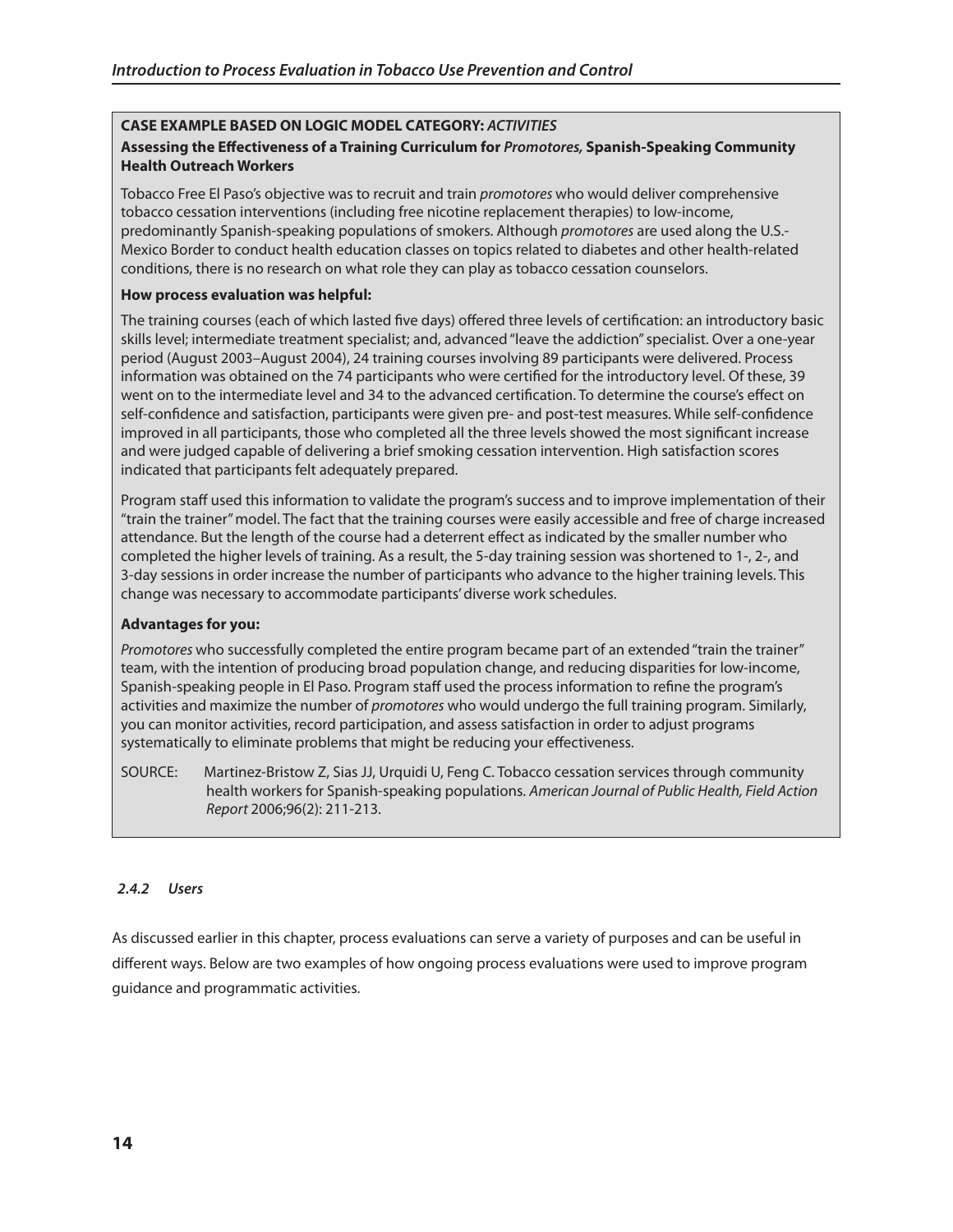## **CAsE ExAmPlE BAsEd on logIC modEl CATEgoRY:** *ACTIVITIES*

## **Assessing the Effectiveness of a Training Curriculum for** *Promotores,* **spanish-speaking Community health outreach workers**

Tobacco Free El Paso's objective was to recruit and train *promotores* who would deliver comprehensive tobacco cessation interventions (including free nicotine replacement therapies) to low-income, predominantly Spanish-speaking populations of smokers. Although *promotores* are used along the U.S. Mexico Border to conduct health education classes on topics related to diabetes and other health-related conditions, there is no research on what role they can play as tobacco cessation counselors.

#### **how process evaluation was helpful:**

The training courses (each of which lasted five days) offered three levels of certification: an introductory basic skills level; intermediate treatment specialist; and, advanced "leave the addiction" specialist. Over a one-year period (August 2003–August 2004), 24 training courses involving 89 participants were delivered. Process information was obtained on the 74 participants who were certified for the introductory level. Of these, 39 went on to the intermediate level and 34 to the advanced certification. To determine the course's effect on self-confidence and satisfaction, participants were given pre- and post-test measures. While self-confidence improved in all participants, those who completed all the three levels showed the most significant increase and were judged capable of delivering a brief smoking cessation intervention. High satisfaction scores indicated that participants felt adequately prepared.

Program staff used this information to validate the program's success and to improve implementation of their "train the trainer" model. The fact that the training courses were easily accessible and free of charge increased attendance. But the length of the course had a deterrent effect as indicated by the smaller number who completed the higher levels of training. As a result, the 5-day training session was shortened to 1-, 2-, and 3-day sessions in order increase the number of participants who advance to the higher training levels. This change was necessary to accommodate participants' diverse work schedules.

#### **Advantages for you:**

*Promotores* who successfully completed the entire program became part of an extended "train the trainer" team, with the intention of producing broad population change, and reducing disparities for low-income, Spanish-speaking people in El Paso. Program staff used the process information to refine the program's activities and maximize the number of *promotores* who would undergo the full training program. Similarly, you can monitor activities, record participation, and assess satisfaction in order to adjust programs systematically to eliminate problems that might be reducing your effectiveness.

SOURCE: Martinez-Bristow Z, Sias JJ, Urquidi U, Feng C. Tobacco cessation services through community health workers for Spanish-speaking populations. *American Journal of Public Health, Field Action Report* 2006;96(2): 211-213.

## *2.4.2 Users*

As discussed earlier in this chapter, process evaluations can serve a variety of purposes and can be useful in different ways. Below are two examples of how ongoing process evaluations were used to improve program guidance and programmatic activities.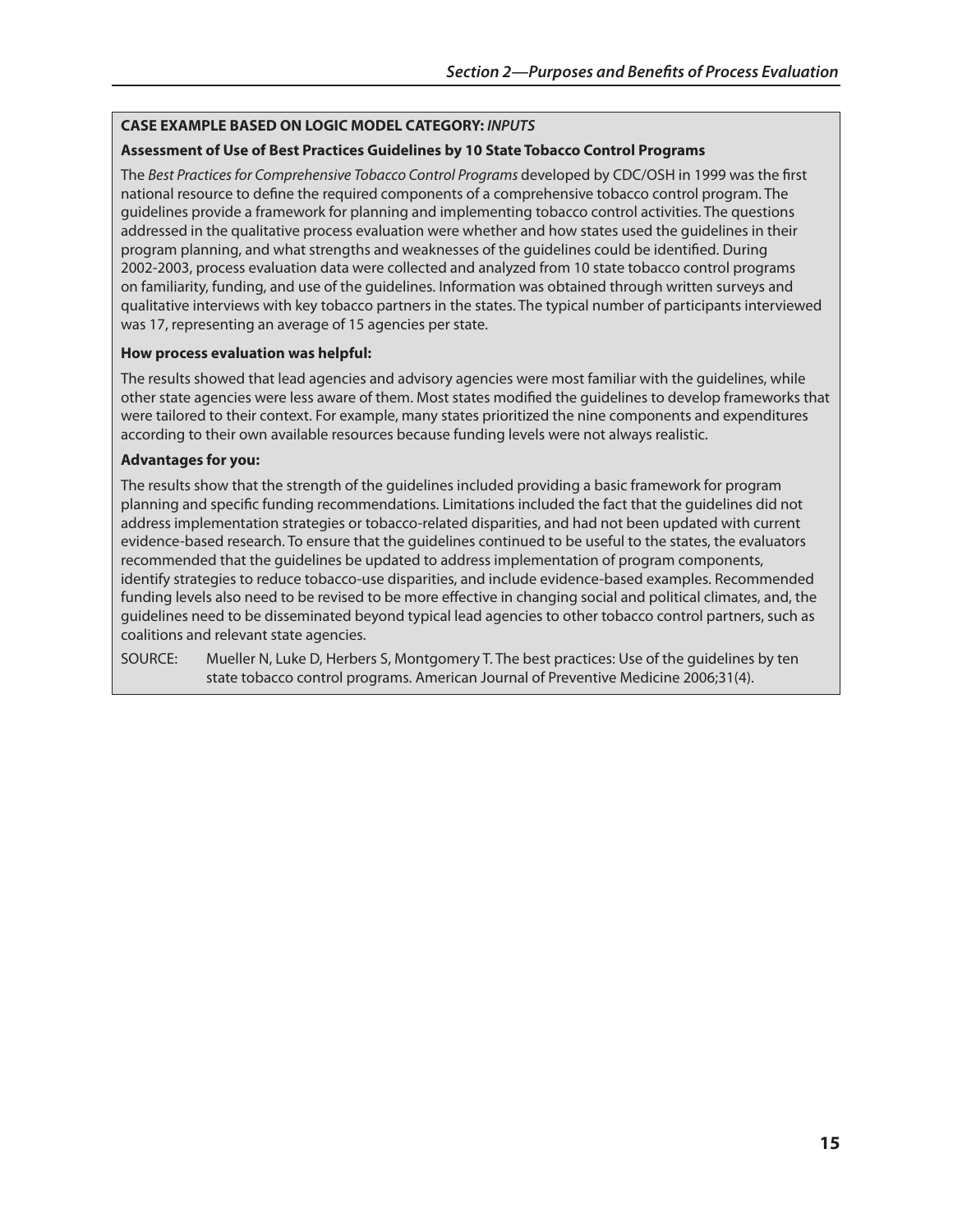### **CAsE ExAmPlE BAsEd on logIC modEl CATEgoRY:** *INPUTS*

### **Assessment of Use of Best Practices guidelines by 10 state Tobacco Control Programs**

The *Best Practices for Comprehensive Tobacco Control Programs* developed by CDC/OSH in 1999 was the first national resource to define the required components of a comprehensive tobacco control program. The guidelines provide a framework for planning and implementing tobacco control activities. The questions addressed in the qualitative process evaluation were whether and how states used the guidelines in their program planning, and what strengths and weaknesses of the guidelines could be identified. During 2002-2003, process evaluation data were collected and analyzed from 10 state tobacco control programs on familiarity, funding, and use of the guidelines. Information was obtained through written surveys and qualitative interviews with key tobacco partners in the states. The typical number of participants interviewed was 17, representing an average of 15 agencies per state.

#### **how process evaluation was helpful:**

The results showed that lead agencies and advisory agencies were most familiar with the guidelines, while other state agencies were less aware of them. Most states modified the guidelines to develop frameworks that were tailored to their context. For example, many states prioritized the nine components and expenditures according to their own available resources because funding levels were not always realistic.

#### **Advantages for you:**

The results show that the strength of the guidelines included providing a basic framework for program planning and specific funding recommendations. Limitations included the fact that the guidelines did not address implementation strategies or tobacco-related disparities, and had not been updated with current evidence-based research. To ensure that the guidelines continued to be useful to the states, the evaluators recommended that the guidelines be updated to address implementation of program components, identify strategies to reduce tobacco-use disparities, and include evidence-based examples. Recommended funding levels also need to be revised to be more effective in changing social and political climates, and, the guidelines need to be disseminated beyond typical lead agencies to other tobacco control partners, such as coalitions and relevant state agencies.

SOURCE: Mueller N, Luke D, Herbers S, Montgomery T. The best practices: Use of the guidelines by ten state tobacco control programs. American Journal of Preventive Medicine 2006;31(4).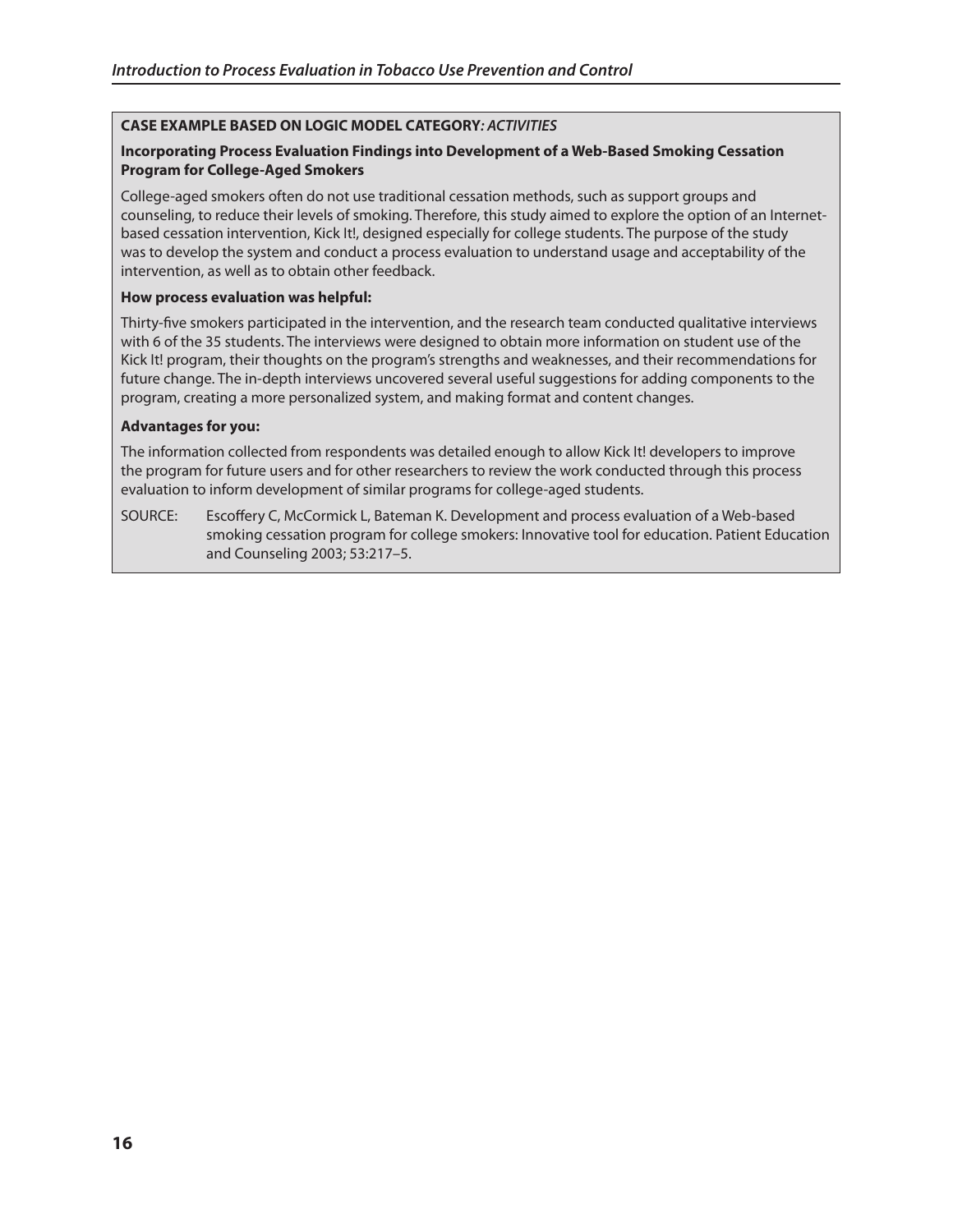## **CAsE ExAmPlE BAsEd on logIC modEl CATEgoRY***: ACTIVITIES*

## **Incorporating Process Evaluation Findings into development of a web-Based smoking Cessation Program for College-Aged smokers**

College-aged smokers often do not use traditional cessation methods, such as support groups and counseling, to reduce their levels of smoking. Therefore, this study aimed to explore the option of an Internetbased cessation intervention, Kick It!, designed especially for college students. The purpose of the study was to develop the system and conduct a process evaluation to understand usage and acceptability of the intervention, as well as to obtain other feedback.

#### **how process evaluation was helpful:**

Thirty-five smokers participated in the intervention, and the research team conducted qualitative interviews with 6 of the 35 students. The interviews were designed to obtain more information on student use of the Kick It! program, their thoughts on the program's strengths and weaknesses, and their recommendations for future change. The in-depth interviews uncovered several useful suggestions for adding components to the program, creating a more personalized system, and making format and content changes.

## **Advantages for you:**

The information collected from respondents was detailed enough to allow Kick It! developers to improve the program for future users and for other researchers to review the work conducted through this process evaluation to inform development of similar programs for college-aged students.

SOURCE: Escoffery C, McCormick L, Bateman K. Development and process evaluation of a Web-based smoking cessation program for college smokers: Innovative tool for education. Patient Education and Counseling 2003; 53:217–5.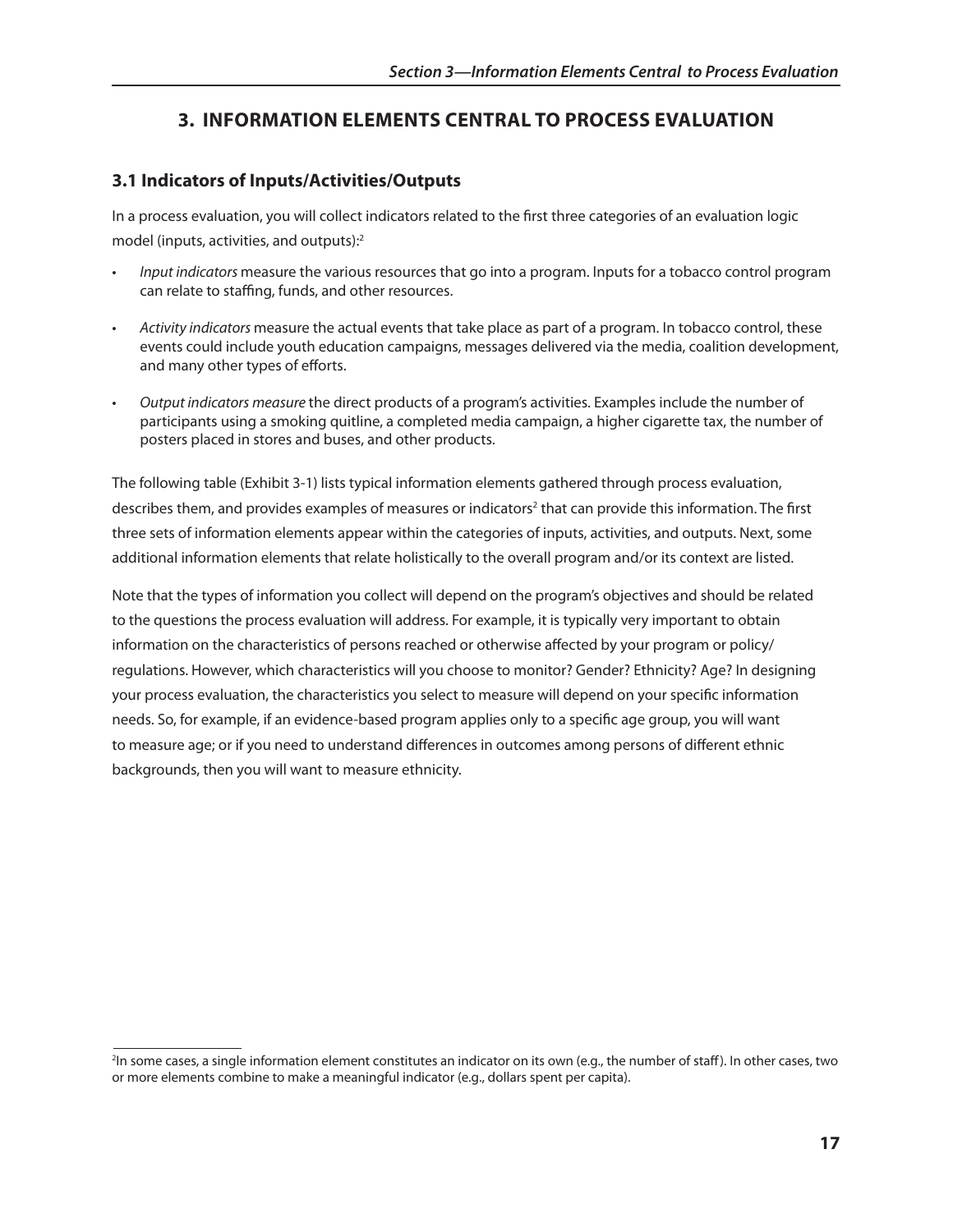## **3. InFoRmATIon ElEmEnTs CEnTRAl To PRoCEss EvAlUATIon**

## **3.1 Indicators of Inputs/Activities/outputs**

In a process evaluation, you will collect indicators related to the first three categories of an evaluation logic model (inputs, activities, and outputs):2

- Input indicators measure the various resources that go into a program. Inputs for a tobacco control program can relate to staffing, funds, and other resources.
- • *Activity indicators* measure the actual events that take place as part of a program. In tobacco control, these events could include youth education campaigns, messages delivered via the media, coalition development, and many other types of efforts.
- • *Output indicators measure* the direct products of a program's activities. Examples include the number of participants using a smoking quitline, a completed media campaign, a higher cigarette tax, the number of posters placed in stores and buses, and other products.

The following table (Exhibit 3-1) lists typical information elements gathered through process evaluation, describes them, and provides examples of measures or indicators<sup>2</sup> that can provide this information. The first three sets of information elements appear within the categories of inputs, activities, and outputs. Next, some additional information elements that relate holistically to the overall program and/or its context are listed.

Note that the types of information you collect will depend on the program's objectives and should be related to the questions the process evaluation will address. For example, it is typically very important to obtain information on the characteristics of persons reached or otherwise affected by your program or policy/ regulations. However, which characteristics will you choose to monitor? Gender? Ethnicity? Age? In designing your process evaluation, the characteristics you select to measure will depend on your specific information needs. So, for example, if an evidence-based program applies only to a specific age group, you will want to measure age; or if you need to understand differences in outcomes among persons of different ethnic backgrounds, then you will want to measure ethnicity.

<sup>&</sup>lt;sup>2</sup>In some cases, a single information element constitutes an indicator on its own (e.g., the number of staff). In other cases, two or more elements combine to make a meaningful indicator (e.g., dollars spent per capita).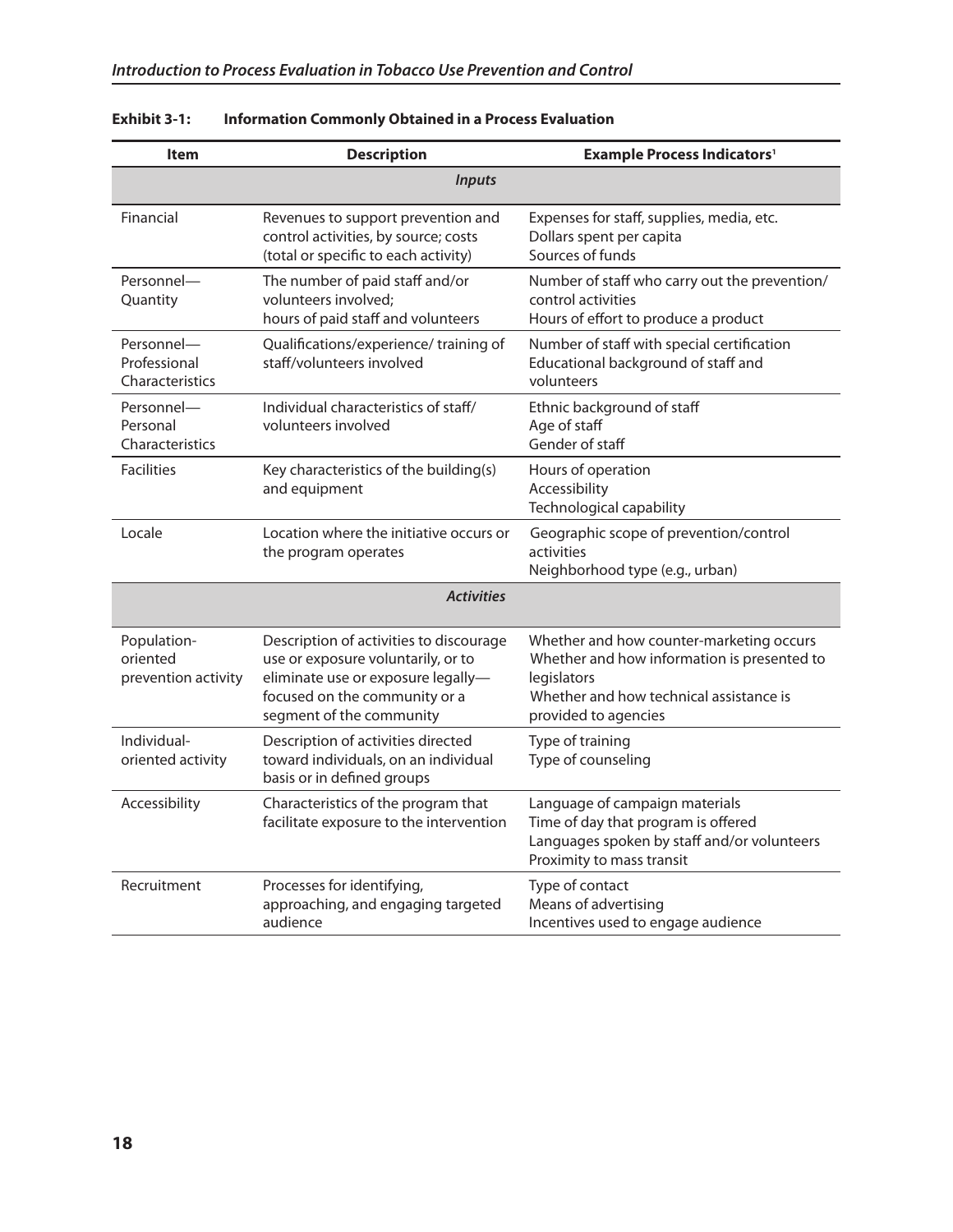| <b>Item</b>                                    | <b>Description</b>                                                                                                                                                               | <b>Example Process Indicators<sup>1</sup></b>                                                                                                                             |
|------------------------------------------------|----------------------------------------------------------------------------------------------------------------------------------------------------------------------------------|---------------------------------------------------------------------------------------------------------------------------------------------------------------------------|
|                                                | <b>Inputs</b>                                                                                                                                                                    |                                                                                                                                                                           |
| Financial                                      | Revenues to support prevention and<br>control activities, by source; costs<br>(total or specific to each activity)                                                               | Expenses for staff, supplies, media, etc.<br>Dollars spent per capita<br>Sources of funds                                                                                 |
| Personnel-<br>Quantity                         | The number of paid staff and/or<br>volunteers involved;<br>hours of paid staff and volunteers                                                                                    | Number of staff who carry out the prevention/<br>control activities<br>Hours of effort to produce a product                                                               |
| Personnel-<br>Professional<br>Characteristics  | Qualifications/experience/ training of<br>staff/volunteers involved                                                                                                              | Number of staff with special certification<br>Educational background of staff and<br>volunteers                                                                           |
| Personnel-<br>Personal<br>Characteristics      | Individual characteristics of staff/<br>volunteers involved                                                                                                                      | Ethnic background of staff<br>Age of staff<br>Gender of staff                                                                                                             |
| <b>Facilities</b>                              | Key characteristics of the building(s)<br>and equipment                                                                                                                          | Hours of operation<br>Accessibility<br>Technological capability                                                                                                           |
| Locale                                         | Location where the initiative occurs or<br>the program operates                                                                                                                  | Geographic scope of prevention/control<br>activities<br>Neighborhood type (e.g., urban)                                                                                   |
|                                                | <b>Activities</b>                                                                                                                                                                |                                                                                                                                                                           |
| Population-<br>oriented<br>prevention activity | Description of activities to discourage<br>use or exposure voluntarily, or to<br>eliminate use or exposure legally-<br>focused on the community or a<br>segment of the community | Whether and how counter-marketing occurs<br>Whether and how information is presented to<br>legislators<br>Whether and how technical assistance is<br>provided to agencies |
| Individual-<br>oriented activity               | Description of activities directed<br>toward individuals, on an individual<br>basis or in defined groups                                                                         | Type of training<br>Type of counseling                                                                                                                                    |
| Accessibility                                  | Characteristics of the program that<br>facilitate exposure to the intervention                                                                                                   | Language of campaign materials<br>Time of day that program is offered<br>Languages spoken by staff and/or volunteers<br>Proximity to mass transit                         |
| Recruitment                                    | Processes for identifying,<br>approaching, and engaging targeted<br>audience                                                                                                     | Type of contact<br>Means of advertising<br>Incentives used to engage audience                                                                                             |

## **Exhibit 3-1: Information Commonly obtained in a Process Evaluation**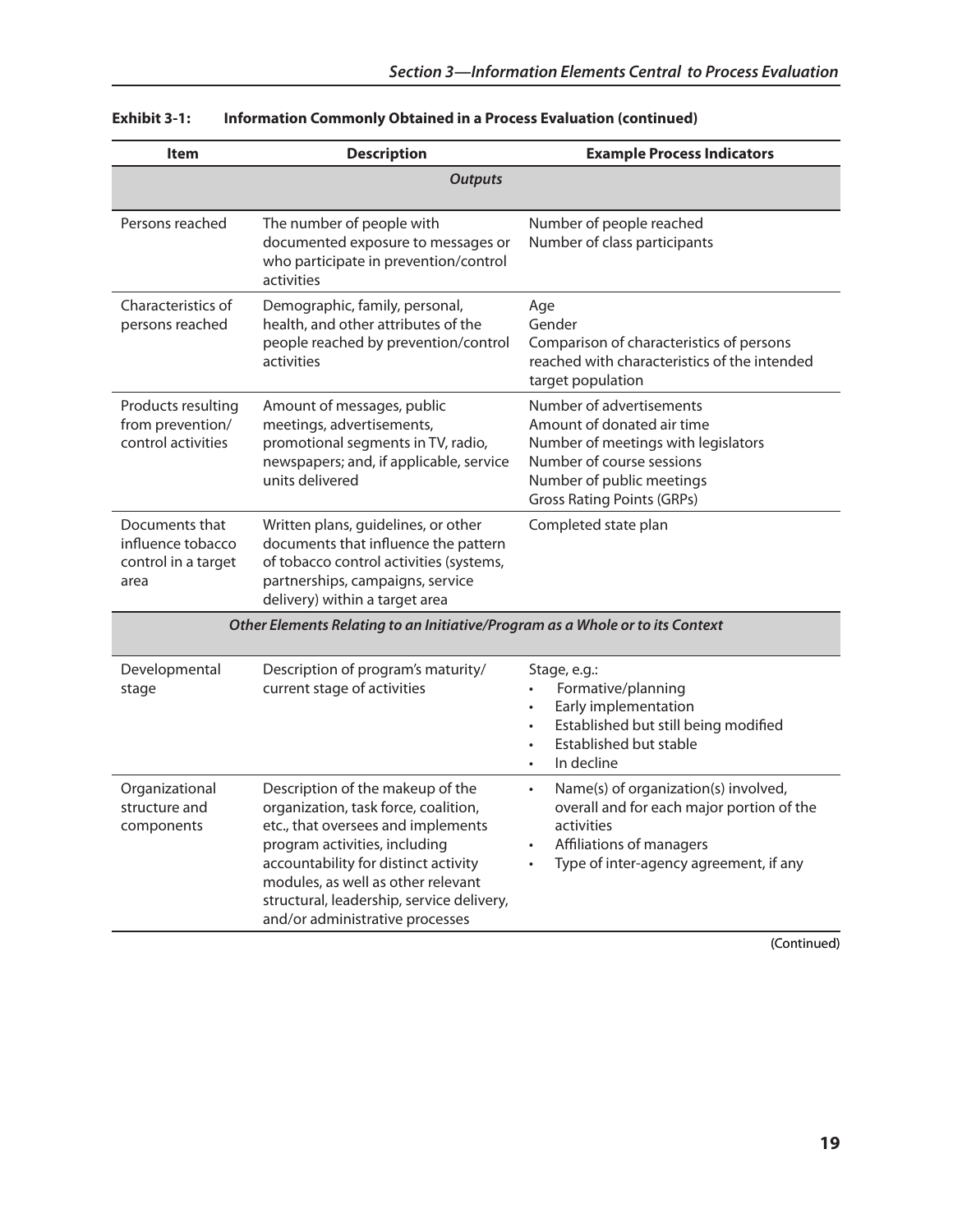| <b>Item</b>                                                                   | <b>Description</b>                                                                                                                                                                                                                                                                                            | <b>Example Process Indicators</b>                                                                                                                                                               |
|-------------------------------------------------------------------------------|---------------------------------------------------------------------------------------------------------------------------------------------------------------------------------------------------------------------------------------------------------------------------------------------------------------|-------------------------------------------------------------------------------------------------------------------------------------------------------------------------------------------------|
|                                                                               | <b>Outputs</b>                                                                                                                                                                                                                                                                                                |                                                                                                                                                                                                 |
| Persons reached                                                               | The number of people with<br>documented exposure to messages or<br>who participate in prevention/control<br>activities                                                                                                                                                                                        | Number of people reached<br>Number of class participants                                                                                                                                        |
| Characteristics of<br>persons reached                                         | Demographic, family, personal,<br>health, and other attributes of the<br>people reached by prevention/control<br>activities                                                                                                                                                                                   | Age<br>Gender<br>Comparison of characteristics of persons<br>reached with characteristics of the intended<br>target population                                                                  |
| Products resulting<br>from prevention/<br>control activities                  | Amount of messages, public<br>meetings, advertisements,<br>promotional segments in TV, radio,<br>newspapers; and, if applicable, service<br>units delivered                                                                                                                                                   | Number of advertisements<br>Amount of donated air time<br>Number of meetings with legislators<br>Number of course sessions<br>Number of public meetings<br><b>Gross Rating Points (GRPs)</b>    |
| Documents that<br>influence tobacco<br>control in a target<br>area            | Written plans, guidelines, or other<br>documents that influence the pattern<br>of tobacco control activities (systems,<br>partnerships, campaigns, service<br>delivery) within a target area                                                                                                                  | Completed state plan                                                                                                                                                                            |
| Other Elements Relating to an Initiative/Program as a Whole or to its Context |                                                                                                                                                                                                                                                                                                               |                                                                                                                                                                                                 |
| Developmental<br>stage                                                        | Description of program's maturity/<br>current stage of activities                                                                                                                                                                                                                                             | Stage, e.g.:<br>Formative/planning<br>Early implementation<br>$\bullet$<br>Established but still being modified<br>$\bullet$<br>Established but stable<br>$\bullet$<br>In decline               |
| Organizational<br>structure and<br>components                                 | Description of the makeup of the<br>organization, task force, coalition,<br>etc., that oversees and implements<br>program activities, including<br>accountability for distinct activity<br>modules, as well as other relevant<br>structural, leadership, service delivery,<br>and/or administrative processes | Name(s) of organization(s) involved,<br>$\bullet$<br>overall and for each major portion of the<br>activities<br>Affiliations of managers<br>Type of inter-agency agreement, if any<br>$\bullet$ |

| <b>Exhibit 3-1:</b> |  | Information Commonly Obtained in a Process Evaluation (continued) |
|---------------------|--|-------------------------------------------------------------------|
|---------------------|--|-------------------------------------------------------------------|

(Continued)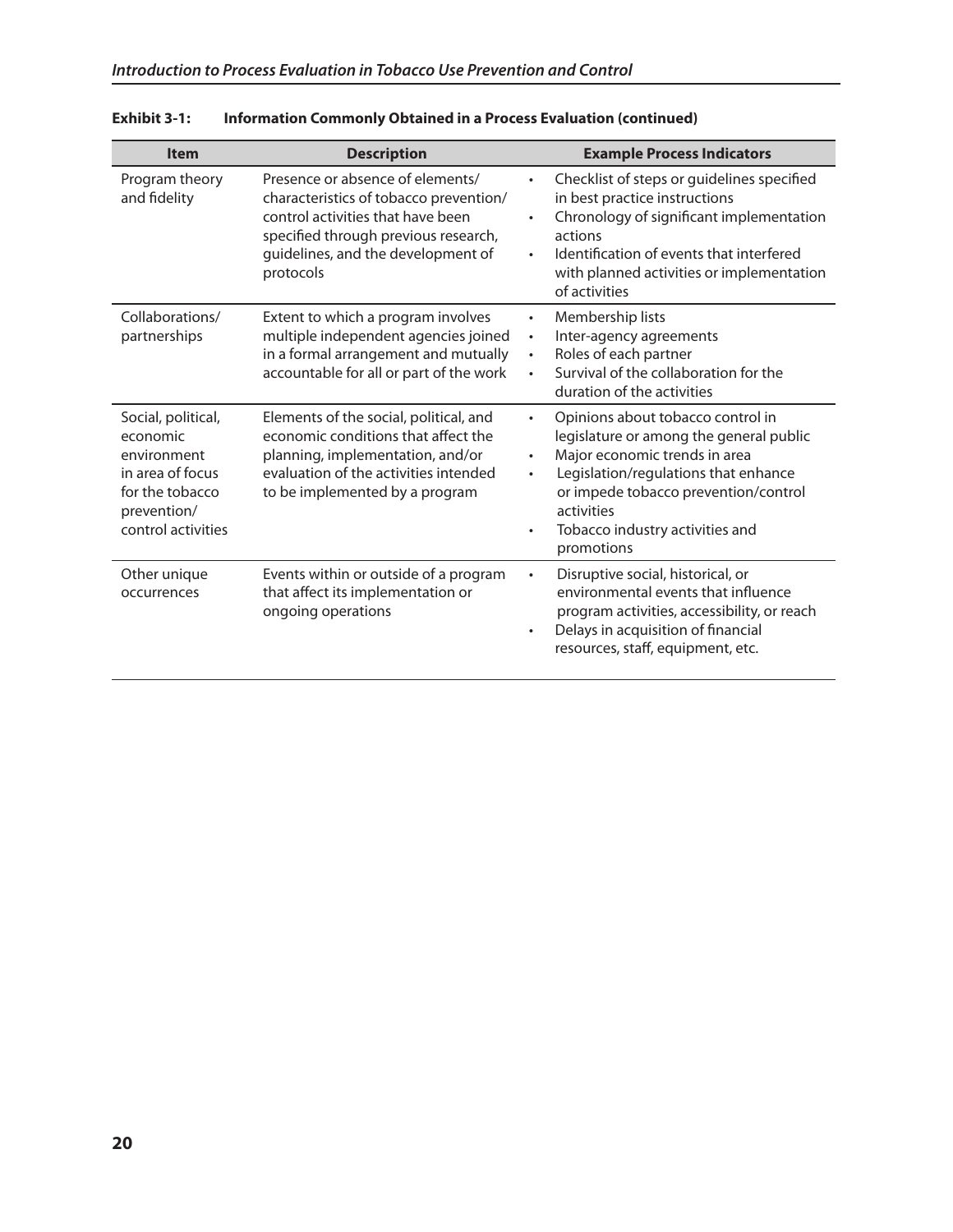| <b>Item</b>                                                                                                               | <b>Description</b>                                                                                                                                                                                         | <b>Example Process Indicators</b>                                                                                                                                                                                                                                                                                |
|---------------------------------------------------------------------------------------------------------------------------|------------------------------------------------------------------------------------------------------------------------------------------------------------------------------------------------------------|------------------------------------------------------------------------------------------------------------------------------------------------------------------------------------------------------------------------------------------------------------------------------------------------------------------|
| Program theory<br>and fidelity                                                                                            | Presence or absence of elements/<br>characteristics of tobacco prevention/<br>control activities that have been<br>specified through previous research,<br>guidelines, and the development of<br>protocols | Checklist of steps or guidelines specified<br>in best practice instructions<br>Chronology of significant implementation<br>$\bullet$<br>actions<br>Identification of events that interfered<br>$\bullet$<br>with planned activities or implementation<br>of activities                                           |
| Collaborations/<br>partnerships                                                                                           | Extent to which a program involves<br>multiple independent agencies joined<br>in a formal arrangement and mutually<br>accountable for all or part of the work                                              | Membership lists<br>$\bullet$<br>Inter-agency agreements<br>$\bullet$<br>Roles of each partner<br>$\bullet$<br>Survival of the collaboration for the<br>duration of the activities                                                                                                                               |
| Social, political,<br>economic<br>environment<br>in area of focus<br>for the tobacco<br>prevention/<br>control activities | Elements of the social, political, and<br>economic conditions that affect the<br>planning, implementation, and/or<br>evaluation of the activities intended<br>to be implemented by a program               | Opinions about tobacco control in<br>$\bullet$<br>legislature or among the general public<br>Major economic trends in area<br>$\bullet$<br>Legislation/regulations that enhance<br>$\bullet$<br>or impede tobacco prevention/control<br>activities<br>Tobacco industry activities and<br>$\bullet$<br>promotions |
| Other unique<br>occurrences                                                                                               | Events within or outside of a program<br>that affect its implementation or<br>ongoing operations                                                                                                           | Disruptive social, historical, or<br>$\bullet$<br>environmental events that influence<br>program activities, accessibility, or reach<br>Delays in acquisition of financial<br>$\bullet$<br>resources, staff, equipment, etc.                                                                                     |

**Exhibit 3-1: Information Commonly obtained in a Process Evaluation (continued)**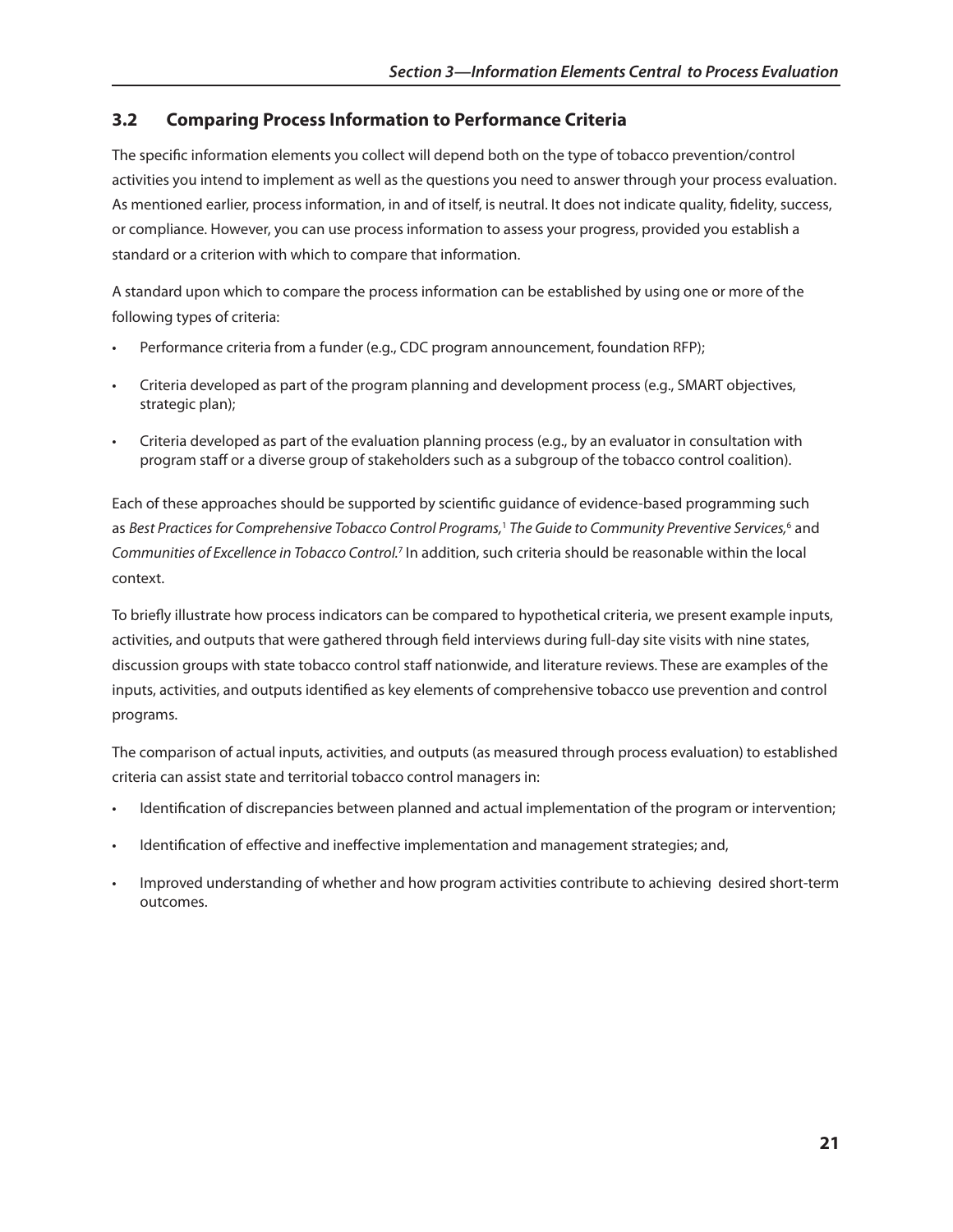## **3.2 Comparing Process Information to Performance Criteria**

The specific information elements you collect will depend both on the type of tobacco prevention/control activities you intend to implement as well as the questions you need to answer through your process evaluation. As mentioned earlier, process information, in and of itself, is neutral. It does not indicate quality, fidelity, success, or compliance. However, you can use process information to assess your progress, provided you establish a standard or a criterion with which to compare that information.

A standard upon which to compare the process information can be established by using one or more of the following types of criteria:

- Performance criteria from a funder (e.g., CDC program announcement, foundation RFP);
- Criteria developed as part of the program planning and development process (e.g., SMART objectives, strategic plan);
- Criteria developed as part of the evaluation planning process (e.g., by an evaluator in consultation with program staff or a diverse group of stakeholders such as a subgroup of the tobacco control coalition).

Each of these approaches should be supported by scientific guidance of evidence-based programming such as Best Practices for Comprehensive Tobacco Control Programs,<sup>1</sup> The Guide to Community Preventive Services,<sup>6</sup> and *Communities of Excellence in Tobacco Control.*7 In addition, such criteria should be reasonable within the local context.

To briefly illustrate how process indicators can be compared to hypothetical criteria, we present example inputs, activities, and outputs that were gathered through field interviews during full-day site visits with nine states, discussion groups with state tobacco control staff nationwide, and literature reviews. These are examples of the inputs, activities, and outputs identified as key elements of comprehensive tobacco use prevention and control programs.

The comparison of actual inputs, activities, and outputs (as measured through process evaluation) to established criteria can assist state and territorial tobacco control managers in:

- Identification of discrepancies between planned and actual implementation of the program or intervention;
- Identification of effective and ineffective implementation and management strategies; and,
- Improved understanding of whether and how program activities contribute to achieving desired short-term outcomes.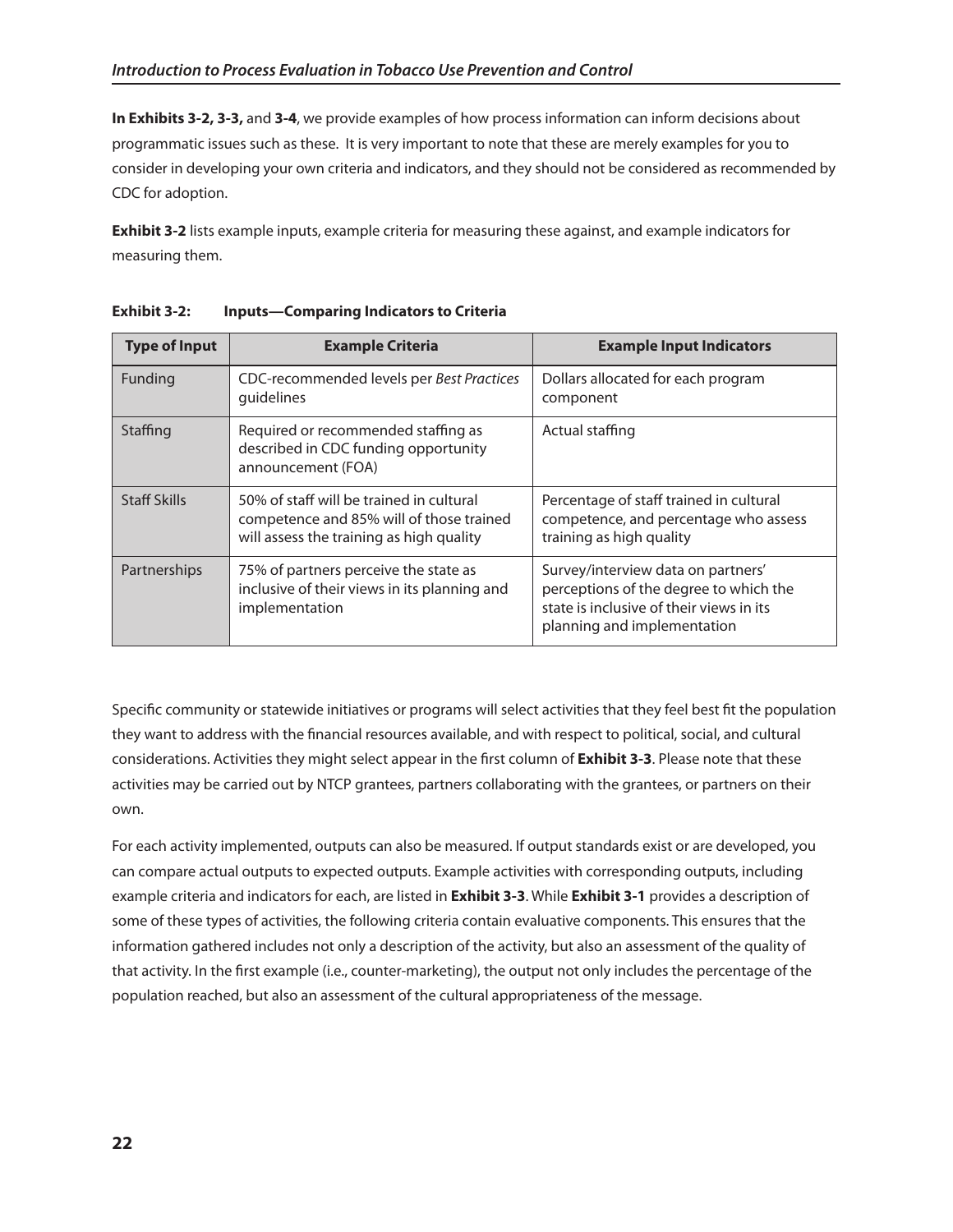**In Exhibits 3-2, 3-3,** and **3-4**, we provide examples of how process information can inform decisions about programmatic issues such as these. It is very important to note that these are merely examples for you to consider in developing your own criteria and indicators, and they should not be considered as recommended by CDC for adoption.

**Exhibit 3-2** lists example inputs, example criteria for measuring these against, and example indicators for measuring them.

| <b>Type of Input</b> | <b>Example Criteria</b>                                                                                                          | <b>Example Input Indicators</b>                                                                                                                         |
|----------------------|----------------------------------------------------------------------------------------------------------------------------------|---------------------------------------------------------------------------------------------------------------------------------------------------------|
| Funding              | CDC-recommended levels per Best Practices<br>guidelines                                                                          | Dollars allocated for each program<br>component                                                                                                         |
| Staffing             | Required or recommended staffing as<br>described in CDC funding opportunity<br>announcement (FOA)                                | Actual staffing                                                                                                                                         |
| <b>Staff Skills</b>  | 50% of staff will be trained in cultural<br>competence and 85% will of those trained<br>will assess the training as high quality | Percentage of staff trained in cultural<br>competence, and percentage who assess<br>training as high quality                                            |
| Partnerships         | 75% of partners perceive the state as<br>inclusive of their views in its planning and<br>implementation                          | Survey/interview data on partners'<br>perceptions of the degree to which the<br>state is inclusive of their views in its<br>planning and implementation |

**Exhibit 3-2: Inputs—Comparing Indicators to Criteria** 

Specific community or statewide initiatives or programs will select activities that they feel best fit the population they want to address with the financial resources available, and with respect to political, social, and cultural considerations. Activities they might select appear in the first column of **Exhibit 3-3**. Please note that these activities may be carried out by NTCP grantees, partners collaborating with the grantees, or partners on their own.

For each activity implemented, outputs can also be measured. If output standards exist or are developed, you can compare actual outputs to expected outputs. Example activities with corresponding outputs, including example criteria and indicators for each, are listed in **Exhibit 3-3**. While **Exhibit 3-1** provides a description of some of these types of activities, the following criteria contain evaluative components. This ensures that the information gathered includes not only a description of the activity, but also an assessment of the quality of that activity. In the first example (i.e., counter-marketing), the output not only includes the percentage of the population reached, but also an assessment of the cultural appropriateness of the message.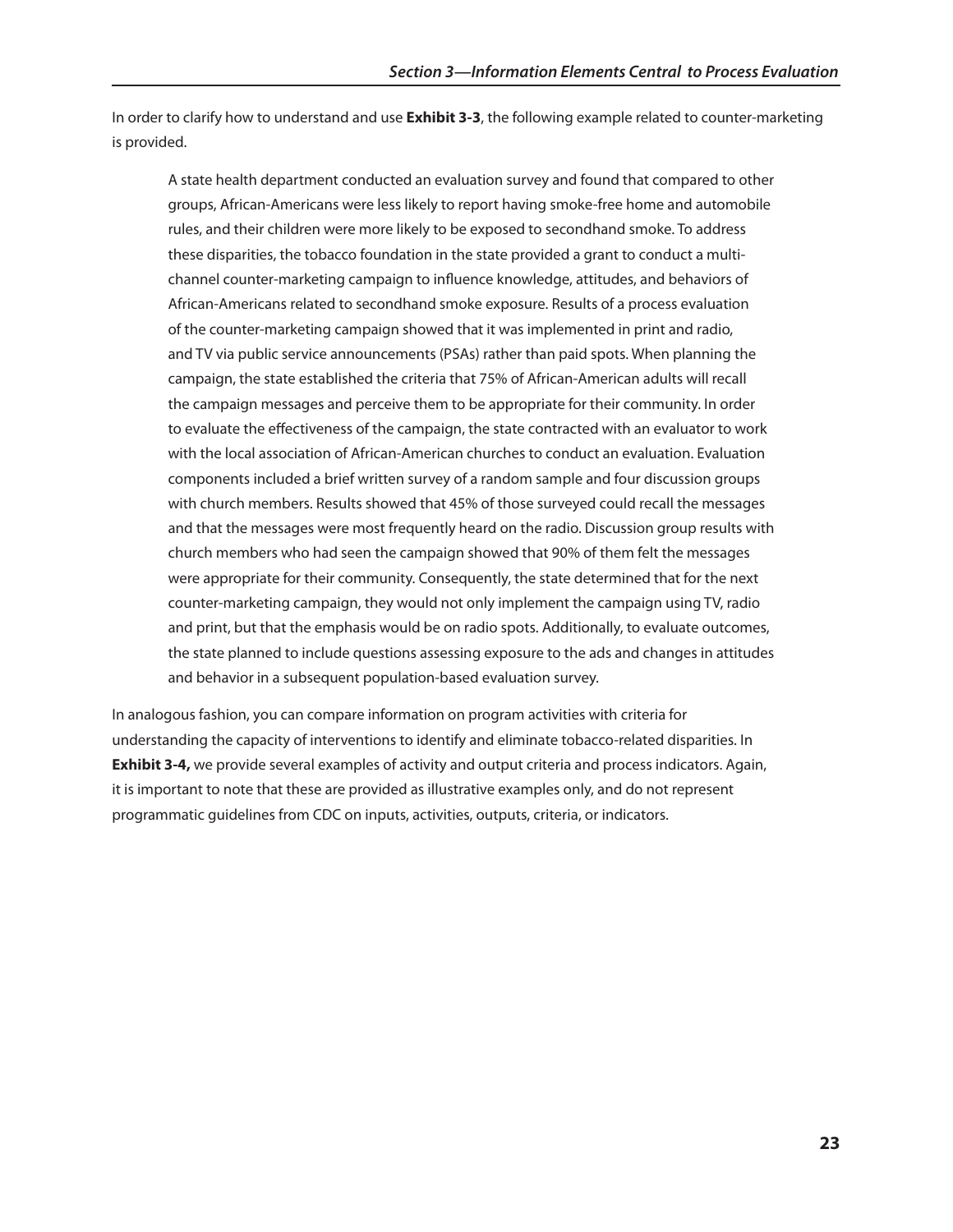In order to clarify how to understand and use **Exhibit 3-3**, the following example related to counter-marketing is provided.

A state health department conducted an evaluation survey and found that compared to other groups, African-Americans were less likely to report having smoke-free home and automobile rules, and their children were more likely to be exposed to secondhand smoke. To address these disparities, the tobacco foundation in the state provided a grant to conduct a multichannel counter-marketing campaign to influence knowledge, attitudes, and behaviors of African-Americans related to secondhand smoke exposure. Results of a process evaluation of the counter-marketing campaign showed that it was implemented in print and radio, and TV via public service announcements (PSAs) rather than paid spots. When planning the campaign, the state established the criteria that 75% of African-American adults will recall the campaign messages and perceive them to be appropriate for their community. In order to evaluate the effectiveness of the campaign, the state contracted with an evaluator to work with the local association of African-American churches to conduct an evaluation. Evaluation components included a brief written survey of a random sample and four discussion groups with church members. Results showed that 45% of those surveyed could recall the messages and that the messages were most frequently heard on the radio. Discussion group results with church members who had seen the campaign showed that 90% of them felt the messages were appropriate for their community. Consequently, the state determined that for the next counter-marketing campaign, they would not only implement the campaign using TV, radio and print, but that the emphasis would be on radio spots. Additionally, to evaluate outcomes, the state planned to include questions assessing exposure to the ads and changes in attitudes and behavior in a subsequent population-based evaluation survey.

In analogous fashion, you can compare information on program activities with criteria for understanding the capacity of interventions to identify and eliminate tobacco-related disparities. In **Exhibit 3-4,** we provide several examples of activity and output criteria and process indicators. Again, it is important to note that these are provided as illustrative examples only, and do not represent programmatic guidelines from CDC on inputs, activities, outputs, criteria, or indicators.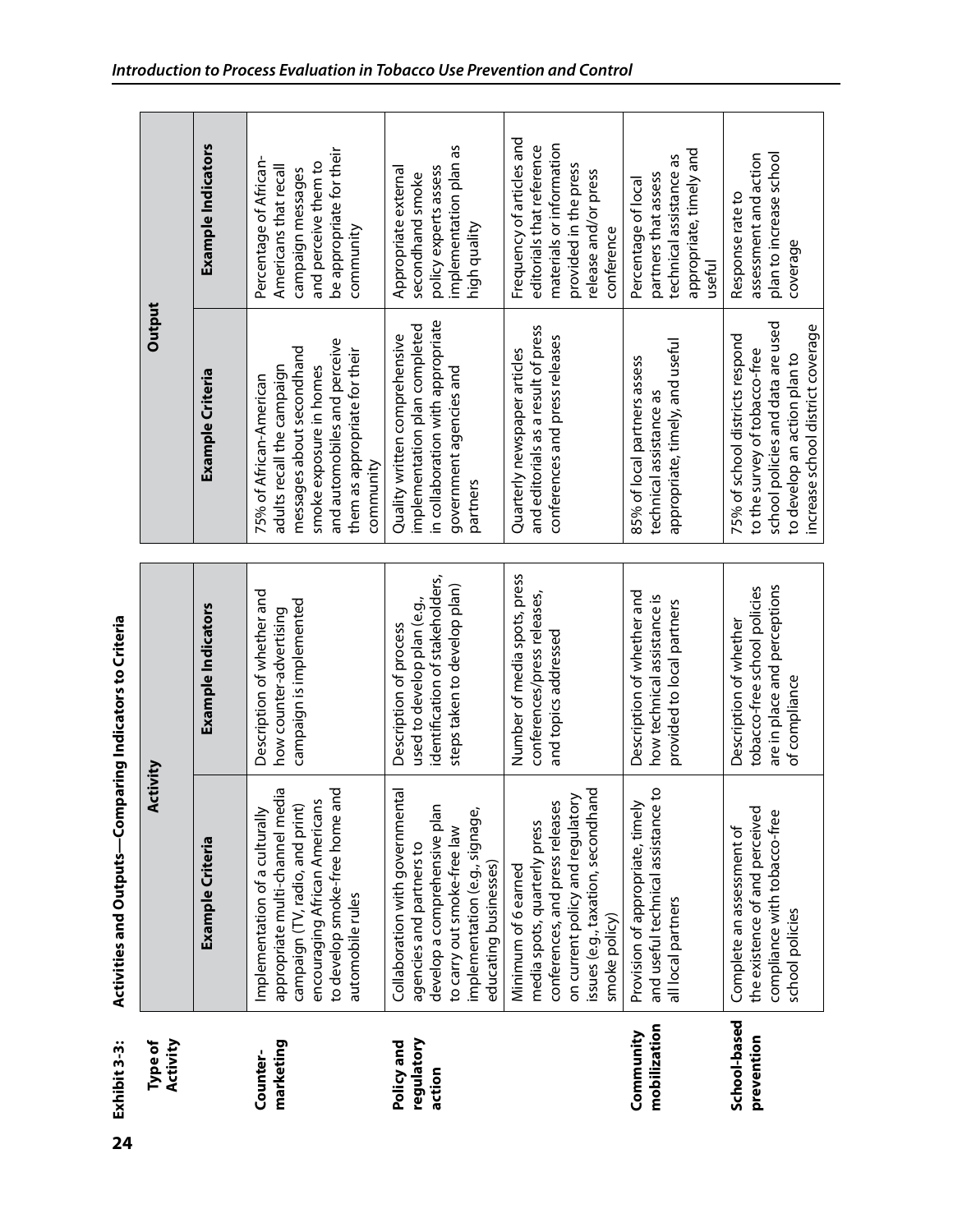Activities and Outputs-Comparing Indicators to Criteria **Exhibit 3-3: Activities and outputs—Comparing Indicators to Criteria** Exhibit 3-3:

| Activity<br>Type of                | Activity                                                                                                                                                                                    |                                                                                                                          | Output                                                                                                                                                                                      |                                                                                                                                                   |
|------------------------------------|---------------------------------------------------------------------------------------------------------------------------------------------------------------------------------------------|--------------------------------------------------------------------------------------------------------------------------|---------------------------------------------------------------------------------------------------------------------------------------------------------------------------------------------|---------------------------------------------------------------------------------------------------------------------------------------------------|
|                                    | Example Criteria                                                                                                                                                                            | Example Indicators                                                                                                       | Example Criteria                                                                                                                                                                            | Example Indicators                                                                                                                                |
| marketing<br>Counter-              | to develop smoke-free home and<br>appropriate multi-channel media<br>encouraging African Americans<br>campaign (TV, radio, and print)<br>Implementation of a culturally<br>automobile rules | Description of whether and<br>campaign is implemented<br>how counter-advertising                                         | and automobiles and perceive<br>messages about secondhand<br>them as appropriate for their<br>adults recall the campaign<br>smoke exposure in homes<br>75% of African-American<br>community | be appropriate for their<br>Percentage of African-<br>and perceive them to<br>Americans that recall<br>campaign messages<br>community             |
| regulatory<br>Policy and<br>action | Collaboration with governmental<br>develop a comprehensive plan<br>implementation (e.g., signage<br>to carry out smoke-free law<br>agencies and partners to<br>educating businesses)        | identification of stakeholders,<br>steps taken to develop plan)<br>used to develop plan (e.g.,<br>Description of process | in collaboration with appropriate<br>implementation plan completed<br>Quality written comprehensive<br>government agencies and<br>partners                                                  | implementation plan as<br>policy experts assess<br>Appropriate external<br>secondhand smoke<br>high quality                                       |
|                                    | issues (e.g., taxation, secondhand<br>on current policy and regulatory<br>conferences, and press releases<br>media spots, quarterly press<br>Minimum of 6 earned<br>smoke policy)           | Number of media spots, press<br>conferences/press releases,<br>and topics addressed                                      | and editorials as a result of press<br>conferences and press releases<br>Quarterly newspaper articles                                                                                       | Frequency of articles and<br>materials or information<br>editorials that reference<br>provided in the press<br>release and/or press<br>conference |
| mobilization<br>Community          | and useful technical assistance to<br>Provision of appropriate, timely<br>all local partners                                                                                                | Description of whether and<br>how technical assistance is<br>provided to local partners                                  | appropriate, timely, and useful<br>85% of local partners assess<br>technical assistance as                                                                                                  | appropriate, timely and<br>technical assistance as<br>partners that assess<br>Percentage of local<br>useful                                       |
| School-based<br>prevention         | the existence of and perceived<br>compliance with tobacco-free<br>Complete an assessment of<br>school policies                                                                              | are in place and perceptions<br>tobacco-free school policies<br>Description of whether<br>of compliance                  | school policies and data are used<br>increase school district coverage<br>75% of school districts respond<br>to the survey of tobacco-free<br>to develop an action plan to                  | plan to increase school<br>assessment and action<br>Response rate to<br>coverage                                                                  |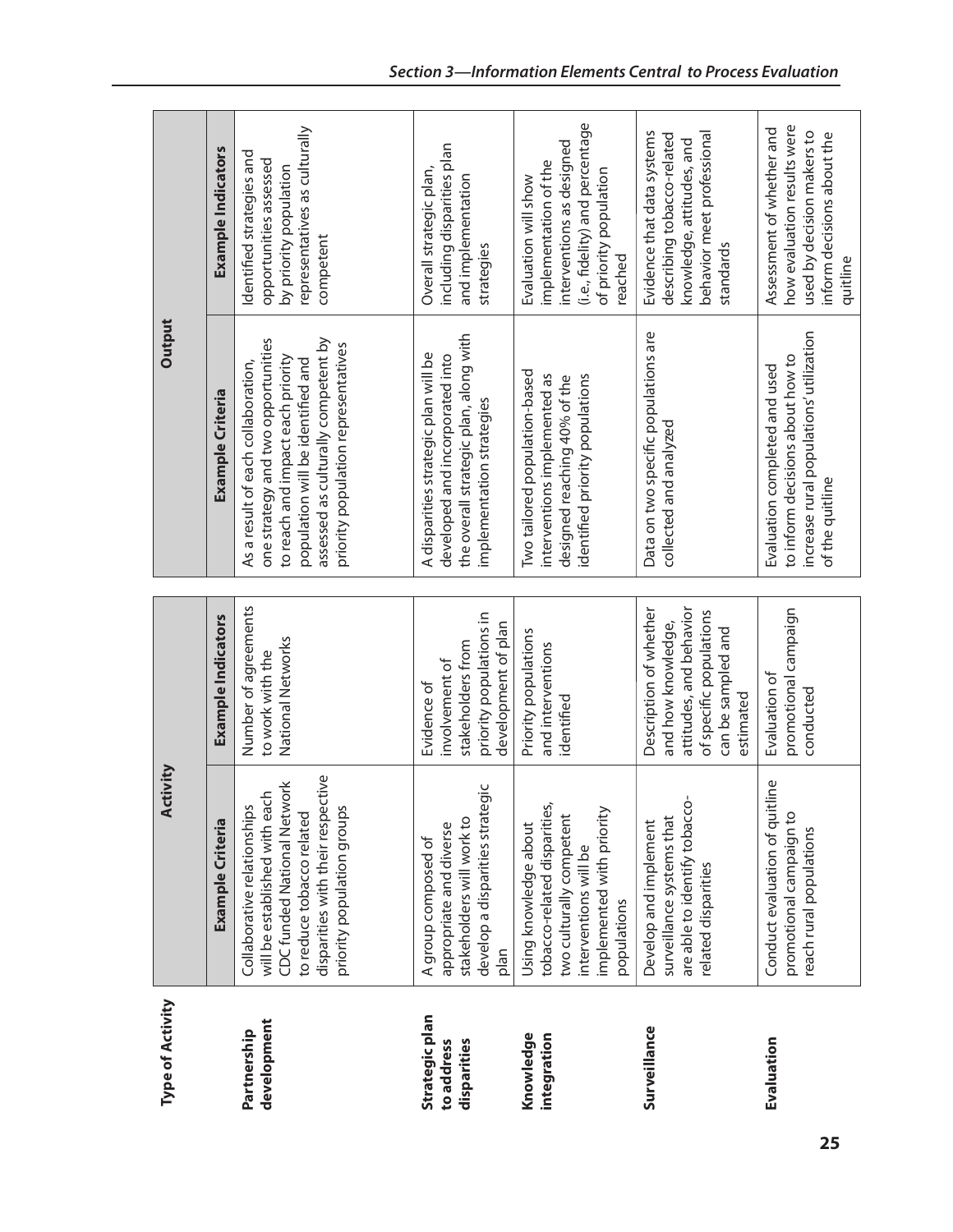| Type of Activity                            | Activity                                                                                                                                                                                           |                                                                                                                                       | Output                                                                                                                                                                                                                           |                                                                                                                                                    |
|---------------------------------------------|----------------------------------------------------------------------------------------------------------------------------------------------------------------------------------------------------|---------------------------------------------------------------------------------------------------------------------------------------|----------------------------------------------------------------------------------------------------------------------------------------------------------------------------------------------------------------------------------|----------------------------------------------------------------------------------------------------------------------------------------------------|
|                                             | <b>Example Criteria</b>                                                                                                                                                                            | Example Indicators                                                                                                                    | <b>Example Criteria</b>                                                                                                                                                                                                          | Example Indicators                                                                                                                                 |
| development<br>Partnership                  | disparities with their respective<br><b>CDC funded National Network</b><br>will be established with each<br>Collaborative relationships<br>priority population groups<br>to reduce tobacco related | Number of agreements<br>National Networks<br>to work with the                                                                         | assessed as culturally competent by<br>one strategy and two opportunities<br>priority population representatives<br>to reach and impact each priority<br>population will be identified and<br>As a result of each collaboration, | representatives as culturally<br>Identified strategies and<br>opportunities assessed<br>by priority population<br>competent                        |
| Strategic plan<br>disparities<br>to address | develop a disparities strategic<br>stakeholders will work to<br>appropriate and diverse<br>A group composed of<br>plan                                                                             | priority populations in<br>development of plan<br>stakeholders from<br>involvement of<br>Evidence of                                  | the overall strategic plan, along with<br>A disparities strategic plan will be<br>developed and incorporated into<br>implementation strategies                                                                                   | including disparities plan<br>Overall strategic plan,<br>and implementation<br>strategies                                                          |
| Knowledge<br>integration                    | tobacco-related disparities,<br>implemented with priority<br>two culturally competent<br>Using knowledge about<br>interventions will be<br>populations                                             | Priority populations<br>and interventions<br>identified                                                                               | Two tailored population-based<br>interventions implemented as<br>identified priority populations<br>designed reaching 40% of the                                                                                                 | (i.e., fidelity) and percentage<br>interventions as designed<br>implementation of the<br>of priority population<br>Evaluation will show<br>reached |
| Surveillance                                | are able to identify tobacco-<br>surveillance systems that<br>Develop and implement<br>related disparities                                                                                         | Description of whether<br>attitudes, and behavior<br>of specific populations<br>and how knowledge,<br>can be sampled and<br>estimated | Data on two specific populations are<br>collected and analyzed                                                                                                                                                                   | behavior meet professional<br>Evidence that data systems<br>describing tobacco-related<br>knowledge, attitudes, and<br>standards                   |
| Evaluation                                  | line<br>Conduct evaluation of quit<br>promotional campaign to<br>reach rural populations                                                                                                           | promotional campaign<br>Evaluation of<br>conducted                                                                                    | increase rural populations' utilization<br>to inform decisions about how to<br>Evaluation completed and used<br>of the quitline                                                                                                  | how evaluation results were<br>Assessment of whether and<br>used by decision makers to<br>inform decisions about the<br>quitline                   |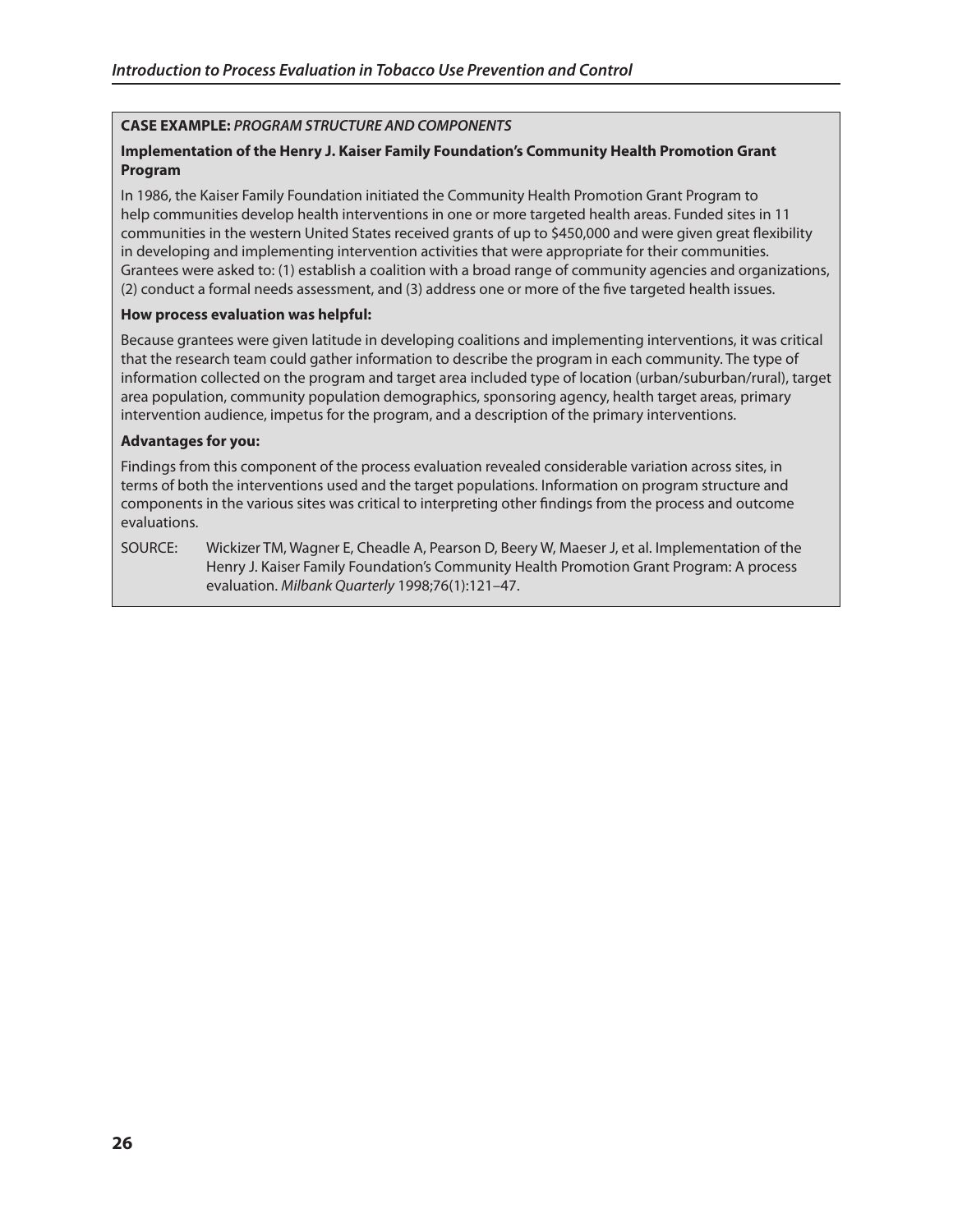## **CAsE ExAmPlE:** *PROGRAM STRUCTURE AND COMPONENTS*

## **Implementation of the henry J. kaiser Family Foundation's Community health Promotion grant Program**

In 1986, the Kaiser Family Foundation initiated the Community Health Promotion Grant Program to help communities develop health interventions in one or more targeted health areas. Funded sites in 11 communities in the western United States received grants of up to \$450,000 and were given great flexibility in developing and implementing intervention activities that were appropriate for their communities. Grantees were asked to: (1) establish a coalition with a broad range of community agencies and organizations, (2) conduct a formal needs assessment, and (3) address one or more of the five targeted health issues.

#### **how process evaluation was helpful:**

Because grantees were given latitude in developing coalitions and implementing interventions, it was critical that the research team could gather information to describe the program in each community. The type of information collected on the program and target area included type of location (urban/suburban/rural), target area population, community population demographics, sponsoring agency, health target areas, primary intervention audience, impetus for the program, and a description of the primary interventions.

#### **Advantages for you:**

Findings from this component of the process evaluation revealed considerable variation across sites, in terms of both the interventions used and the target populations. Information on program structure and components in the various sites was critical to interpreting other findings from the process and outcome evaluations.

SOURCE: Wickizer TM, Wagner E, Cheadle A, Pearson D, Beery W, Maeser J, et al. Implementation of the Henry J. Kaiser Family Foundation's Community Health Promotion Grant Program: A process evaluation. *Milbank Quarterly* 1998;76(1):121–47.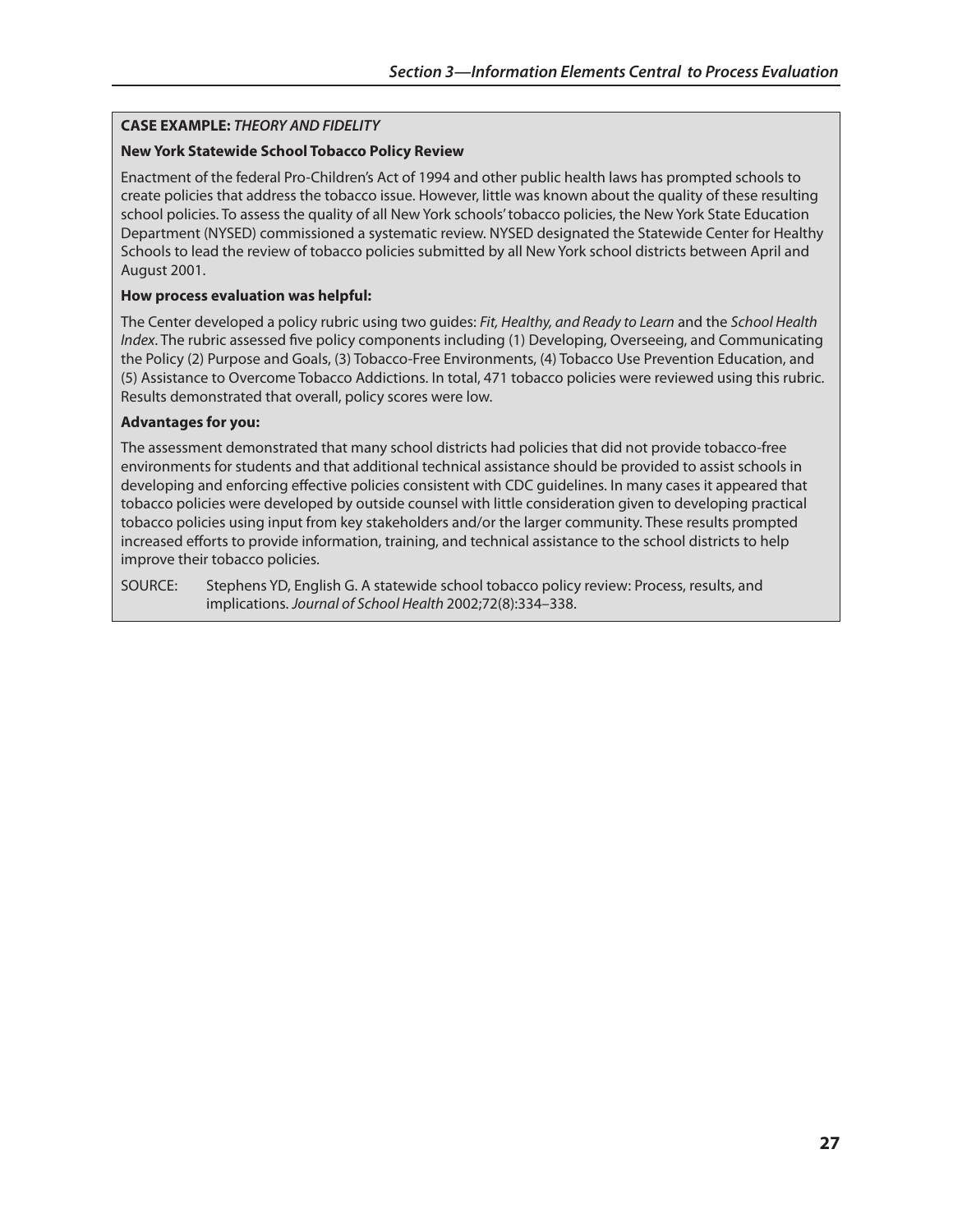## **CAsE ExAmPlE:** *THEORY AND FIDELITY*

#### **new York statewide school Tobacco Policy Review**

Enactment of the federal Pro-Children's Act of 1994 and other public health laws has prompted schools to create policies that address the tobacco issue. However, little was known about the quality of these resulting school policies. To assess the quality of all New York schools' tobacco policies, the New York State Education Department (NYSED) commissioned a systematic review. NYSED designated the Statewide Center for Healthy Schools to lead the review of tobacco policies submitted by all New York school districts between April and August 2001.

#### **how process evaluation was helpful:**

The Center developed a policy rubric using two guides: *Fit, Healthy, and Ready to Learn* and the *School Health Index*. The rubric assessed five policy components including (1) Developing, Overseeing, and Communicating the Policy (2) Purpose and Goals, (3) Tobacco-Free Environments, (4) Tobacco Use Prevention Education, and (5) Assistance to Overcome Tobacco Addictions. In total, 471 tobacco policies were reviewed using this rubric. Results demonstrated that overall, policy scores were low.

#### **Advantages for you:**

The assessment demonstrated that many school districts had policies that did not provide tobacco-free environments for students and that additional technical assistance should be provided to assist schools in developing and enforcing effective policies consistent with CDC guidelines. In many cases it appeared that tobacco policies were developed by outside counsel with little consideration given to developing practical tobacco policies using input from key stakeholders and/or the larger community. These results prompted increased efforts to provide information, training, and technical assistance to the school districts to help improve their tobacco policies.

SOURCE: Stephens YD, English G. A statewide school tobacco policy review: Process, results, and implications. *Journal of School Health* 2002;72(8):334–338.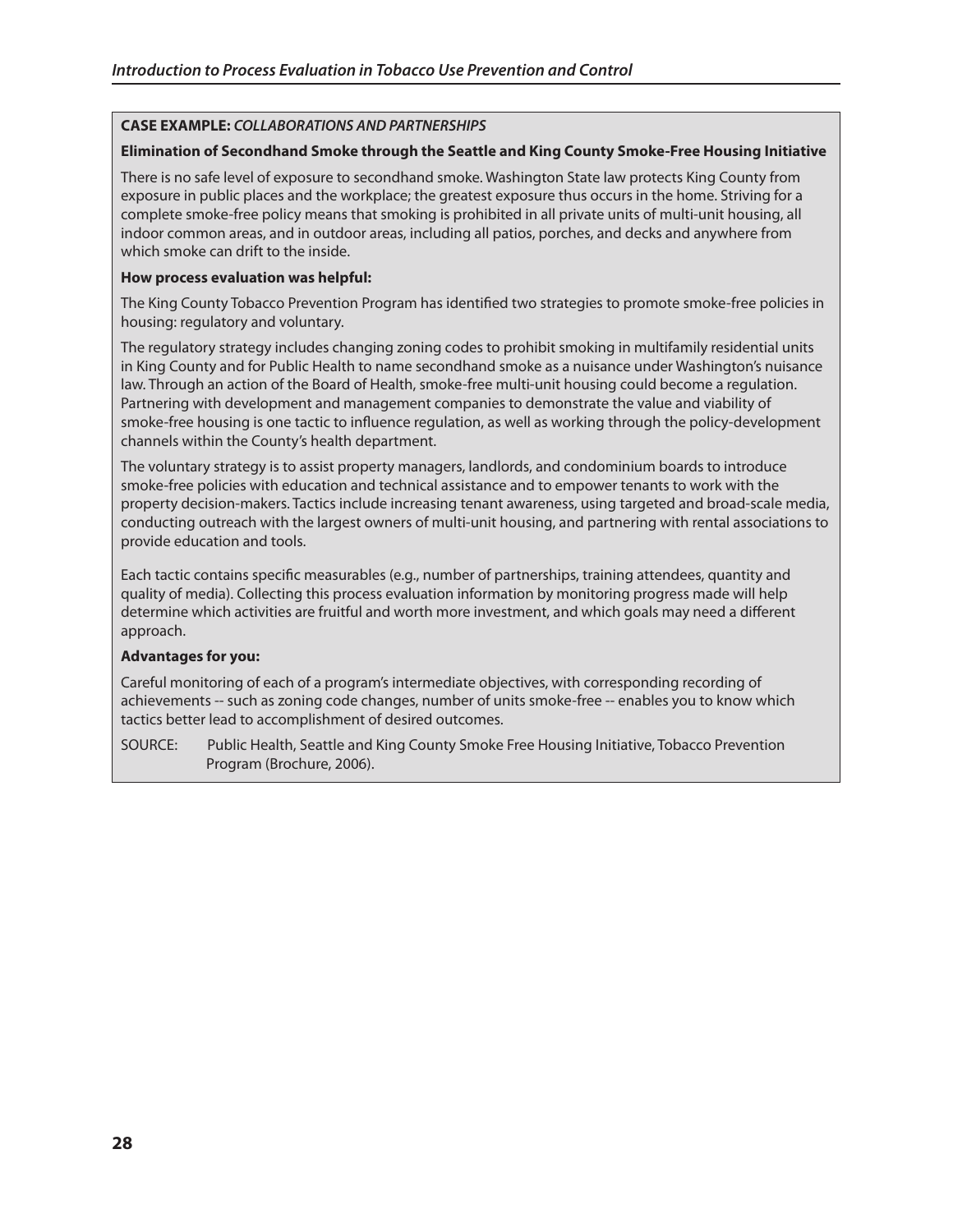## **CAsE ExAmPlE:** *COLLABORATIONS AND PARTNERSHIPS*

#### **Elimination of secondhand smoke through the seattle and king County smoke-Free housing Initiative**

There is no safe level of exposure to secondhand smoke. Washington State law protects King County from exposure in public places and the workplace; the greatest exposure thus occurs in the home. Striving for a complete smoke-free policy means that smoking is prohibited in all private units of multi-unit housing, all indoor common areas, and in outdoor areas, including all patios, porches, and decks and anywhere from which smoke can drift to the inside.

#### **how process evaluation was helpful:**

The King County Tobacco Prevention Program has identified two strategies to promote smoke-free policies in housing: regulatory and voluntary.

The regulatory strategy includes changing zoning codes to prohibit smoking in multifamily residential units in King County and for Public Health to name secondhand smoke as a nuisance under Washington's nuisance law. Through an action of the Board of Health, smoke-free multi-unit housing could become a regulation. Partnering with development and management companies to demonstrate the value and viability of smoke-free housing is one tactic to influence regulation, as well as working through the policy-development channels within the County's health department.

The voluntary strategy is to assist property managers, landlords, and condominium boards to introduce smoke-free policies with education and technical assistance and to empower tenants to work with the property decision-makers. Tactics include increasing tenant awareness, using targeted and broad-scale media, conducting outreach with the largest owners of multi-unit housing, and partnering with rental associations to provide education and tools.

Each tactic contains specific measurables (e.g., number of partnerships, training attendees, quantity and quality of media). Collecting this process evaluation information by monitoring progress made will help determine which activities are fruitful and worth more investment, and which goals may need a different approach.

#### **Advantages for you:**

Careful monitoring of each of a program's intermediate objectives, with corresponding recording of achievements -- such as zoning code changes, number of units smoke-free -- enables you to know which tactics better lead to accomplishment of desired outcomes.

SOURCE: Public Health, Seattle and King County Smoke Free Housing Initiative, Tobacco Prevention Program (Brochure, 2006).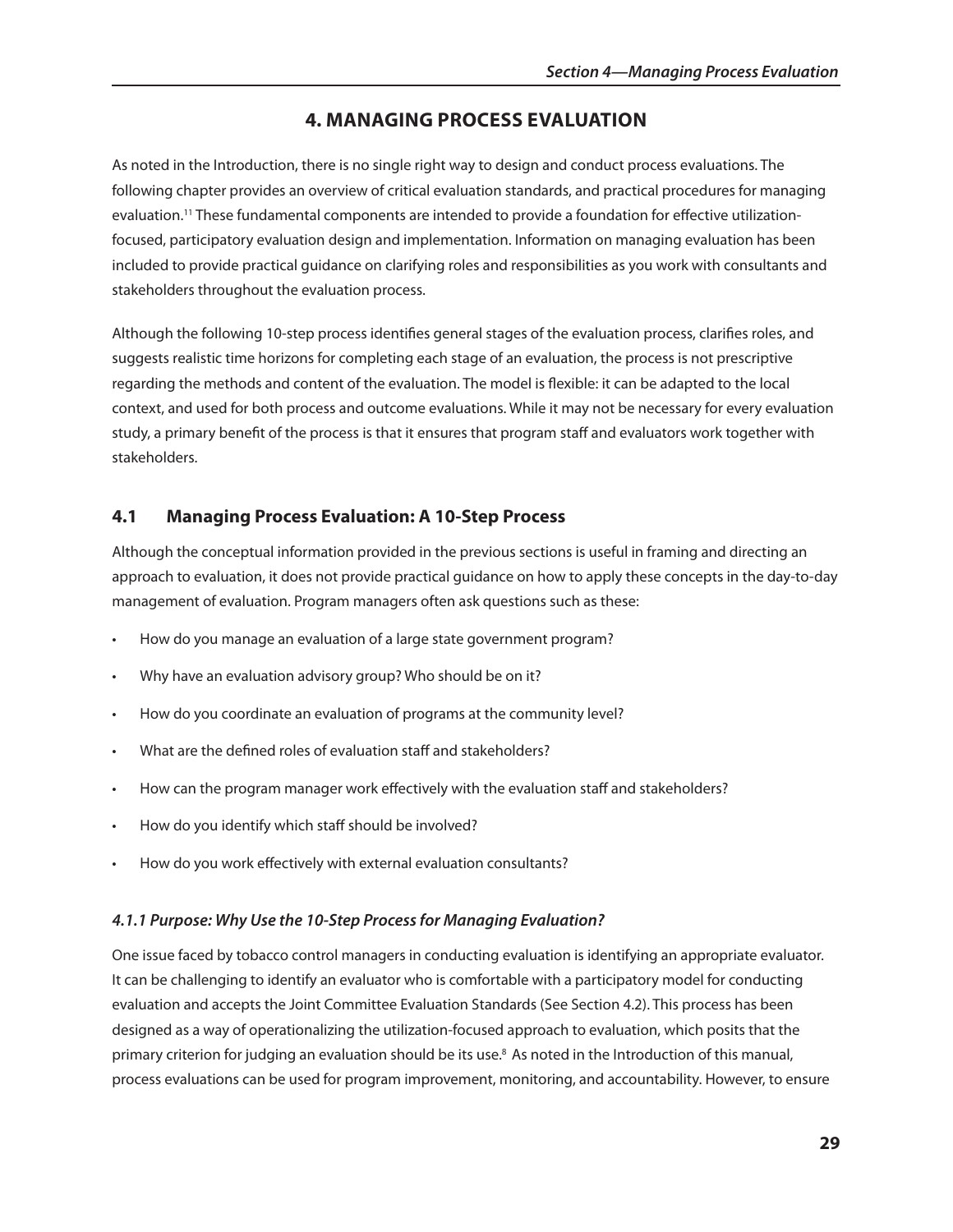## **4. mAnAgIng PRoCEss EvAlUATIon**

As noted in the Introduction, there is no single right way to design and conduct process evaluations. The following chapter provides an overview of critical evaluation standards, and practical procedures for managing evaluation.<sup>11</sup> These fundamental components are intended to provide a foundation for effective utilizationfocused, participatory evaluation design and implementation. Information on managing evaluation has been included to provide practical guidance on clarifying roles and responsibilities as you work with consultants and stakeholders throughout the evaluation process.

Although the following 10-step process identifies general stages of the evaluation process, clarifies roles, and suggests realistic time horizons for completing each stage of an evaluation, the process is not prescriptive regarding the methods and content of the evaluation. The model is flexible: it can be adapted to the local context, and used for both process and outcome evaluations. While it may not be necessary for every evaluation study, a primary benefit of the process is that it ensures that program staff and evaluators work together with stakeholders.

## **4.1 managing Process Evaluation: A 10-step Process**

Although the conceptual information provided in the previous sections is useful in framing and directing an approach to evaluation, it does not provide practical guidance on how to apply these concepts in the day-to-day management of evaluation. Program managers often ask questions such as these:

- How do you manage an evaluation of a large state government program?
- Why have an evaluation advisory group? Who should be on it?
- How do you coordinate an evaluation of programs at the community level?
- What are the defined roles of evaluation staff and stakeholders?
- How can the program manager work effectively with the evaluation staff and stakeholders?
- How do you identify which staff should be involved?
- How do you work effectively with external evaluation consultants?

#### *4.1.1 Purpose: Why Use the 10-Step Process for Managing Evaluation?*

One issue faced by tobacco control managers in conducting evaluation is identifying an appropriate evaluator. It can be challenging to identify an evaluator who is comfortable with a participatory model for conducting evaluation and accepts the Joint Committee Evaluation Standards (See Section 4.2). This process has been designed as a way of operationalizing the utilization-focused approach to evaluation, which posits that the primary criterion for judging an evaluation should be its use.8 As noted in the Introduction of this manual, process evaluations can be used for program improvement, monitoring, and accountability. However, to ensure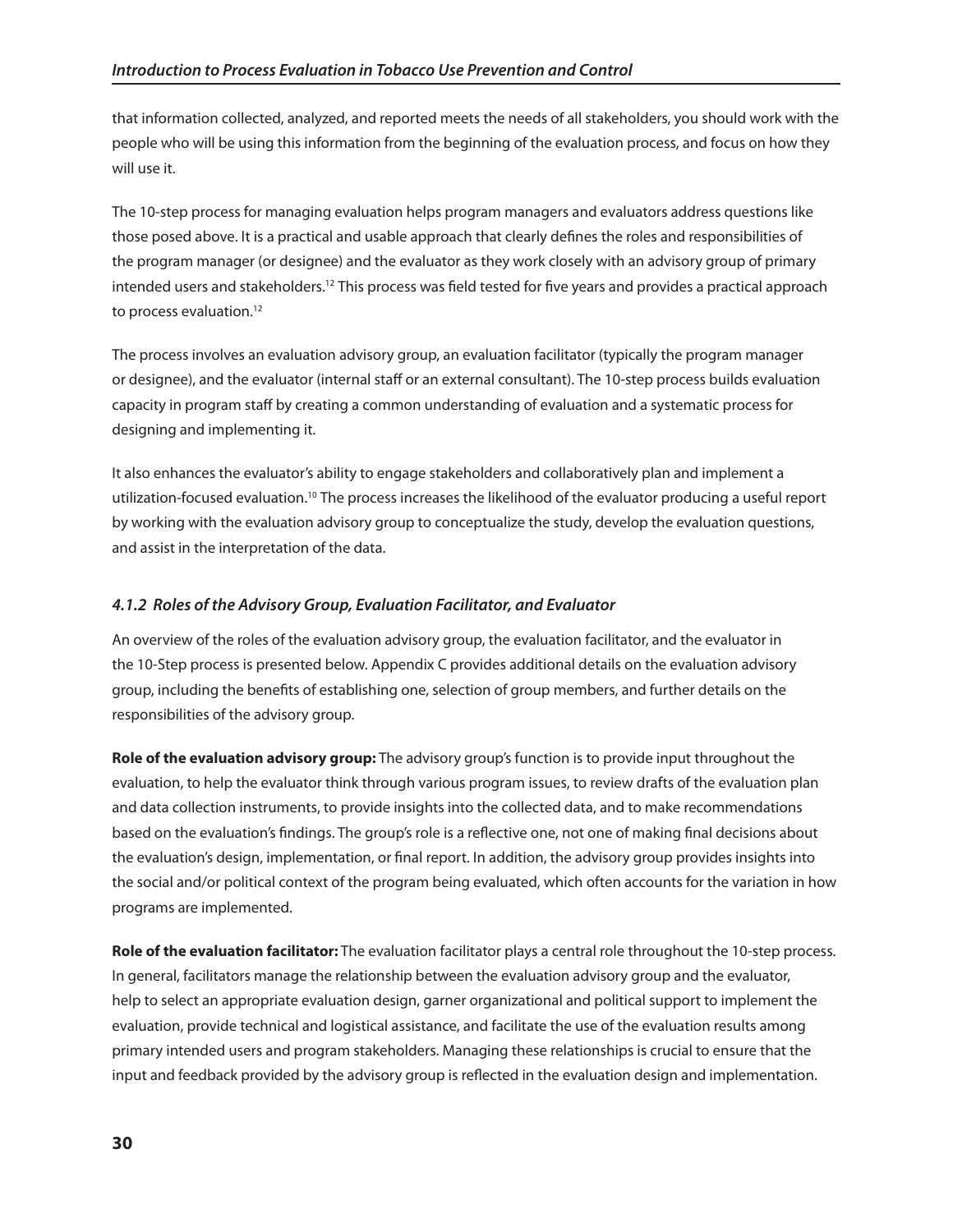that information collected, analyzed, and reported meets the needs of all stakeholders, you should work with the people who will be using this information from the beginning of the evaluation process, and focus on how they will use it.

The 10-step process for managing evaluation helps program managers and evaluators address questions like those posed above. It is a practical and usable approach that clearly defines the roles and responsibilities of the program manager (or designee) and the evaluator as they work closely with an advisory group of primary intended users and stakeholders.<sup>12</sup> This process was field tested for five years and provides a practical approach to process evaluation.<sup>12</sup>

The process involves an evaluation advisory group, an evaluation facilitator (typically the program manager or designee), and the evaluator (internal staff or an external consultant). The 10-step process builds evaluation capacity in program staff by creating a common understanding of evaluation and a systematic process for designing and implementing it.

It also enhances the evaluator's ability to engage stakeholders and collaboratively plan and implement a utilization-focused evaluation.10 The process increases the likelihood of the evaluator producing a useful report by working with the evaluation advisory group to conceptualize the study, develop the evaluation questions, and assist in the interpretation of the data.

## *4.1.2 Roles of the Advisory Group, Evaluation Facilitator, and Evaluator*

An overview of the roles of the evaluation advisory group, the evaluation facilitator, and the evaluator in the 10-Step process is presented below. Appendix C provides additional details on the evaluation advisory group, including the benefits of establishing one, selection of group members, and further details on the responsibilities of the advisory group.

**Role of the evaluation advisory group:** The advisory group's function is to provide input throughout the evaluation, to help the evaluator think through various program issues, to review drafts of the evaluation plan and data collection instruments, to provide insights into the collected data, and to make recommendations based on the evaluation's findings. The group's role is a reflective one, not one of making final decisions about the evaluation's design, implementation, or final report. In addition, the advisory group provides insights into the social and/or political context of the program being evaluated, which often accounts for the variation in how programs are implemented.

**Role of the evaluation facilitator:** The evaluation facilitator plays a central role throughout the 10-step process. In general, facilitators manage the relationship between the evaluation advisory group and the evaluator, help to select an appropriate evaluation design, garner organizational and political support to implement the evaluation, provide technical and logistical assistance, and facilitate the use of the evaluation results among primary intended users and program stakeholders. Managing these relationships is crucial to ensure that the input and feedback provided by the advisory group is reflected in the evaluation design and implementation.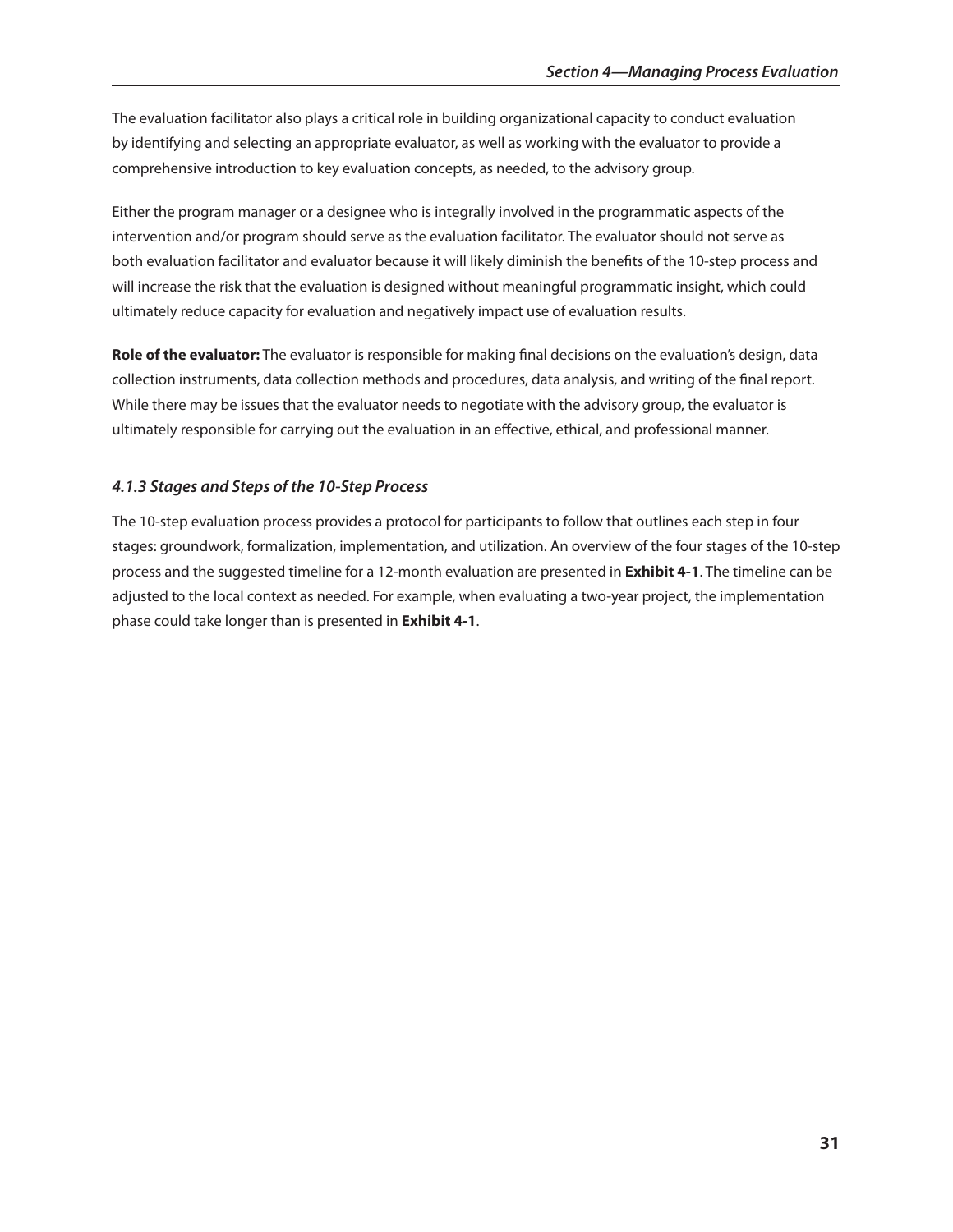The evaluation facilitator also plays a critical role in building organizational capacity to conduct evaluation by identifying and selecting an appropriate evaluator, as well as working with the evaluator to provide a comprehensive introduction to key evaluation concepts, as needed, to the advisory group.

Either the program manager or a designee who is integrally involved in the programmatic aspects of the intervention and/or program should serve as the evaluation facilitator. The evaluator should not serve as both evaluation facilitator and evaluator because it will likely diminish the benefits of the 10-step process and will increase the risk that the evaluation is designed without meaningful programmatic insight, which could ultimately reduce capacity for evaluation and negatively impact use of evaluation results.

**Role of the evaluator:** The evaluator is responsible for making final decisions on the evaluation's design, data collection instruments, data collection methods and procedures, data analysis, and writing of the final report. While there may be issues that the evaluator needs to negotiate with the advisory group, the evaluator is ultimately responsible for carrying out the evaluation in an effective, ethical, and professional manner.

## *4.1.3 Stages and Steps of the 10-Step Process*

The 10-step evaluation process provides a protocol for participants to follow that outlines each step in four stages: groundwork, formalization, implementation, and utilization. An overview of the four stages of the 10-step process and the suggested timeline for a 12-month evaluation are presented in **Exhibit 4-1**. The timeline can be adjusted to the local context as needed. For example, when evaluating a two-year project, the implementation phase could take longer than is presented in **Exhibit 4-1**.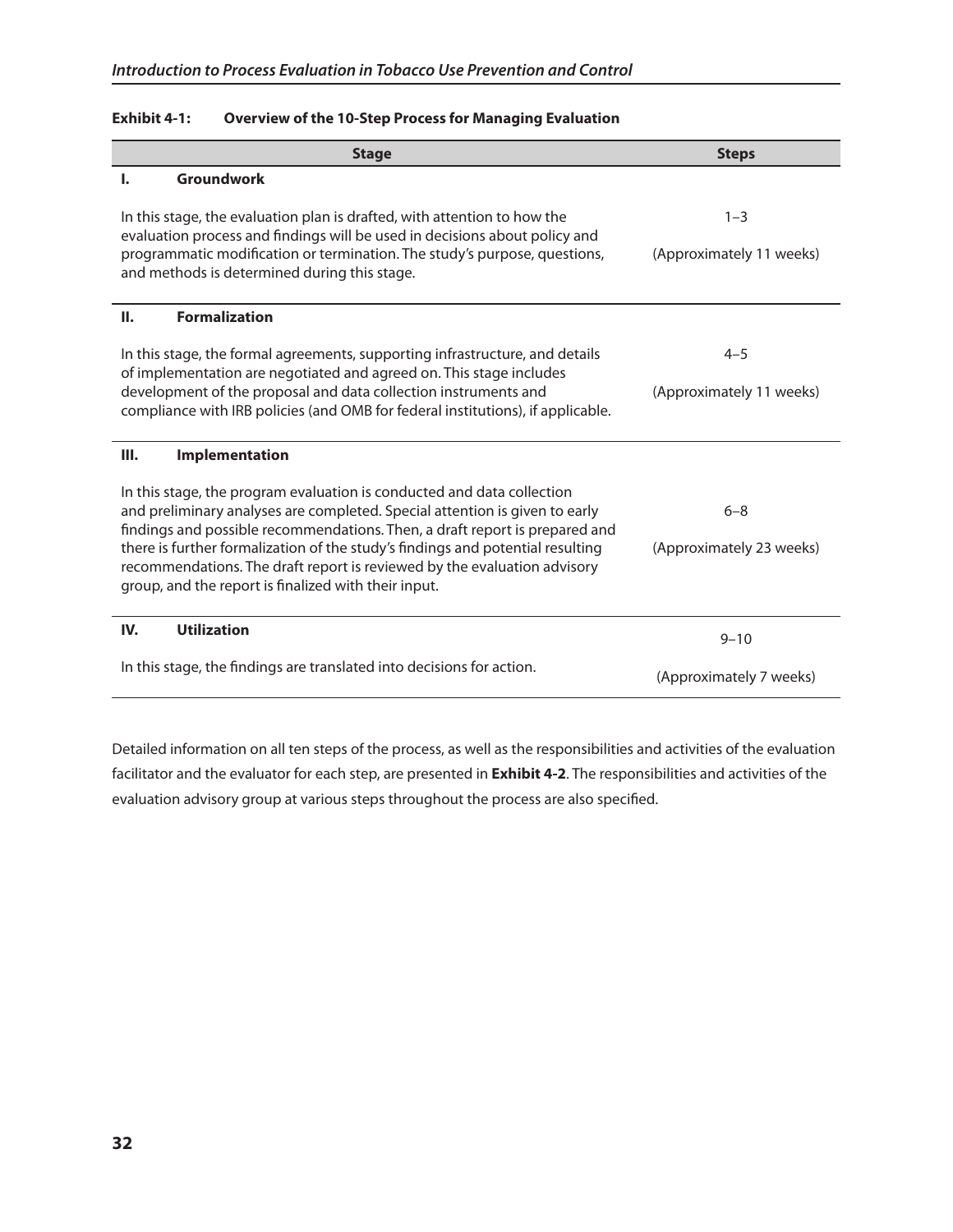| <b>Stage</b>                                                                                                                                                                                                                                                                                                                                                                                                                                                                                      | <b>Steps</b>                        |
|---------------------------------------------------------------------------------------------------------------------------------------------------------------------------------------------------------------------------------------------------------------------------------------------------------------------------------------------------------------------------------------------------------------------------------------------------------------------------------------------------|-------------------------------------|
| <b>Groundwork</b><br>ı.                                                                                                                                                                                                                                                                                                                                                                                                                                                                           |                                     |
| In this stage, the evaluation plan is drafted, with attention to how the<br>evaluation process and findings will be used in decisions about policy and<br>programmatic modification or termination. The study's purpose, questions,<br>and methods is determined during this stage.                                                                                                                                                                                                               | $1 - 3$<br>(Approximately 11 weeks) |
| <b>Formalization</b><br>П.                                                                                                                                                                                                                                                                                                                                                                                                                                                                        |                                     |
| In this stage, the formal agreements, supporting infrastructure, and details<br>of implementation are negotiated and agreed on. This stage includes<br>development of the proposal and data collection instruments and<br>compliance with IRB policies (and OMB for federal institutions), if applicable.                                                                                                                                                                                         | $4 - 5$<br>(Approximately 11 weeks) |
| Ш.<br>Implementation                                                                                                                                                                                                                                                                                                                                                                                                                                                                              |                                     |
| In this stage, the program evaluation is conducted and data collection<br>and preliminary analyses are completed. Special attention is given to early<br>$6 - 8$<br>findings and possible recommendations. Then, a draft report is prepared and<br>there is further formalization of the study's findings and potential resulting<br>(Approximately 23 weeks)<br>recommendations. The draft report is reviewed by the evaluation advisory<br>group, and the report is finalized with their input. |                                     |
| <b>Utilization</b><br>IV.                                                                                                                                                                                                                                                                                                                                                                                                                                                                         | $9 - 10$                            |
| In this stage, the findings are translated into decisions for action.                                                                                                                                                                                                                                                                                                                                                                                                                             | (Approximately 7 weeks)             |

## **Exhibit 4-1: overview of the 10-step Process for managing Evaluation**

Detailed information on all ten steps of the process, as well as the responsibilities and activities of the evaluation facilitator and the evaluator for each step, are presented in **Exhibit 4-2**. The responsibilities and activities of the evaluation advisory group at various steps throughout the process are also specified.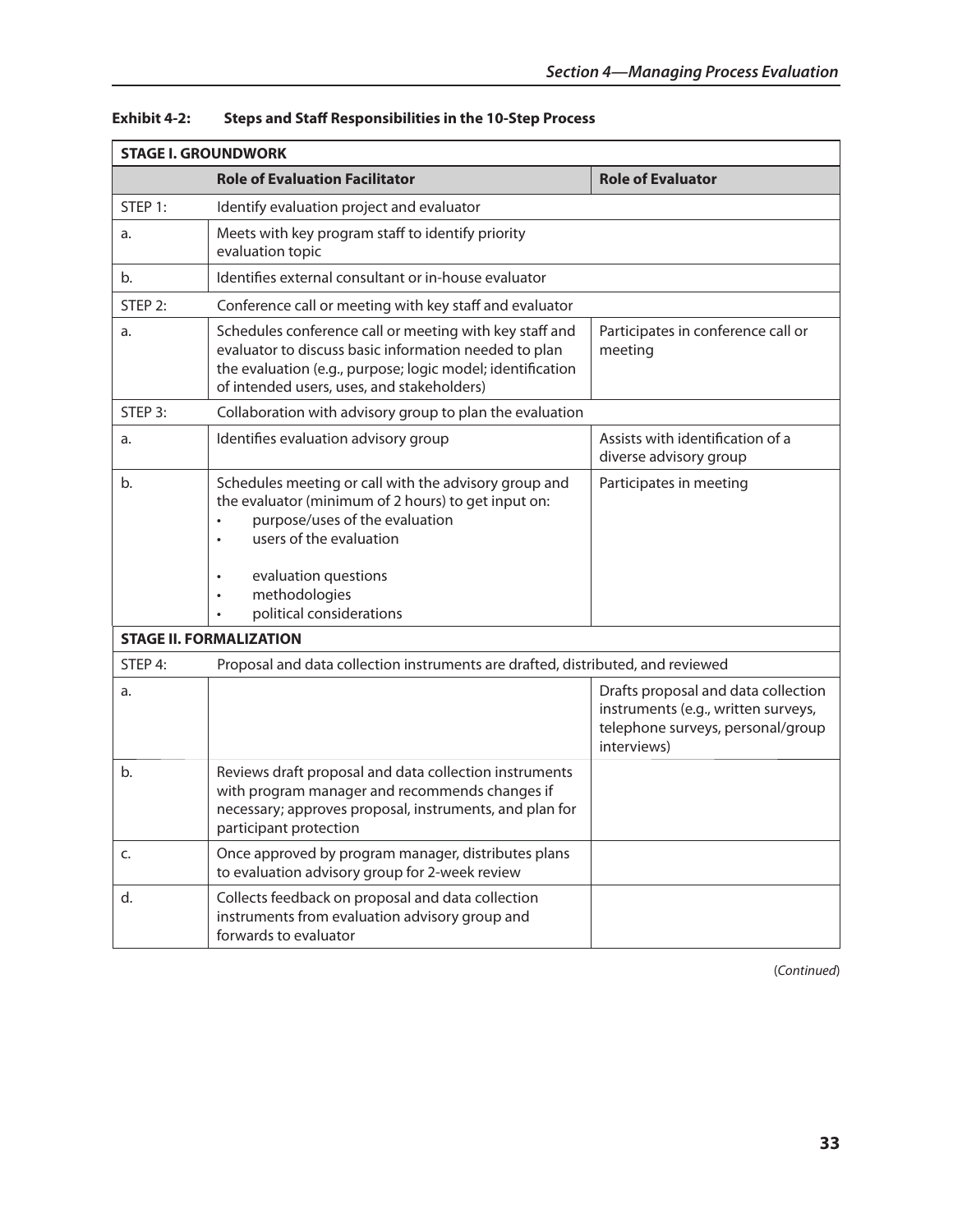| <b>STAGE I. GROUNDWORK</b> |                                                                                                                                                                                                                                                |                                                                                                                                |
|----------------------------|------------------------------------------------------------------------------------------------------------------------------------------------------------------------------------------------------------------------------------------------|--------------------------------------------------------------------------------------------------------------------------------|
|                            | <b>Role of Evaluation Facilitator</b>                                                                                                                                                                                                          | <b>Role of Evaluator</b>                                                                                                       |
| STEP 1:                    | Identify evaluation project and evaluator                                                                                                                                                                                                      |                                                                                                                                |
| a.                         | Meets with key program staff to identify priority<br>evaluation topic                                                                                                                                                                          |                                                                                                                                |
| b.                         | Identifies external consultant or in-house evaluator                                                                                                                                                                                           |                                                                                                                                |
| STEP 2:                    | Conference call or meeting with key staff and evaluator                                                                                                                                                                                        |                                                                                                                                |
| a.                         | Schedules conference call or meeting with key staff and<br>evaluator to discuss basic information needed to plan<br>the evaluation (e.g., purpose; logic model; identification<br>of intended users, uses, and stakeholders)                   | Participates in conference call or<br>meeting                                                                                  |
| STEP 3:                    | Collaboration with advisory group to plan the evaluation                                                                                                                                                                                       |                                                                                                                                |
| a.                         | Identifies evaluation advisory group                                                                                                                                                                                                           | Assists with identification of a<br>diverse advisory group                                                                     |
| b.                         | Schedules meeting or call with the advisory group and<br>the evaluator (minimum of 2 hours) to get input on:<br>purpose/uses of the evaluation<br>users of the evaluation<br>evaluation questions<br>methodologies<br>political considerations | Participates in meeting                                                                                                        |
|                            | <b>STAGE II. FORMALIZATION</b>                                                                                                                                                                                                                 |                                                                                                                                |
| STEP 4:                    | Proposal and data collection instruments are drafted, distributed, and reviewed                                                                                                                                                                |                                                                                                                                |
| a.                         |                                                                                                                                                                                                                                                | Drafts proposal and data collection<br>instruments (e.g., written surveys,<br>telephone surveys, personal/group<br>interviews) |
| b.                         | Reviews draft proposal and data collection instruments<br>with program manager and recommends changes if<br>necessary; approves proposal, instruments, and plan for<br>participant protection                                                  |                                                                                                                                |
| C.                         | Once approved by program manager, distributes plans<br>to evaluation advisory group for 2-week review                                                                                                                                          |                                                                                                                                |
| d.                         | Collects feedback on proposal and data collection<br>instruments from evaluation advisory group and<br>forwards to evaluator                                                                                                                   |                                                                                                                                |

## **Exhibit 4-2: steps and staff Responsibilities in the 10-step Process**

(*Continued*)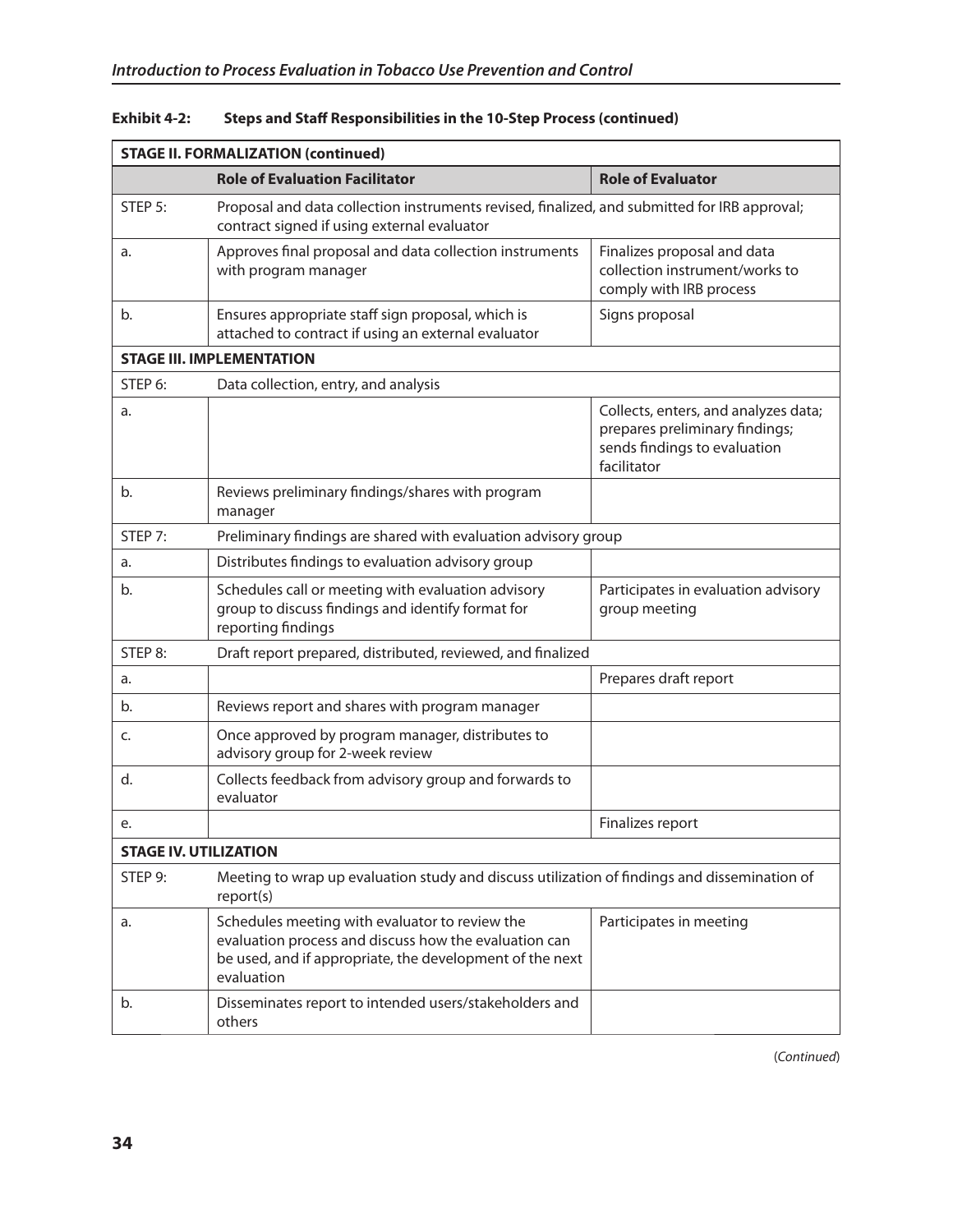| <b>STAGE II. FORMALIZATION (continued)</b>                                                                           |                                                                                                                                                                                   |                                                                                                                       |
|----------------------------------------------------------------------------------------------------------------------|-----------------------------------------------------------------------------------------------------------------------------------------------------------------------------------|-----------------------------------------------------------------------------------------------------------------------|
|                                                                                                                      | <b>Role of Evaluation Facilitator</b>                                                                                                                                             | <b>Role of Evaluator</b>                                                                                              |
| STEP 5:                                                                                                              | Proposal and data collection instruments revised, finalized, and submitted for IRB approval;<br>contract signed if using external evaluator                                       |                                                                                                                       |
| a.                                                                                                                   | Approves final proposal and data collection instruments<br>with program manager                                                                                                   | Finalizes proposal and data<br>collection instrument/works to<br>comply with IRB process                              |
| b.                                                                                                                   | Ensures appropriate staff sign proposal, which is<br>attached to contract if using an external evaluator                                                                          | Signs proposal                                                                                                        |
| <b>STAGE III. IMPLEMENTATION</b>                                                                                     |                                                                                                                                                                                   |                                                                                                                       |
| STEP 6:                                                                                                              | Data collection, entry, and analysis                                                                                                                                              |                                                                                                                       |
| a.                                                                                                                   |                                                                                                                                                                                   | Collects, enters, and analyzes data;<br>prepares preliminary findings;<br>sends findings to evaluation<br>facilitator |
| b.                                                                                                                   | Reviews preliminary findings/shares with program<br>manager                                                                                                                       |                                                                                                                       |
| STEP 7:                                                                                                              | Preliminary findings are shared with evaluation advisory group                                                                                                                    |                                                                                                                       |
| a.                                                                                                                   | Distributes findings to evaluation advisory group                                                                                                                                 |                                                                                                                       |
| b.                                                                                                                   | Schedules call or meeting with evaluation advisory<br>group to discuss findings and identify format for<br>reporting findings                                                     | Participates in evaluation advisory<br>group meeting                                                                  |
| STEP 8:                                                                                                              | Draft report prepared, distributed, reviewed, and finalized                                                                                                                       |                                                                                                                       |
| a.                                                                                                                   |                                                                                                                                                                                   | Prepares draft report                                                                                                 |
| b.                                                                                                                   | Reviews report and shares with program manager                                                                                                                                    |                                                                                                                       |
| c.                                                                                                                   | Once approved by program manager, distributes to<br>advisory group for 2-week review                                                                                              |                                                                                                                       |
| d.                                                                                                                   | Collects feedback from advisory group and forwards to<br>evaluator                                                                                                                |                                                                                                                       |
| e.                                                                                                                   |                                                                                                                                                                                   | Finalizes report                                                                                                      |
| <b>STAGE IV. UTILIZATION</b>                                                                                         |                                                                                                                                                                                   |                                                                                                                       |
| Meeting to wrap up evaluation study and discuss utilization of findings and dissemination of<br>STEP 9:<br>report(s) |                                                                                                                                                                                   |                                                                                                                       |
| a.                                                                                                                   | Schedules meeting with evaluator to review the<br>evaluation process and discuss how the evaluation can<br>be used, and if appropriate, the development of the next<br>evaluation | Participates in meeting                                                                                               |
| b.                                                                                                                   | Disseminates report to intended users/stakeholders and<br>others                                                                                                                  |                                                                                                                       |

## Exhibit 4-2: Steps and Staff Responsibilities in the 10-Step Process (continued)

(*Continued*)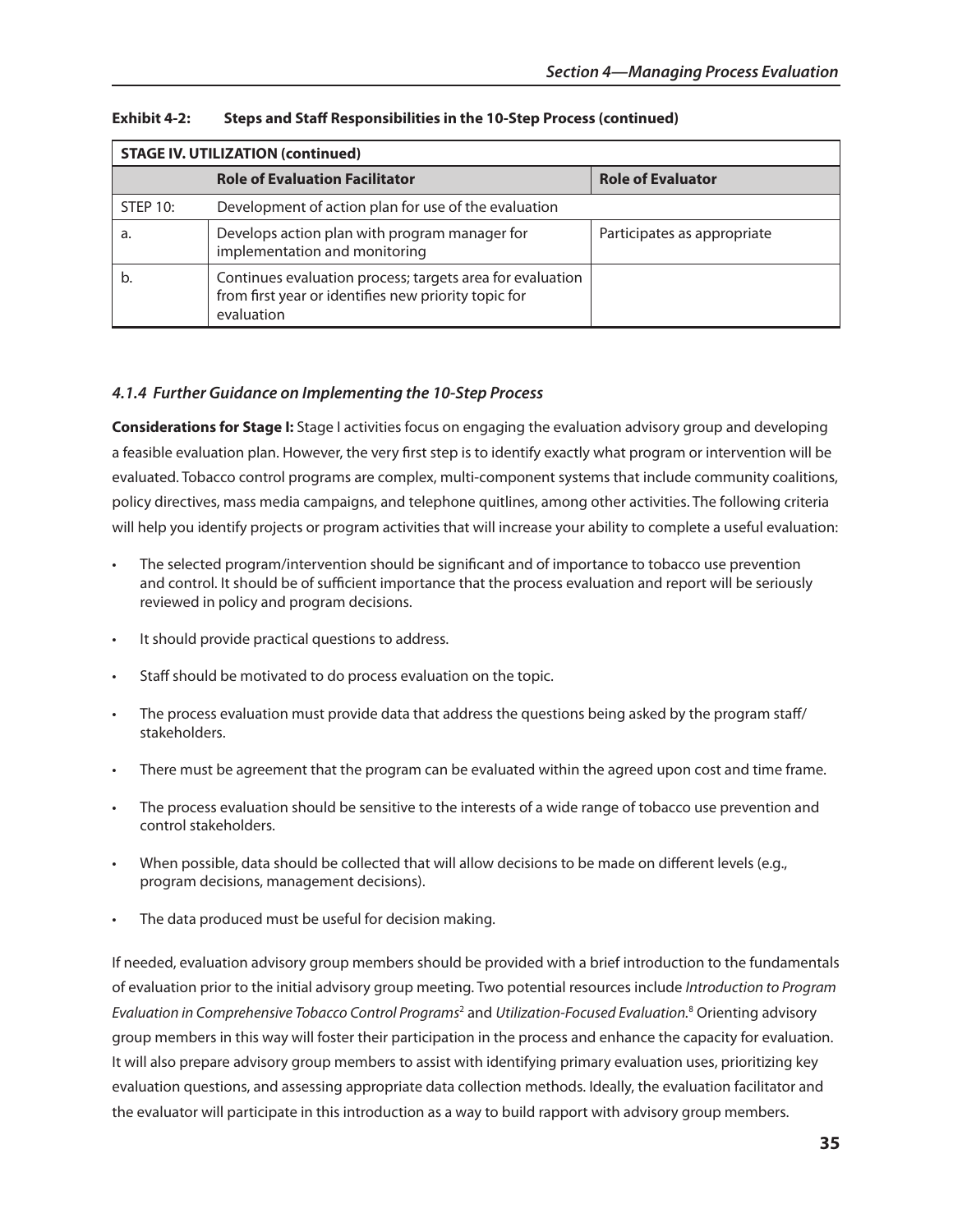| <b>STAGE IV. UTILIZATION (continued)</b> |                                                                                                                                 |                             |
|------------------------------------------|---------------------------------------------------------------------------------------------------------------------------------|-----------------------------|
|                                          | <b>Role of Evaluation Facilitator</b>                                                                                           | <b>Role of Evaluator</b>    |
| STEP 10:                                 | Development of action plan for use of the evaluation                                                                            |                             |
| а.                                       | Develops action plan with program manager for<br>implementation and monitoring                                                  | Participates as appropriate |
|                                          | Continues evaluation process; targets area for evaluation<br>from first year or identifies new priority topic for<br>evaluation |                             |

**Exhibit 4-2: Steps and Staff Responsibilities in the 10-Step Process (continued)** 

## *4.1.4 Further Guidance on Implementing the 10-Step Process*

**Considerations for stage I:** Stage I activities focus on engaging the evaluation advisory group and developing a feasible evaluation plan. However, the very first step is to identify exactly what program or intervention will be evaluated. Tobacco control programs are complex, multi-component systems that include community coalitions, policy directives, mass media campaigns, and telephone quitlines, among other activities. The following criteria will help you identify projects or program activities that will increase your ability to complete a useful evaluation:

- The selected program/intervention should be significant and of importance to tobacco use prevention and control. It should be of sufficient importance that the process evaluation and report will be seriously reviewed in policy and program decisions.
- It should provide practical questions to address.
- Staff should be motivated to do process evaluation on the topic.
- The process evaluation must provide data that address the questions being asked by the program staff/ stakeholders.
- There must be agreement that the program can be evaluated within the agreed upon cost and time frame.
- The process evaluation should be sensitive to the interests of a wide range of tobacco use prevention and control stakeholders.
- When possible, data should be collected that will allow decisions to be made on different levels (e.g., program decisions, management decisions).
- The data produced must be useful for decision making.

If needed, evaluation advisory group members should be provided with a brief introduction to the fundamentals of evaluation prior to the initial advisory group meeting. Two potential resources include *Introduction to Program Evaluation in Comprehensive Tobacco Control Programs*<sup>2</sup> and *Utilization-Focused Evaluation.*<sup>8</sup> Orienting advisory group members in this way will foster their participation in the process and enhance the capacity for evaluation. It will also prepare advisory group members to assist with identifying primary evaluation uses, prioritizing key evaluation questions, and assessing appropriate data collection methods. Ideally, the evaluation facilitator and the evaluator will participate in this introduction as a way to build rapport with advisory group members.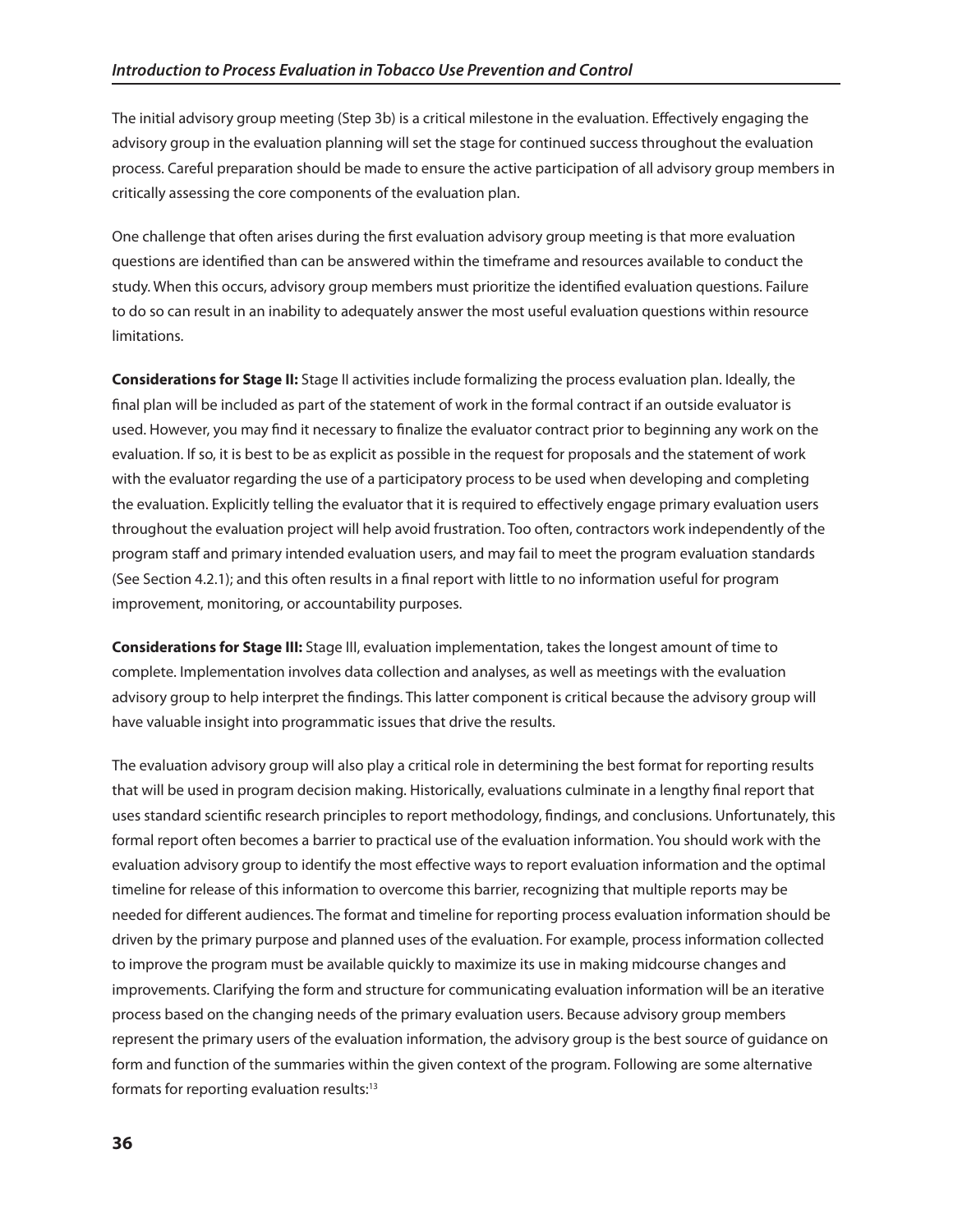The initial advisory group meeting (Step 3b) is a critical milestone in the evaluation. Effectively engaging the advisory group in the evaluation planning will set the stage for continued success throughout the evaluation process. Careful preparation should be made to ensure the active participation of all advisory group members in critically assessing the core components of the evaluation plan.

One challenge that often arises during the first evaluation advisory group meeting is that more evaluation questions are identified than can be answered within the timeframe and resources available to conduct the study. When this occurs, advisory group members must prioritize the identified evaluation questions. Failure to do so can result in an inability to adequately answer the most useful evaluation questions within resource limitations.

**Considerations for stage II:** Stage II activities include formalizing the process evaluation plan. Ideally, the final plan will be included as part of the statement of work in the formal contract if an outside evaluator is used. However, you may find it necessary to finalize the evaluator contract prior to beginning any work on the evaluation. If so, it is best to be as explicit as possible in the request for proposals and the statement of work with the evaluator regarding the use of a participatory process to be used when developing and completing the evaluation. Explicitly telling the evaluator that it is required to effectively engage primary evaluation users throughout the evaluation project will help avoid frustration. Too often, contractors work independently of the program staff and primary intended evaluation users, and may fail to meet the program evaluation standards (See Section 4.2.1); and this often results in a final report with little to no information useful for program improvement, monitoring, or accountability purposes.

**Considerations for stage III:** Stage III, evaluation implementation, takes the longest amount of time to complete. Implementation involves data collection and analyses, as well as meetings with the evaluation advisory group to help interpret the findings. This latter component is critical because the advisory group will have valuable insight into programmatic issues that drive the results.

The evaluation advisory group will also play a critical role in determining the best format for reporting results that will be used in program decision making. Historically, evaluations culminate in a lengthy final report that uses standard scientific research principles to report methodology, findings, and conclusions. Unfortunately, this formal report often becomes a barrier to practical use of the evaluation information. You should work with the evaluation advisory group to identify the most effective ways to report evaluation information and the optimal timeline for release of this information to overcome this barrier, recognizing that multiple reports may be needed for different audiences. The format and timeline for reporting process evaluation information should be driven by the primary purpose and planned uses of the evaluation. For example, process information collected to improve the program must be available quickly to maximize its use in making midcourse changes and improvements. Clarifying the form and structure for communicating evaluation information will be an iterative process based on the changing needs of the primary evaluation users. Because advisory group members represent the primary users of the evaluation information, the advisory group is the best source of guidance on form and function of the summaries within the given context of the program. Following are some alternative formats for reporting evaluation results:13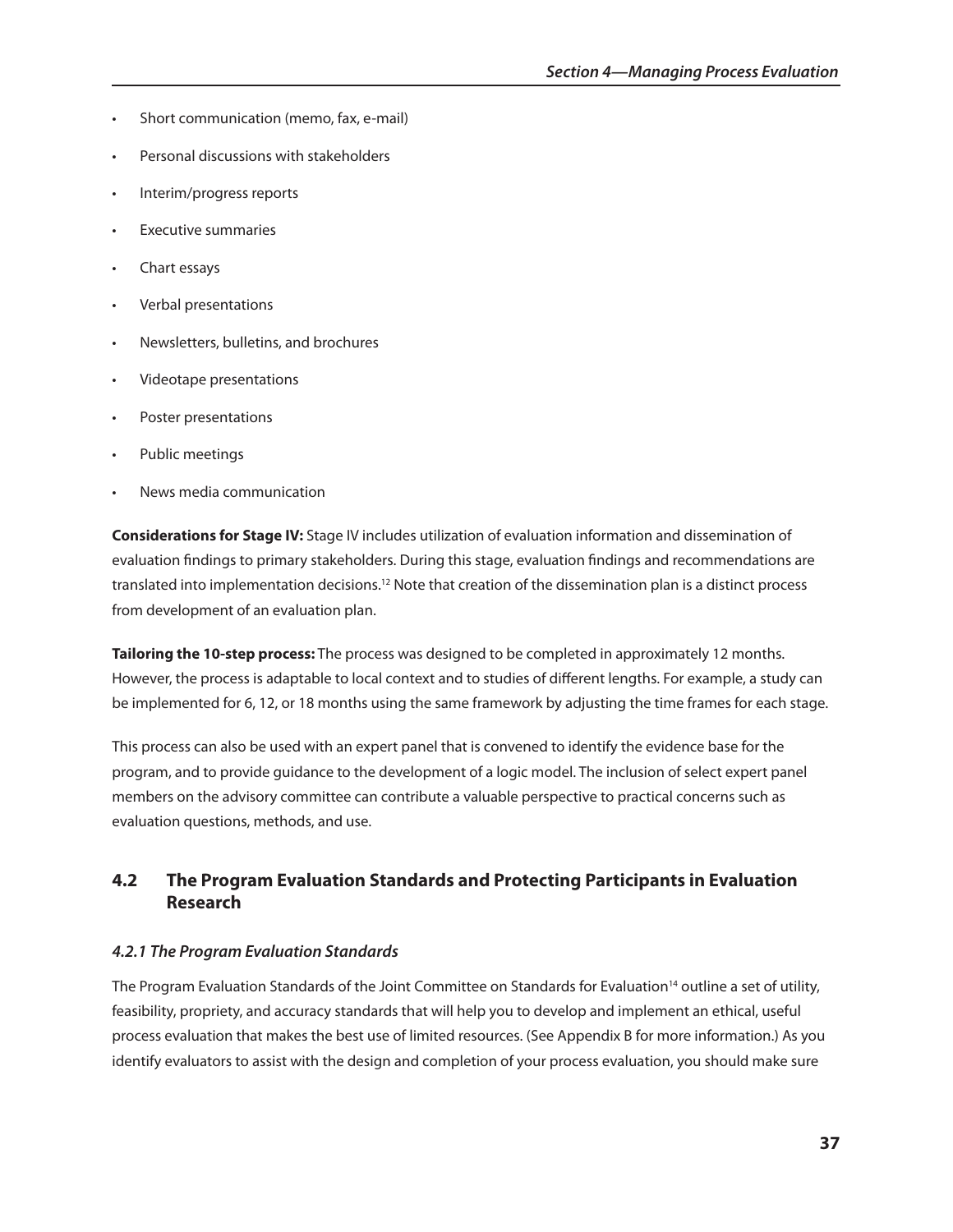- Short communication (memo, fax, e-mail)
- Personal discussions with stakeholders
- Interim/progress reports
- Executive summaries
- Chart essays
- Verbal presentations
- Newsletters, bulletins, and brochures
- Videotape presentations
- Poster presentations
- Public meetings
- News media communication

**Considerations for stage Iv:** Stage IV includes utilization of evaluation information and dissemination of evaluation findings to primary stakeholders. During this stage, evaluation findings and recommendations are translated into implementation decisions.12 Note that creation of the dissemination plan is a distinct process from development of an evaluation plan.

**Tailoring the 10-step process:** The process was designed to be completed in approximately 12 months. However, the process is adaptable to local context and to studies of different lengths. For example, a study can be implemented for 6, 12, or 18 months using the same framework by adjusting the time frames for each stage.

This process can also be used with an expert panel that is convened to identify the evidence base for the program, and to provide guidance to the development of a logic model. The inclusion of select expert panel members on the advisory committee can contribute a valuable perspective to practical concerns such as evaluation questions, methods, and use.

## **4.2 The Program Evaluation standards and Protecting Participants in Evaluation Research**

#### *4.2.1 The Program Evaluation Standards*

The Program Evaluation Standards of the Joint Committee on Standards for Evaluation<sup>14</sup> outline a set of utility, feasibility, propriety, and accuracy standards that will help you to develop and implement an ethical, useful process evaluation that makes the best use of limited resources. (See Appendix B for more information.) As you identify evaluators to assist with the design and completion of your process evaluation, you should make sure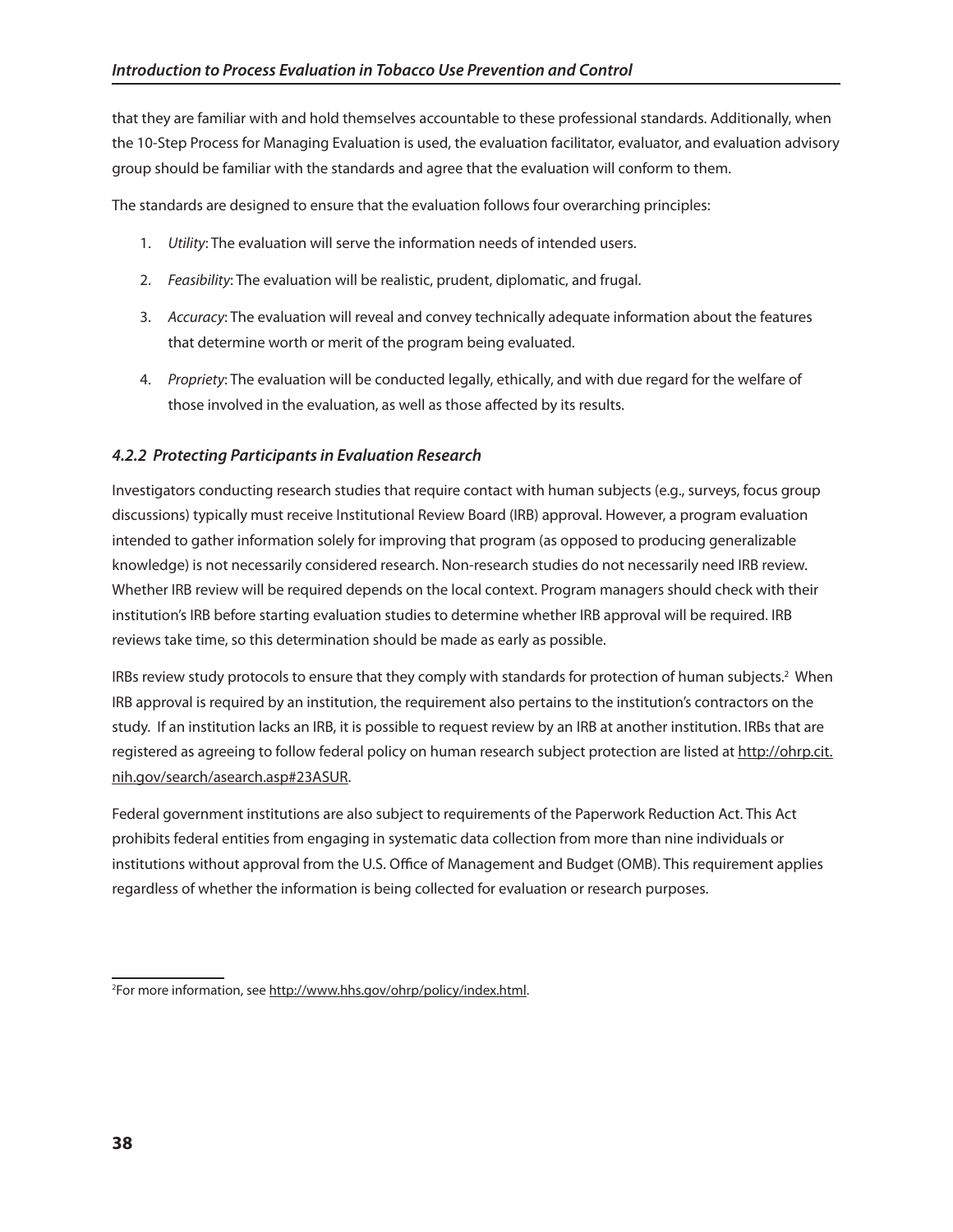that they are familiar with and hold themselves accountable to these professional standards. Additionally, when the 10-Step Process for Managing Evaluation is used, the evaluation facilitator, evaluator, and evaluation advisory group should be familiar with the standards and agree that the evaluation will conform to them.

The standards are designed to ensure that the evaluation follows four overarching principles:

- 1. Utility: The evaluation will serve the information needs of intended users.
- 2. Feasibility: The evaluation will be realistic, prudent, diplomatic, and frugal.
- 3. Accuracy: The evaluation will reveal and convey technically adequate information about the features that determine worth or merit of the program being evaluated.
- 4. Propriety: The evaluation will be conducted legally, ethically, and with due regard for the welfare of those involved in the evaluation, as well as those affected by its results.

## *4.2.2 Protecting Participants in Evaluation Research*

Investigators conducting research studies that require contact with human subjects (e.g., surveys, focus group discussions) typically must receive Institutional Review Board (IRB) approval. However, a program evaluation intended to gather information solely for improving that program (as opposed to producing generalizable knowledge) is not necessarily considered research. Non-research studies do not necessarily need IRB review. Whether IRB review will be required depends on the local context. Program managers should check with their institution's IRB before starting evaluation studies to determine whether IRB approval will be required. IRB reviews take time, so this determination should be made as early as possible.

IRBs review study protocols to ensure that they comply with standards for protection of human subjects.2 When IRB approval is required by an institution, the requirement also pertains to the institution's contractors on the study. If an institution lacks an IRB, it is possible to request review by an IRB at another institution. IRBs that are registered as agreeing to follow federal policy on human research subject protection are listed at http://ohrp.cit. [nih.gov/search/asearch.asp#23ASUR.](http://ohrp.cit.nih.gov/search/asearch.asp#23ASUR) 

Federal government institutions are also subject to requirements of the Paperwork Reduction Act. This Act prohibits federal entities from engaging in systematic data collection from more than nine individuals or institutions without approval from the U.S. Office of Management and Budget (OMB). This requirement applies regardless of whether the information is being collected for evaluation or research purposes.

<sup>&</sup>lt;sup>2</sup>For more information, see http://www.hhs.gov/ohrp/policy/index.html.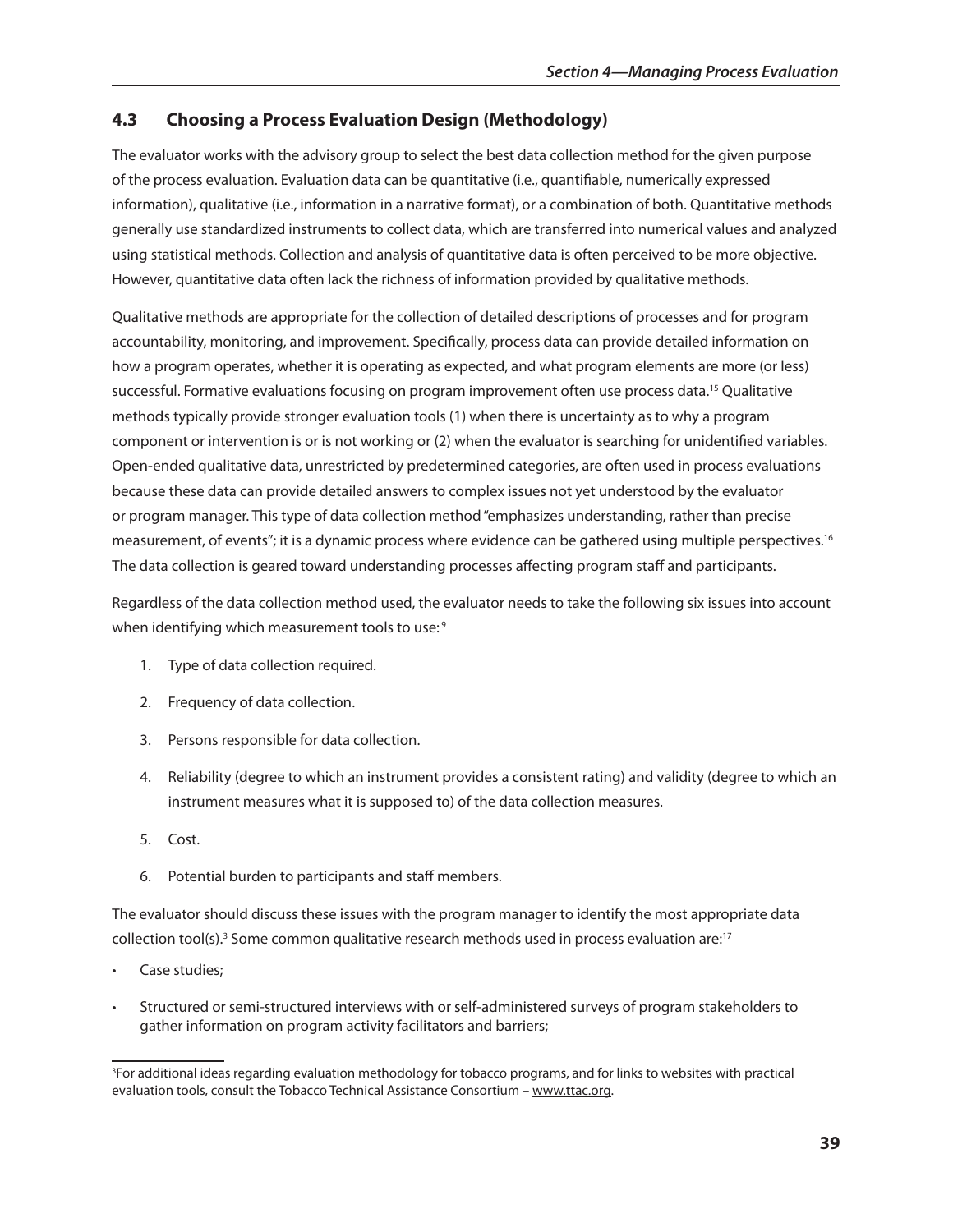## **4.3** Choosing a Process Evaluation Design (Methodology)

The evaluator works with the advisory group to select the best data collection method for the given purpose of the process evaluation. Evaluation data can be quantitative (i.e., quantifiable, numerically expressed information), qualitative (i.e., information in a narrative format), or a combination of both. Quantitative methods generally use standardized instruments to collect data, which are transferred into numerical values and analyzed using statistical methods. Collection and analysis of quantitative data is often perceived to be more objective. However, quantitative data often lack the richness of information provided by qualitative methods.

Qualitative methods are appropriate for the collection of detailed descriptions of processes and for program accountability, monitoring, and improvement. Specifically, process data can provide detailed information on how a program operates, whether it is operating as expected, and what program elements are more (or less) successful. Formative evaluations focusing on program improvement often use process data.<sup>15</sup> Qualitative methods typically provide stronger evaluation tools (1) when there is uncertainty as to why a program component or intervention is or is not working or (2) when the evaluator is searching for unidentified variables. Open-ended qualitative data, unrestricted by predetermined categories, are often used in process evaluations because these data can provide detailed answers to complex issues not yet understood by the evaluator or program manager. This type of data collection method "emphasizes understanding, rather than precise measurement, of events"; it is a dynamic process where evidence can be gathered using multiple perspectives.16 The data collection is geared toward understanding processes affecting program staff and participants.

Regardless of the data collection method used, the evaluator needs to take the following six issues into account when identifying which measurement tools to use:<sup>9</sup>

- 1. Type of data collection required.
- 2. Frequency of data collection.
- 3. Persons responsible for data collection.
- 4. Reliability (degree to which an instrument provides a consistent rating) and validity (degree to which an instrument measures what it is supposed to) of the data collection measures.
- 5. Cost.
- 6. Potential burden to participants and staff members.

The evaluator should discuss these issues with the program manager to identify the most appropriate data collection tool(s).<sup>3</sup> Some common qualitative research methods used in process evaluation are:<sup>17</sup>

- Case studies:
- Structured or semi-structured interviews with or self-administered surveys of program stakeholders to gather information on program activity facilitators and barriers;

<sup>3</sup> For additional ideas regarding evaluation methodology for tobacco programs, and for links to websites with practical evaluation tools, consult the Tobacco Technical Assistance Consortium – www.ttac.org.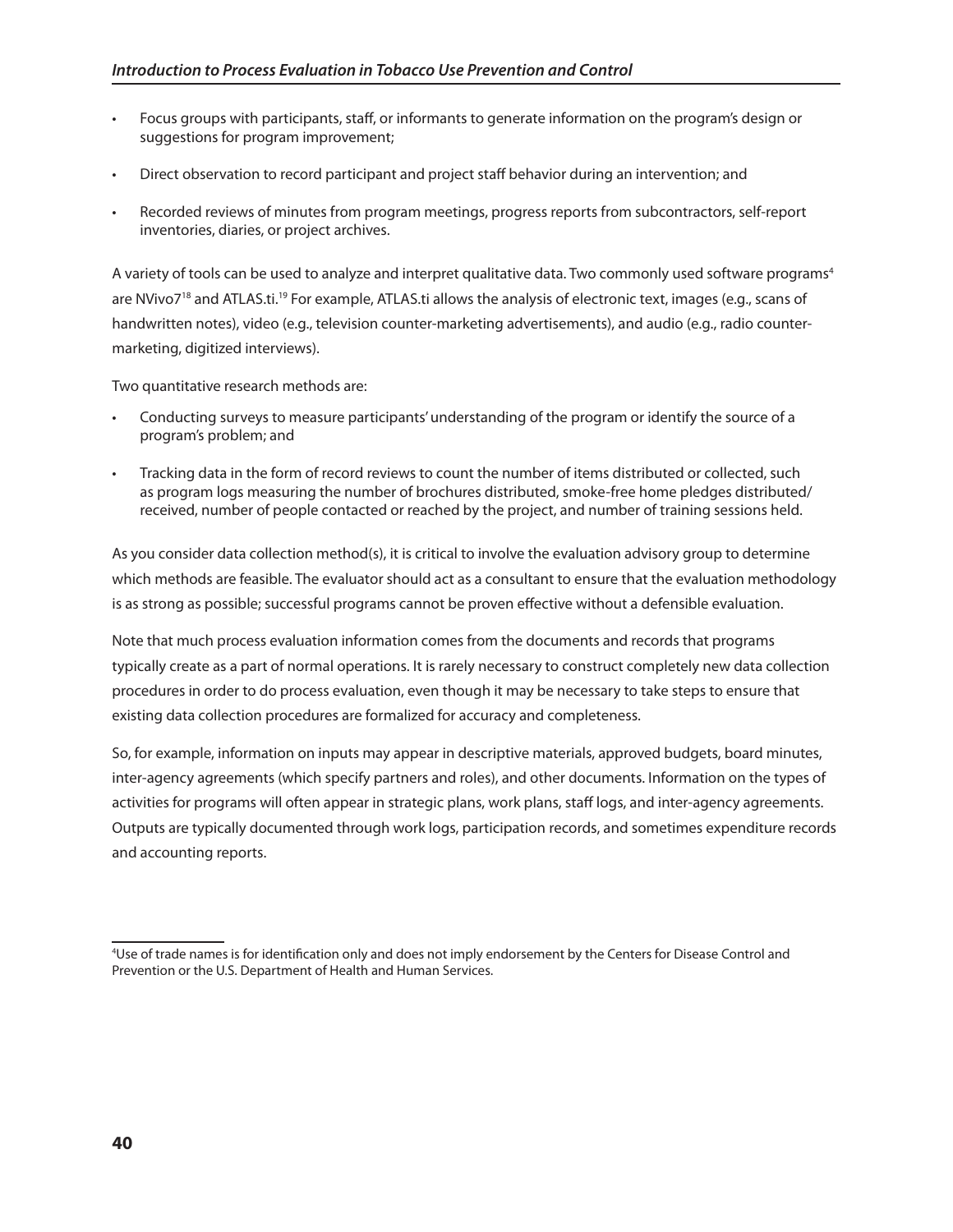- Focus groups with participants, staff, or informants to generate information on the program's design or suggestions for program improvement;
- • Direct observation to record participant and project staff behavior during an intervention; and
- Recorded reviews of minutes from program meetings, progress reports from subcontractors, self-report inventories, diaries, or project archives.

A variety of tools can be used to analyze and interpret qualitative data. Two commonly used software programs<sup>4</sup> are NVivo7<sup>18</sup> and ATLAS.ti.<sup>19</sup> For example, ATLAS.ti allows the analysis of electronic text, images (e.g., scans of handwritten notes), video (e.g., television counter-marketing advertisements), and audio (e.g., radio countermarketing, digitized interviews).

Two quantitative research methods are:

- Conducting surveys to measure participants' understanding of the program or identify the source of a program's problem; and
- Tracking data in the form of record reviews to count the number of items distributed or collected, such as program logs measuring the number of brochures distributed, smoke-free home pledges distributed/ received, number of people contacted or reached by the project, and number of training sessions held.

As you consider data collection method(s), it is critical to involve the evaluation advisory group to determine which methods are feasible. The evaluator should act as a consultant to ensure that the evaluation methodology is as strong as possible; successful programs cannot be proven effective without a defensible evaluation.

Note that much process evaluation information comes from the documents and records that programs typically create as a part of normal operations. It is rarely necessary to construct completely new data collection procedures in order to do process evaluation, even though it may be necessary to take steps to ensure that existing data collection procedures are formalized for accuracy and completeness.

So, for example, information on inputs may appear in descriptive materials, approved budgets, board minutes, inter-agency agreements (which specify partners and roles), and other documents. Information on the types of activities for programs will often appear in strategic plans, work plans, staff logs, and inter-agency agreements. Outputs are typically documented through work logs, participation records, and sometimes expenditure records and accounting reports.

<sup>4</sup> Use of trade names is for identification only and does not imply endorsement by the Centers for Disease Control and Prevention or the U.S. Department of Health and Human Services.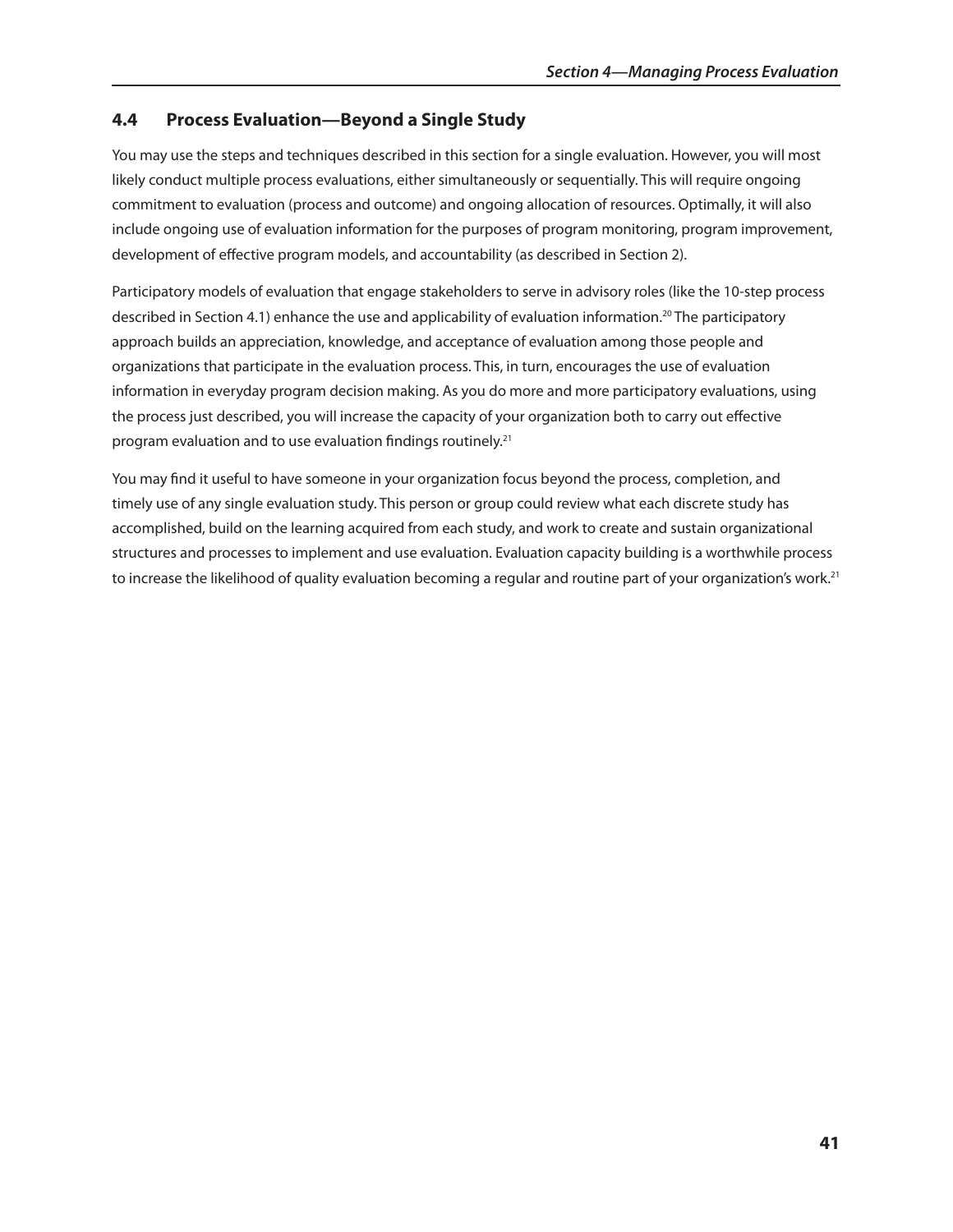## **4.4 Process Evaluation—Beyond a single study**

You may use the steps and techniques described in this section for a single evaluation. However, you will most likely conduct multiple process evaluations, either simultaneously or sequentially. This will require ongoing commitment to evaluation (process and outcome) and ongoing allocation of resources. Optimally, it will also include ongoing use of evaluation information for the purposes of program monitoring, program improvement, development of effective program models, and accountability (as described in Section 2).

Participatory models of evaluation that engage stakeholders to serve in advisory roles (like the 10-step process described in Section 4.1) enhance the use and applicability of evaluation information.<sup>20</sup> The participatory approach builds an appreciation, knowledge, and acceptance of evaluation among those people and organizations that participate in the evaluation process. This, in turn, encourages the use of evaluation information in everyday program decision making. As you do more and more participatory evaluations, using the process just described, you will increase the capacity of your organization both to carry out effective program evaluation and to use evaluation findings routinely.<sup>21</sup>

You may find it useful to have someone in your organization focus beyond the process, completion, and timely use of any single evaluation study. This person or group could review what each discrete study has accomplished, build on the learning acquired from each study, and work to create and sustain organizational structures and processes to implement and use evaluation. Evaluation capacity building is a worthwhile process to increase the likelihood of quality evaluation becoming a regular and routine part of your organization's work.<sup>21</sup>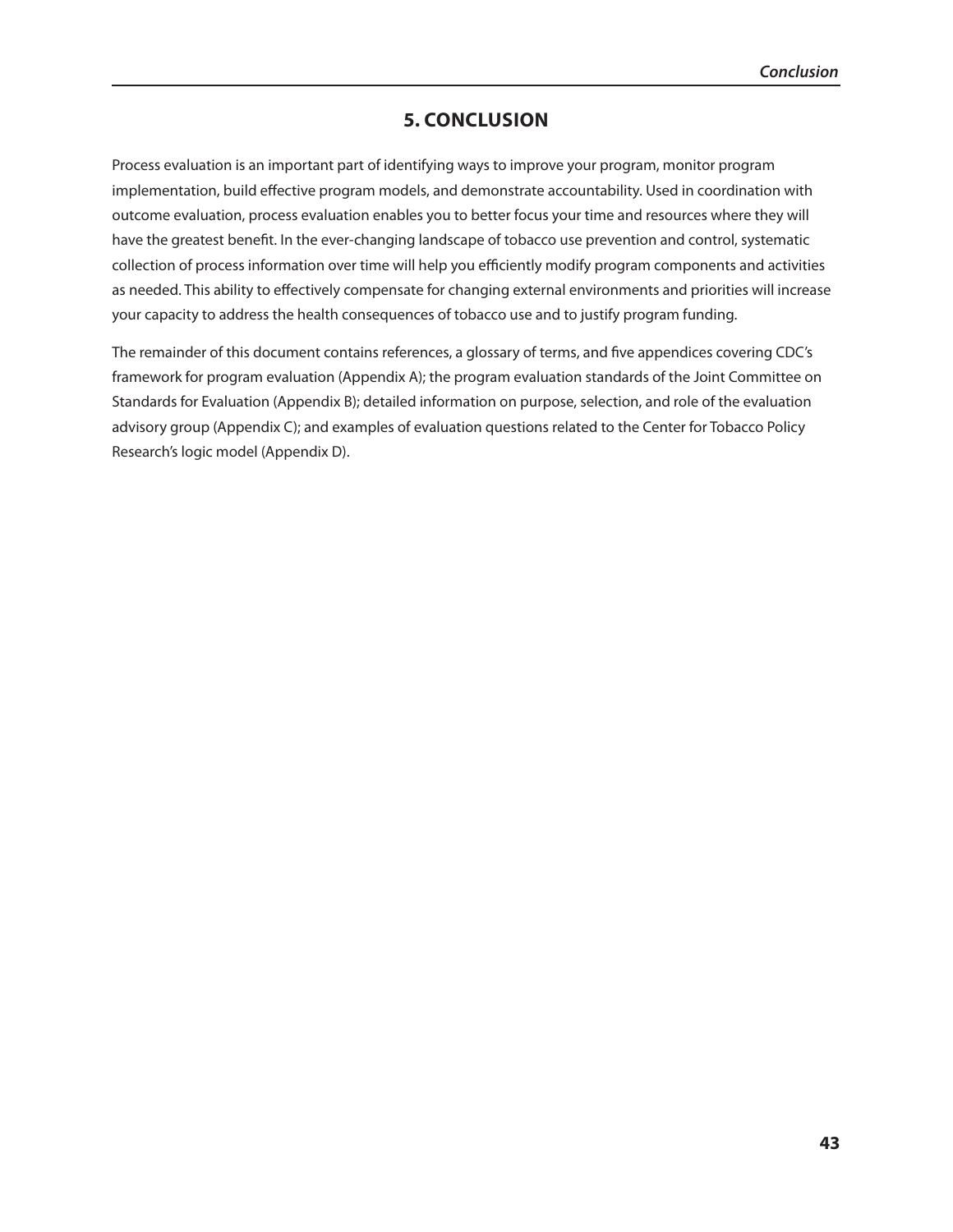## **5. ConClUsIon**

Process evaluation is an important part of identifying ways to improve your program, monitor program implementation, build effective program models, and demonstrate accountability. Used in coordination with outcome evaluation, process evaluation enables you to better focus your time and resources where they will have the greatest benefit. In the ever-changing landscape of tobacco use prevention and control, systematic collection of process information over time will help you efficiently modify program components and activities as needed. This ability to effectively compensate for changing external environments and priorities will increase your capacity to address the health consequences of tobacco use and to justify program funding.

The remainder of this document contains references, a glossary of terms, and five appendices covering CDC's framework for program evaluation (Appendix A); the program evaluation standards of the Joint Committee on Standards for Evaluation (Appendix B); detailed information on purpose, selection, and role of the evaluation advisory group (Appendix C); and examples of evaluation questions related to the Center for Tobacco Policy Research's logic model (Appendix D).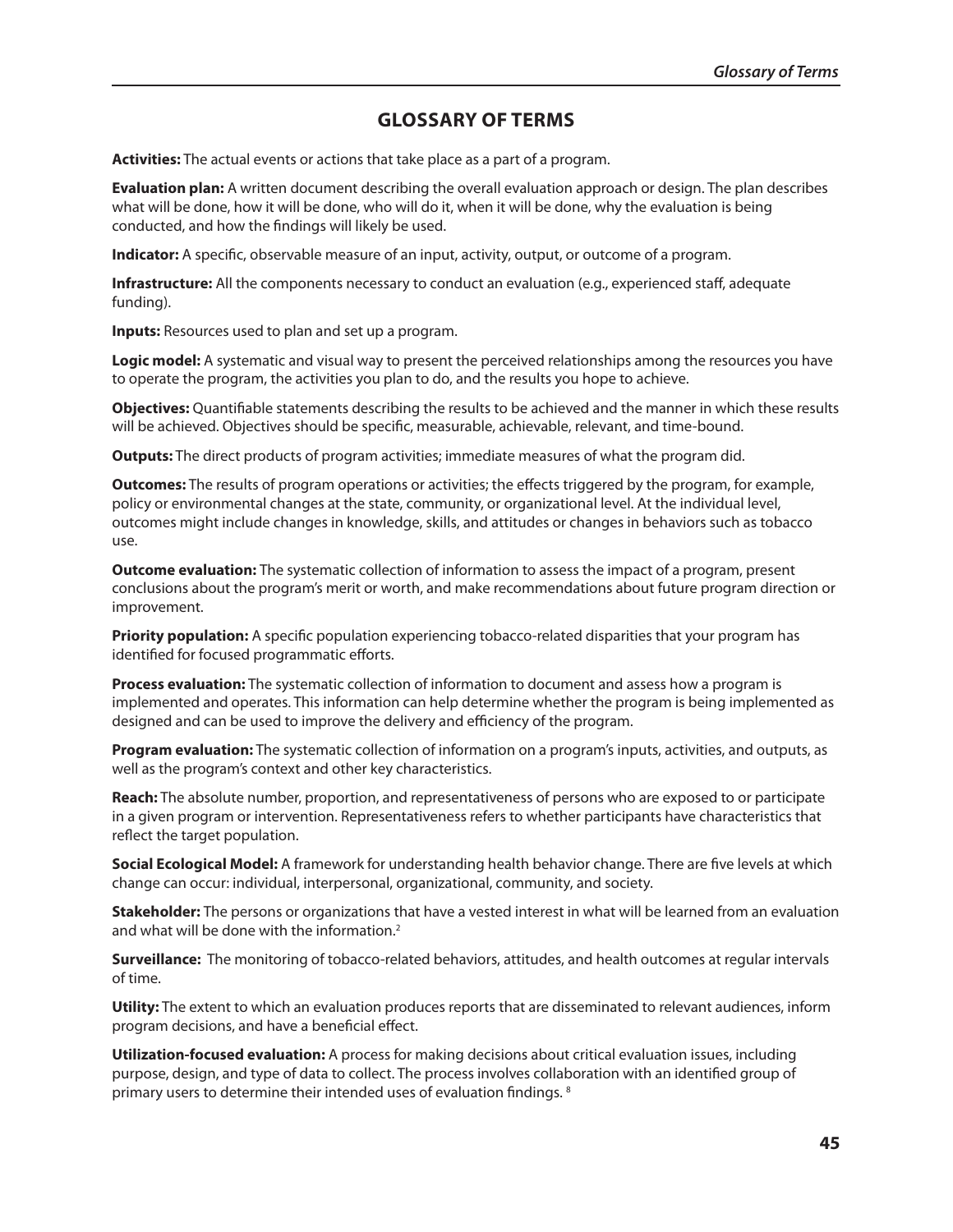## **glossARY oF TERms**

**Activities:** The actual events or actions that take place as a part of a program.

**Evaluation plan:** A written document describing the overall evaluation approach or design. The plan describes what will be done, how it will be done, who will do it, when it will be done, why the evaluation is being conducted, and how the findings will likely be used.

**Indicator:** A specific, observable measure of an input, activity, output, or outcome of a program.

**Infrastructure:** All the components necessary to conduct an evaluation (e.g., experienced staff, adequate funding).

**Inputs:** Resources used to plan and set up a program.

**logic model:** A systematic and visual way to present the perceived relationships among the resources you have to operate the program, the activities you plan to do, and the results you hope to achieve.

**objectives:** Quantifiable statements describing the results to be achieved and the manner in which these results will be achieved. Objectives should be specific, measurable, achievable, relevant, and time-bound.

**outputs:** The direct products of program activities; immediate measures of what the program did.

**outcomes:** The results of program operations or activities; the effects triggered by the program, for example, policy or environmental changes at the state, community, or organizational level. At the individual level, outcomes might include changes in knowledge, skills, and attitudes or changes in behaviors such as tobacco use.

**outcome evaluation:** The systematic collection of information to assess the impact of a program, present conclusions about the program's merit or worth, and make recommendations about future program direction or improvement.

**Priority population:** A specific population experiencing tobacco-related disparities that your program has identified for focused programmatic efforts.

**Process evaluation:** The systematic collection of information to document and assess how a program is implemented and operates. This information can help determine whether the program is being implemented as designed and can be used to improve the delivery and efficiency of the program.

**Program evaluation:** The systematic collection of information on a program's inputs, activities, and outputs, as well as the program's context and other key characteristics.

**Reach:** The absolute number, proportion, and representativeness of persons who are exposed to or participate in a given program or intervention. Representativeness refers to whether participants have characteristics that reflect the target population.

**social Ecological model:** A framework for understanding health behavior change. There are five levels at which change can occur: individual, interpersonal, organizational, community, and society.

**stakeholder:** The persons or organizations that have a vested interest in what will be learned from an evaluation and what will be done with the information.2

**Surveillance:** The monitoring of tobacco-related behaviors, attitudes, and health outcomes at regular intervals of time.

**Utility:** The extent to which an evaluation produces reports that are disseminated to relevant audiences, inform program decisions, and have a beneficial effect.

**Utilization-focused evaluation:** A process for making decisions about critical evaluation issues, including purpose, design, and type of data to collect. The process involves collaboration with an identified group of primary users to determine their intended uses of evaluation findings. 8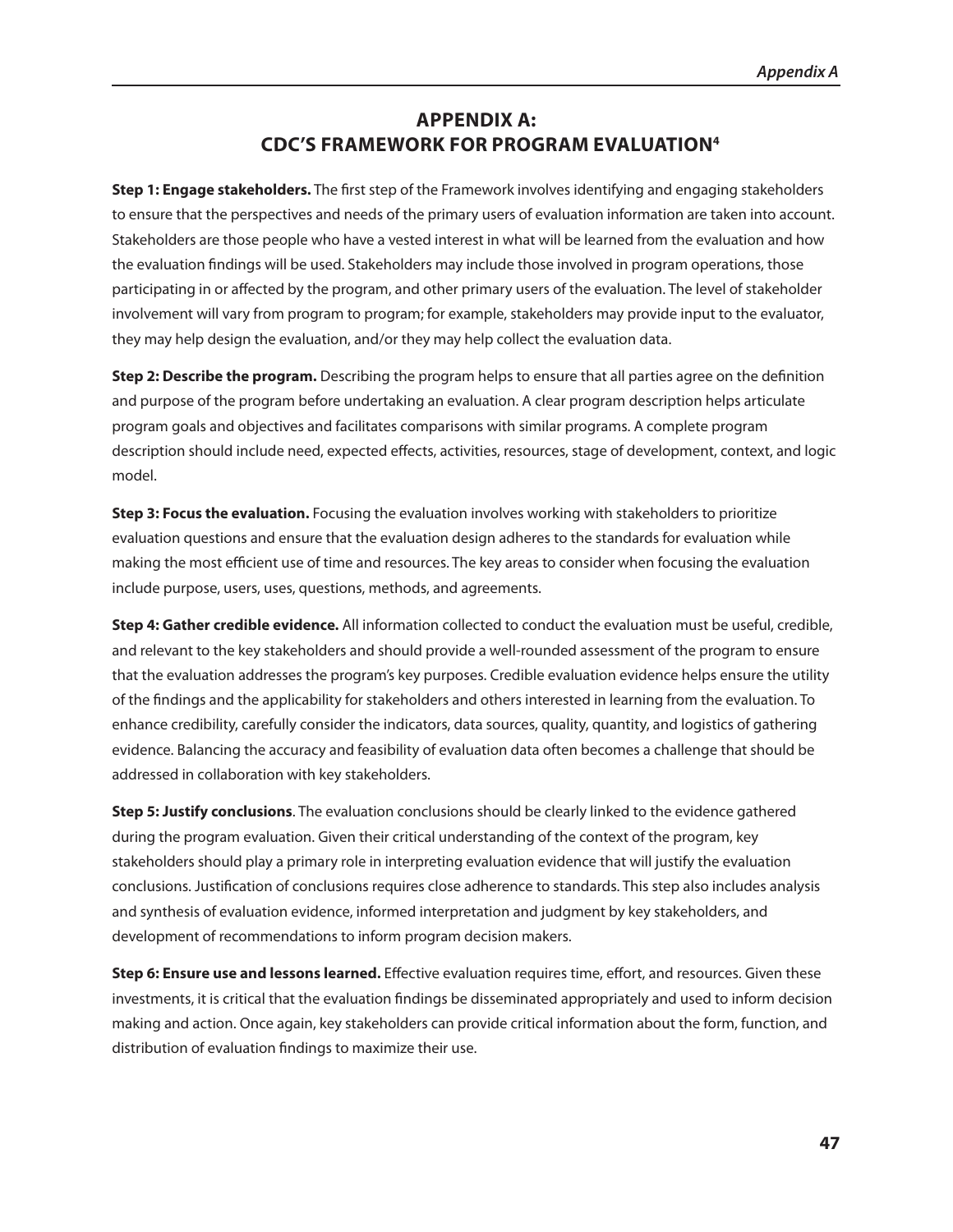## **APPEndIx A: CdC's FRAmEwoRk FoR PRogRAm EvAlUATIon4**

**step 1: Engage stakeholders.** The first step of the Framework involves identifying and engaging stakeholders to ensure that the perspectives and needs of the primary users of evaluation information are taken into account. Stakeholders are those people who have a vested interest in what will be learned from the evaluation and how the evaluation findings will be used. Stakeholders may include those involved in program operations, those participating in or affected by the program, and other primary users of the evaluation. The level of stakeholder involvement will vary from program to program; for example, stakeholders may provide input to the evaluator, they may help design the evaluation, and/or they may help collect the evaluation data.

**step 2: describe the program.** Describing the program helps to ensure that all parties agree on the definition and purpose of the program before undertaking an evaluation. A clear program description helps articulate program goals and objectives and facilitates comparisons with similar programs. A complete program description should include need, expected effects, activities, resources, stage of development, context, and logic model.

**step 3: Focus the evaluation.** Focusing the evaluation involves working with stakeholders to prioritize evaluation questions and ensure that the evaluation design adheres to the standards for evaluation while making the most efficient use of time and resources. The key areas to consider when focusing the evaluation include purpose, users, uses, questions, methods, and agreements.

**step 4: gather credible evidence.** All information collected to conduct the evaluation must be useful, credible, and relevant to the key stakeholders and should provide a well-rounded assessment of the program to ensure that the evaluation addresses the program's key purposes. Credible evaluation evidence helps ensure the utility of the findings and the applicability for stakeholders and others interested in learning from the evaluation. To enhance credibility, carefully consider the indicators, data sources, quality, quantity, and logistics of gathering evidence. Balancing the accuracy and feasibility of evaluation data often becomes a challenge that should be addressed in collaboration with key stakeholders.

**step 5: Justify conclusions**. The evaluation conclusions should be clearly linked to the evidence gathered during the program evaluation. Given their critical understanding of the context of the program, key stakeholders should play a primary role in interpreting evaluation evidence that will justify the evaluation conclusions. Justification of conclusions requires close adherence to standards. This step also includes analysis and synthesis of evaluation evidence, informed interpretation and judgment by key stakeholders, and development of recommendations to inform program decision makers.

**Step 6: Ensure use and lessons learned.** Effective evaluation requires time, effort, and resources. Given these investments, it is critical that the evaluation findings be disseminated appropriately and used to inform decision making and action. Once again, key stakeholders can provide critical information about the form, function, and distribution of evaluation findings to maximize their use.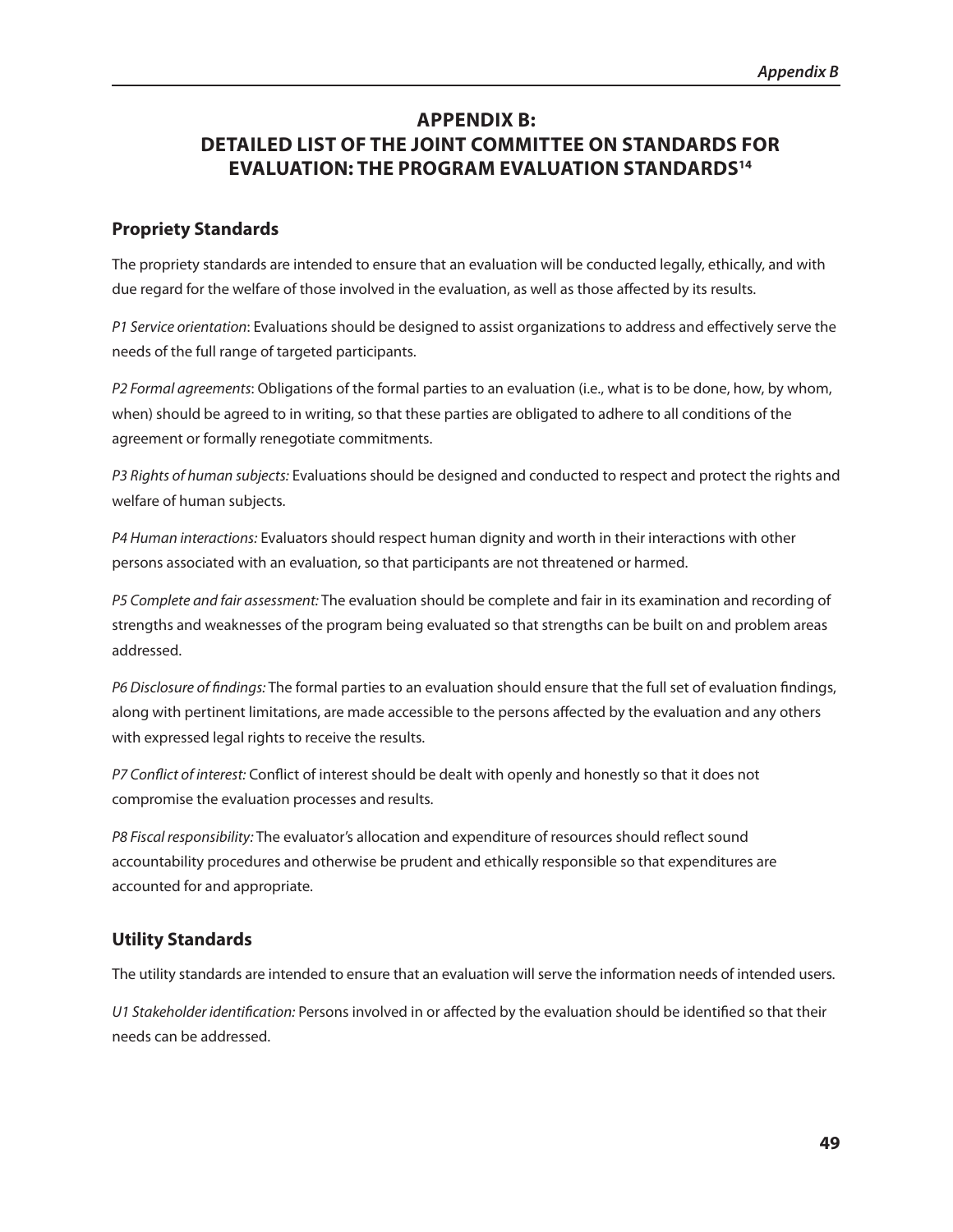## **APPEndIx B: dETAIlEd lIsT oF ThE JoInT CommITTEE on sTAndARds FoR EvAlUATIon: ThE PRogRAm EvAlUATIon sTAndARds14**

## **Propriety standards**

The propriety standards are intended to ensure that an evaluation will be conducted legally, ethically, and with due regard for the welfare of those involved in the evaluation, as well as those affected by its results.

*P1 Service orientation*: Evaluations should be designed to assist organizations to address and effectively serve the needs of the full range of targeted participants.

*P2 Formal agreements*: Obligations of the formal parties to an evaluation (i.e., what is to be done, how, by whom, when) should be agreed to in writing, so that these parties are obligated to adhere to all conditions of the agreement or formally renegotiate commitments.

*P3 Rights of human subjects:* Evaluations should be designed and conducted to respect and protect the rights and welfare of human subjects.

*P4 Human interactions:* Evaluators should respect human dignity and worth in their interactions with other persons associated with an evaluation, so that participants are not threatened or harmed.

*P5 Complete and fair assessment:* The evaluation should be complete and fair in its examination and recording of strengths and weaknesses of the program being evaluated so that strengths can be built on and problem areas addressed.

*P6 Disclosure of findings:* The formal parties to an evaluation should ensure that the full set of evaluation findings, along with pertinent limitations, are made accessible to the persons affected by the evaluation and any others with expressed legal rights to receive the results.

*P7 Conflict of interest:* Conflict of interest should be dealt with openly and honestly so that it does not compromise the evaluation processes and results.

*P8 Fiscal responsibility:* The evaluator's allocation and expenditure of resources should reflect sound accountability procedures and otherwise be prudent and ethically responsible so that expenditures are accounted for and appropriate.

## **Utility standards**

The utility standards are intended to ensure that an evaluation will serve the information needs of intended users.

*U1 Stakeholder identification:* Persons involved in or affected by the evaluation should be identified so that their needs can be addressed.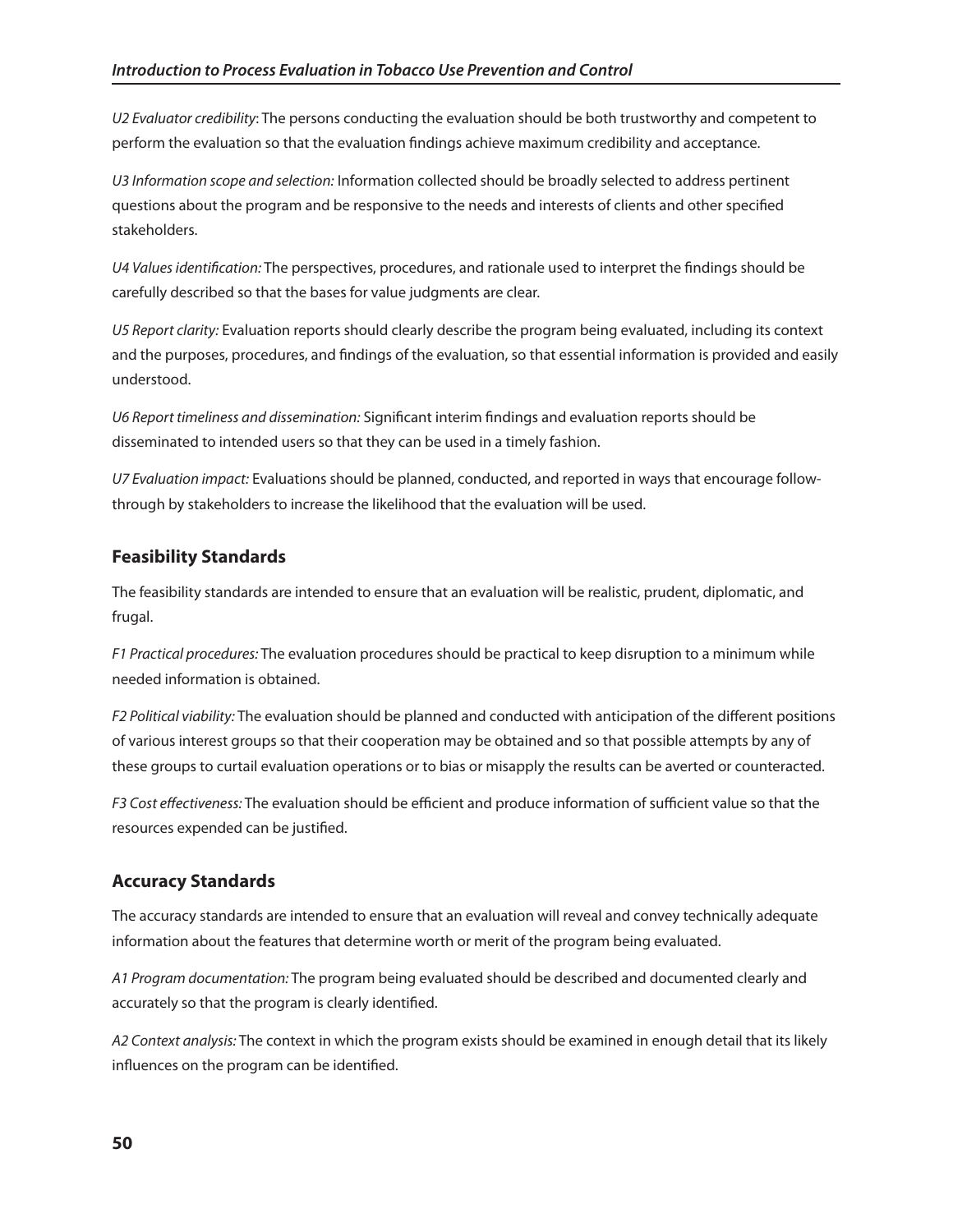*U2 Evaluator credibility*: The persons conducting the evaluation should be both trustworthy and competent to perform the evaluation so that the evaluation findings achieve maximum credibility and acceptance.

*U3 Information scope and selection:* Information collected should be broadly selected to address pertinent questions about the program and be responsive to the needs and interests of clients and other specified stakeholders.

*U4 Values identification:* The perspectives, procedures, and rationale used to interpret the findings should be carefully described so that the bases for value judgments are clear.

*U5 Report clarity:* Evaluation reports should clearly describe the program being evaluated, including its context and the purposes, procedures, and findings of the evaluation, so that essential information is provided and easily understood.

*U6 Report timeliness and dissemination:* Significant interim findings and evaluation reports should be disseminated to intended users so that they can be used in a timely fashion.

*U7 Evaluation impact:* Evaluations should be planned, conducted, and reported in ways that encourage followthrough by stakeholders to increase the likelihood that the evaluation will be used.

## **Feasibility standards**

The feasibility standards are intended to ensure that an evaluation will be realistic, prudent, diplomatic, and frugal.

*F1 Practical procedures:* The evaluation procedures should be practical to keep disruption to a minimum while needed information is obtained.

*F2 Political viability:* The evaluation should be planned and conducted with anticipation of the different positions of various interest groups so that their cooperation may be obtained and so that possible attempts by any of these groups to curtail evaluation operations or to bias or misapply the results can be averted or counteracted.

*F3 Cost effectiveness:* The evaluation should be efficient and produce information of sufficient value so that the resources expended can be justified.

## **Accuracy standards**

The accuracy standards are intended to ensure that an evaluation will reveal and convey technically adequate information about the features that determine worth or merit of the program being evaluated.

*A1 Program documentation:* The program being evaluated should be described and documented clearly and accurately so that the program is clearly identified.

*A2 Context analysis:* The context in which the program exists should be examined in enough detail that its likely influences on the program can be identified.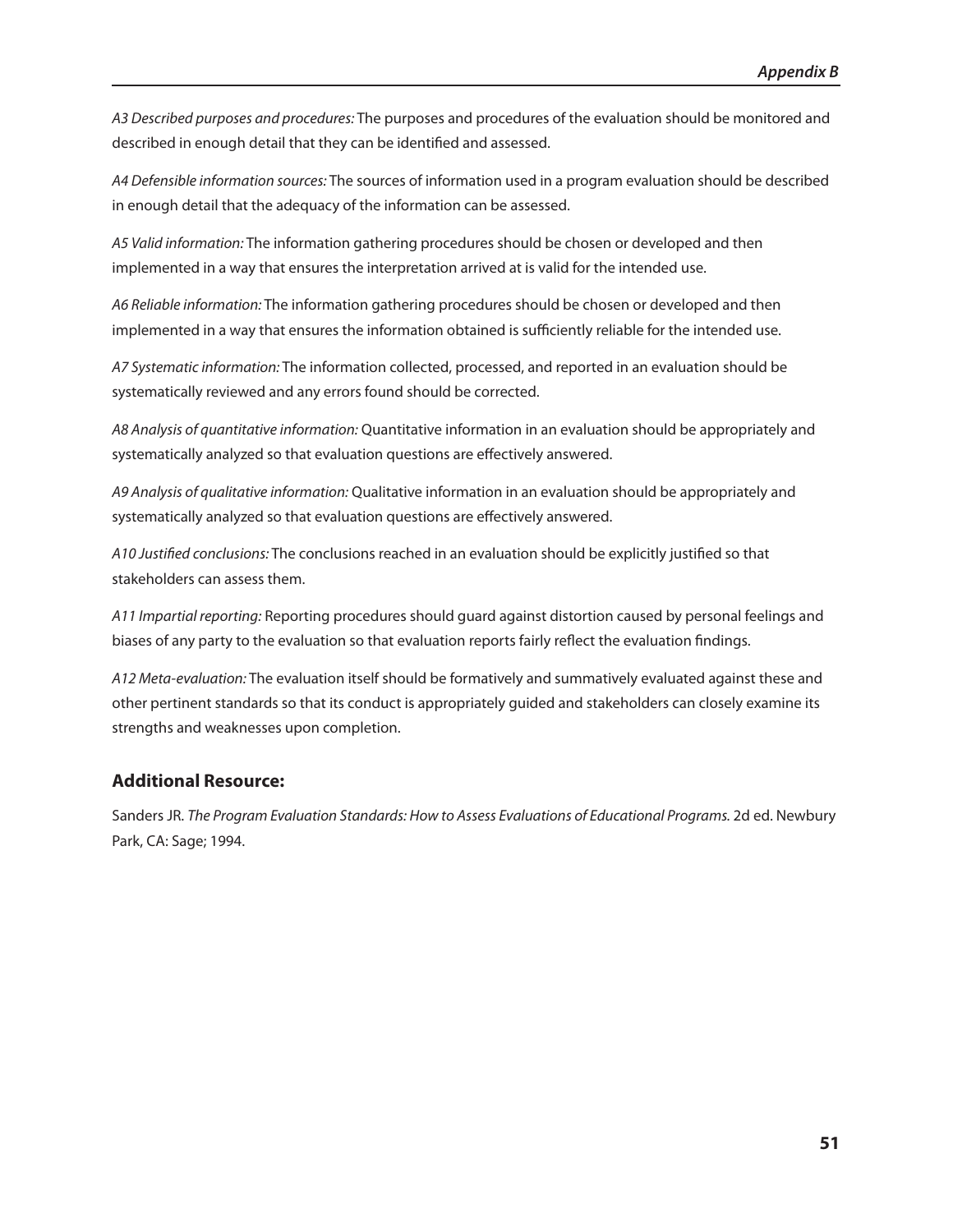*A3 Described purposes and procedures:* The purposes and procedures of the evaluation should be monitored and described in enough detail that they can be identified and assessed.

*A4 Defensible information sources:* The sources of information used in a program evaluation should be described in enough detail that the adequacy of the information can be assessed.

*A5 Valid information:* The information gathering procedures should be chosen or developed and then implemented in a way that ensures the interpretation arrived at is valid for the intended use.

*A6 Reliable information:* The information gathering procedures should be chosen or developed and then implemented in a way that ensures the information obtained is sufficiently reliable for the intended use.

*A7 Systematic information:* The information collected, processed, and reported in an evaluation should be systematically reviewed and any errors found should be corrected.

*A8 Analysis of quantitative information:* Quantitative information in an evaluation should be appropriately and systematically analyzed so that evaluation questions are effectively answered.

*A9 Analysis of qualitative information:* Qualitative information in an evaluation should be appropriately and systematically analyzed so that evaluation questions are effectively answered.

*A10 Justified conclusions:* The conclusions reached in an evaluation should be explicitly justified so that stakeholders can assess them.

*A11 Impartial reporting:* Reporting procedures should guard against distortion caused by personal feelings and biases of any party to the evaluation so that evaluation reports fairly reflect the evaluation findings.

*A12 Meta-evaluation:* The evaluation itself should be formatively and summatively evaluated against these and other pertinent standards so that its conduct is appropriately guided and stakeholders can closely examine its strengths and weaknesses upon completion.

## **Additional Resource:**

Sanders JR. The Program Evaluation Standards: How to Assess Evaluations of Educational Programs. 2d ed. Newbury Park, CA: Sage; 1994.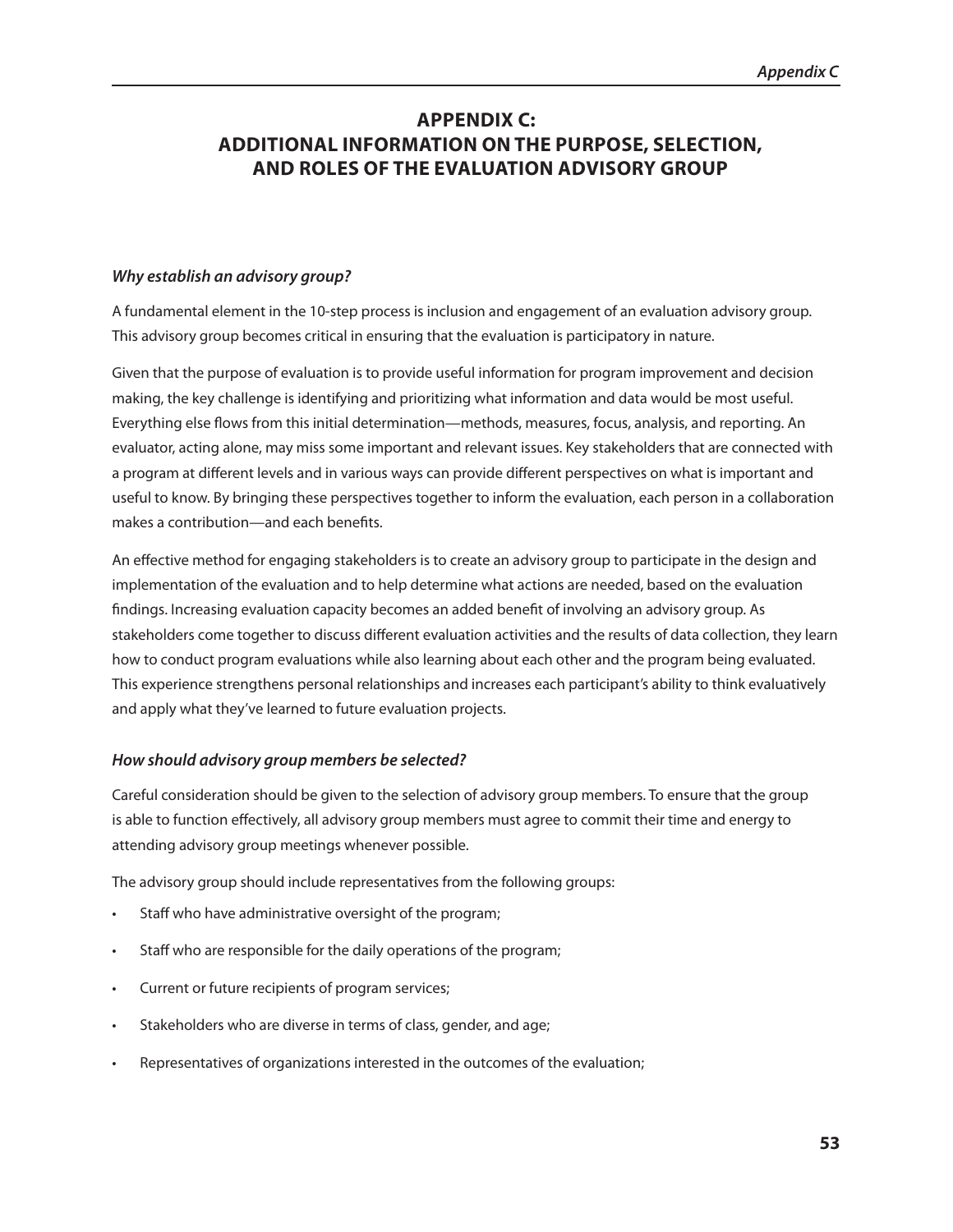## **APPEndIx C: AddITIonAl InFoRmATIon on ThE PURPosE, sElECTIon, And RolEs oF ThE EvAlUATIon AdvIsoRY gRoUP**

## *Why establish an advisory group?*

A fundamental element in the 10-step process is inclusion and engagement of an evaluation advisory group. This advisory group becomes critical in ensuring that the evaluation is participatory in nature.

Given that the purpose of evaluation is to provide useful information for program improvement and decision making, the key challenge is identifying and prioritizing what information and data would be most useful. Everything else flows from this initial determination—methods, measures, focus, analysis, and reporting. An evaluator, acting alone, may miss some important and relevant issues. Key stakeholders that are connected with a program at different levels and in various ways can provide different perspectives on what is important and useful to know. By bringing these perspectives together to inform the evaluation, each person in a collaboration makes a contribution—and each benefits.

An effective method for engaging stakeholders is to create an advisory group to participate in the design and implementation of the evaluation and to help determine what actions are needed, based on the evaluation findings. Increasing evaluation capacity becomes an added benefit of involving an advisory group. As stakeholders come together to discuss different evaluation activities and the results of data collection, they learn how to conduct program evaluations while also learning about each other and the program being evaluated. This experience strengthens personal relationships and increases each participant's ability to think evaluatively and apply what they've learned to future evaluation projects.

## *How should advisory group members be selected?*

Careful consideration should be given to the selection of advisory group members. To ensure that the group is able to function effectively, all advisory group members must agree to commit their time and energy to attending advisory group meetings whenever possible.

The advisory group should include representatives from the following groups:

- Staff who have administrative oversight of the program;
- Staff who are responsible for the daily operations of the program;
- Current or future recipients of program services;
- Stakeholders who are diverse in terms of class, gender, and age;
- Representatives of organizations interested in the outcomes of the evaluation;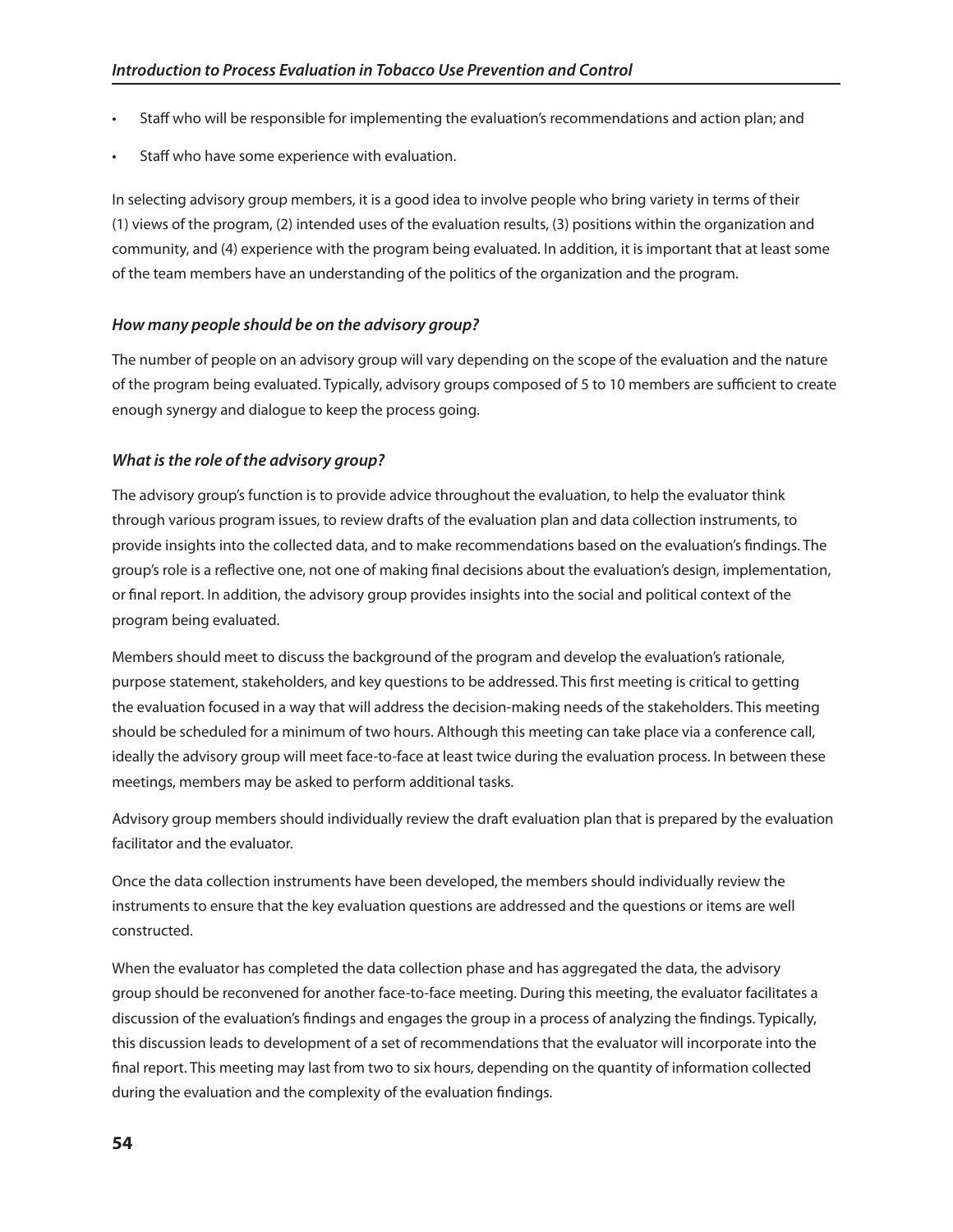- Staff who will be responsible for implementing the evaluation's recommendations and action plan; and
- Staff who have some experience with evaluation.

In selecting advisory group members, it is a good idea to involve people who bring variety in terms of their (1) views of the program, (2) intended uses of the evaluation results, (3) positions within the organization and community, and (4) experience with the program being evaluated. In addition, it is important that at least some of the team members have an understanding of the politics of the organization and the program.

## *How many people should be on the advisory group?*

The number of people on an advisory group will vary depending on the scope of the evaluation and the nature of the program being evaluated. Typically, advisory groups composed of 5 to 10 members are sufficient to create enough synergy and dialogue to keep the process going.

## *What is the role of the advisory group?*

The advisory group's function is to provide advice throughout the evaluation, to help the evaluator think through various program issues, to review drafts of the evaluation plan and data collection instruments, to provide insights into the collected data, and to make recommendations based on the evaluation's findings. The group's role is a reflective one, not one of making final decisions about the evaluation's design, implementation, or final report. In addition, the advisory group provides insights into the social and political context of the program being evaluated.

Members should meet to discuss the background of the program and develop the evaluation's rationale, purpose statement, stakeholders, and key questions to be addressed. This first meeting is critical to getting the evaluation focused in a way that will address the decision-making needs of the stakeholders. This meeting should be scheduled for a minimum of two hours. Although this meeting can take place via a conference call, ideally the advisory group will meet face-to-face at least twice during the evaluation process. In between these meetings, members may be asked to perform additional tasks.

Advisory group members should individually review the draft evaluation plan that is prepared by the evaluation facilitator and the evaluator.

Once the data collection instruments have been developed, the members should individually review the instruments to ensure that the key evaluation questions are addressed and the questions or items are well constructed.

When the evaluator has completed the data collection phase and has aggregated the data, the advisory group should be reconvened for another face-to-face meeting. During this meeting, the evaluator facilitates a discussion of the evaluation's findings and engages the group in a process of analyzing the findings. Typically, this discussion leads to development of a set of recommendations that the evaluator will incorporate into the final report. This meeting may last from two to six hours, depending on the quantity of information collected during the evaluation and the complexity of the evaluation findings.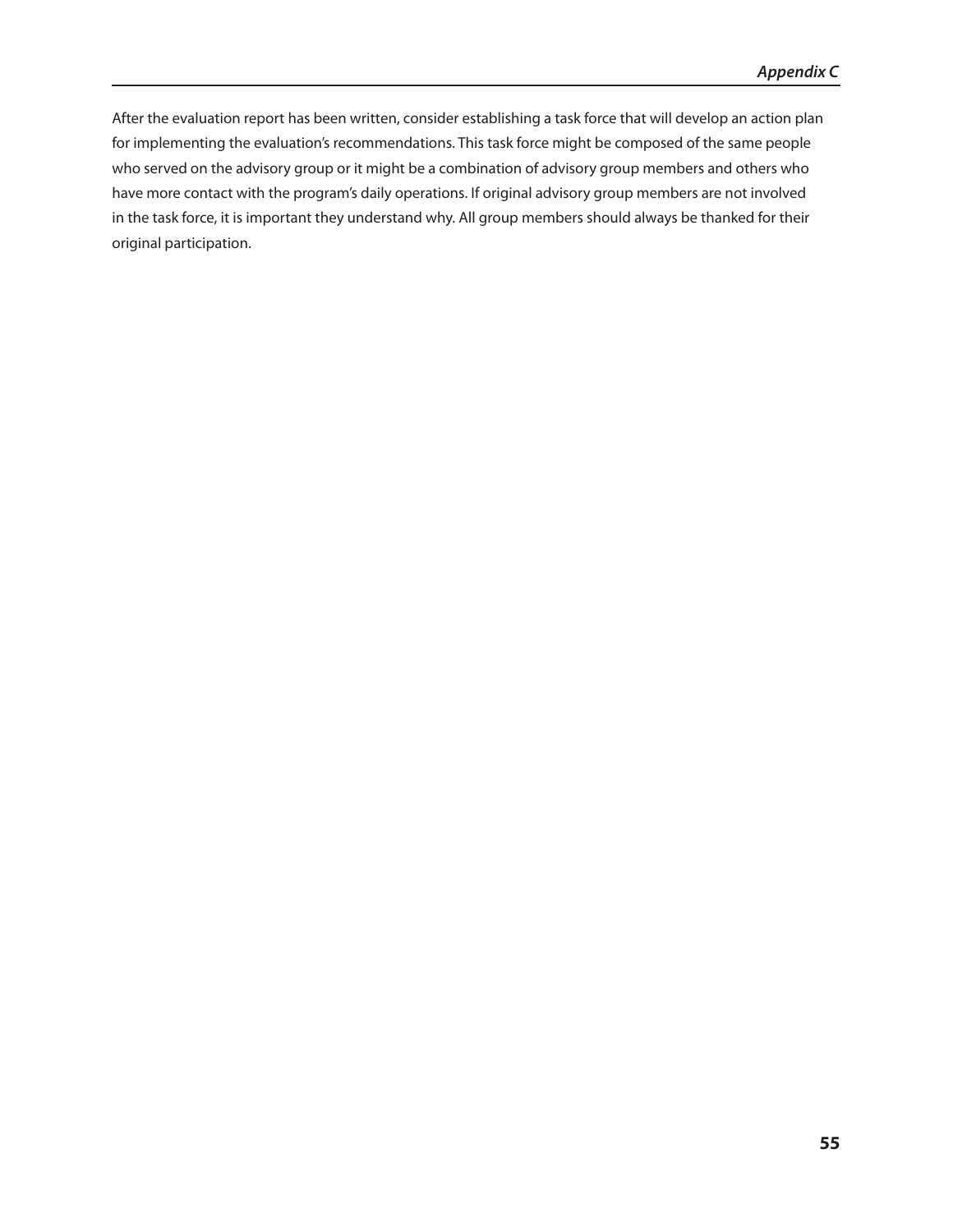After the evaluation report has been written, consider establishing a task force that will develop an action plan for implementing the evaluation's recommendations. This task force might be composed of the same people who served on the advisory group or it might be a combination of advisory group members and others who have more contact with the program's daily operations. If original advisory group members are not involved in the task force, it is important they understand why. All group members should always be thanked for their original participation.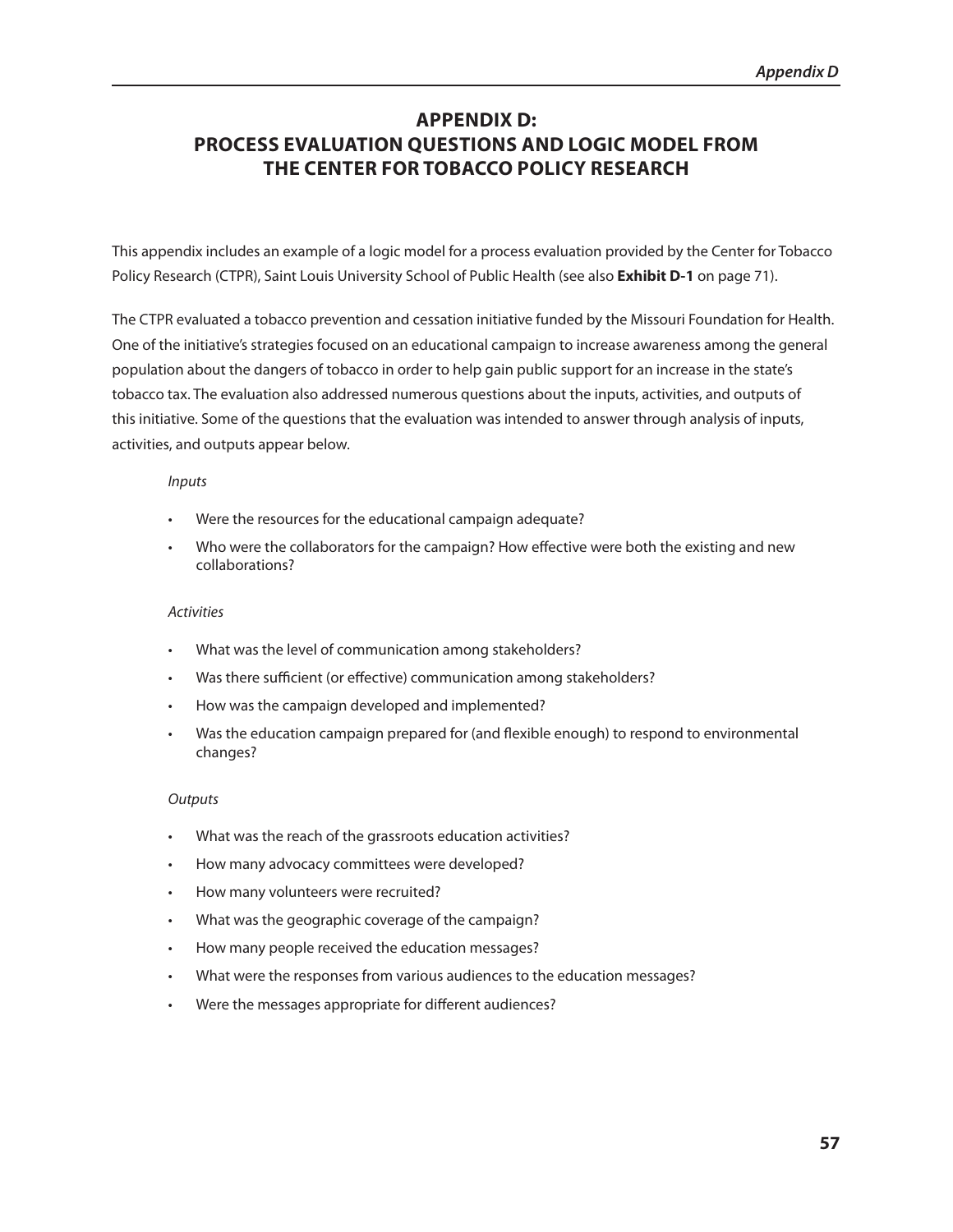## **APPENDIX D: PRoCEss EvAlUATIon QUEsTIons And logIC modEl FRom ThE CEnTER FoR ToBACCo PolICY REsEARCh**

This appendix includes an example of a logic model for a process evaluation provided by the Center for Tobacco Policy Research (CTPR), Saint Louis University School of Public Health (see also **Exhibit D-1** on page 71).

The CTPR evaluated a tobacco prevention and cessation initiative funded by the Missouri Foundation for Health. One of the initiative's strategies focused on an educational campaign to increase awareness among the general population about the dangers of tobacco in order to help gain public support for an increase in the state's tobacco tax. The evaluation also addressed numerous questions about the inputs, activities, and outputs of this initiative. Some of the questions that the evaluation was intended to answer through analysis of inputs, activities, and outputs appear below.

#### *Inputs*

- • Were the resources for the educational campaign adequate?
- Who were the collaborators for the campaign? How effective were both the existing and new collaborations?

#### *Activities*

- • What was the level of communication among stakeholders?
- Was there sufficient (or effective) communication among stakeholders?
- • How was the campaign developed and implemented?
- • Was the education campaign prepared for (and flexible enough) to respond to environmental changes?

#### *Outputs*

- • What was the reach of the grassroots education activities?
- • How many advocacy committees were developed?
- • How many volunteers were recruited?
- • What was the geographic coverage of the campaign?
- • How many people received the education messages?
- What were the responses from various audiences to the education messages?
- • Were the messages appropriate for different audiences?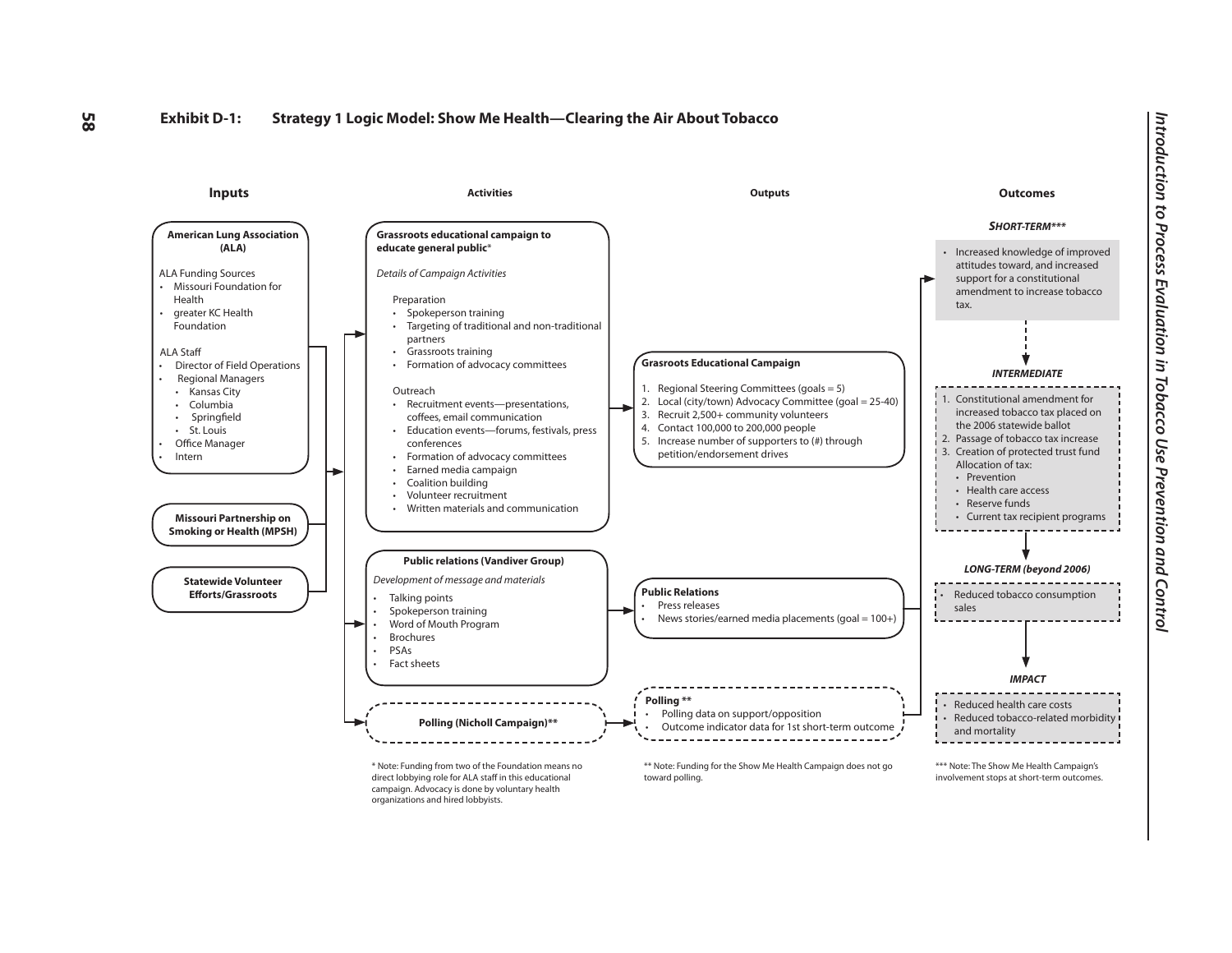

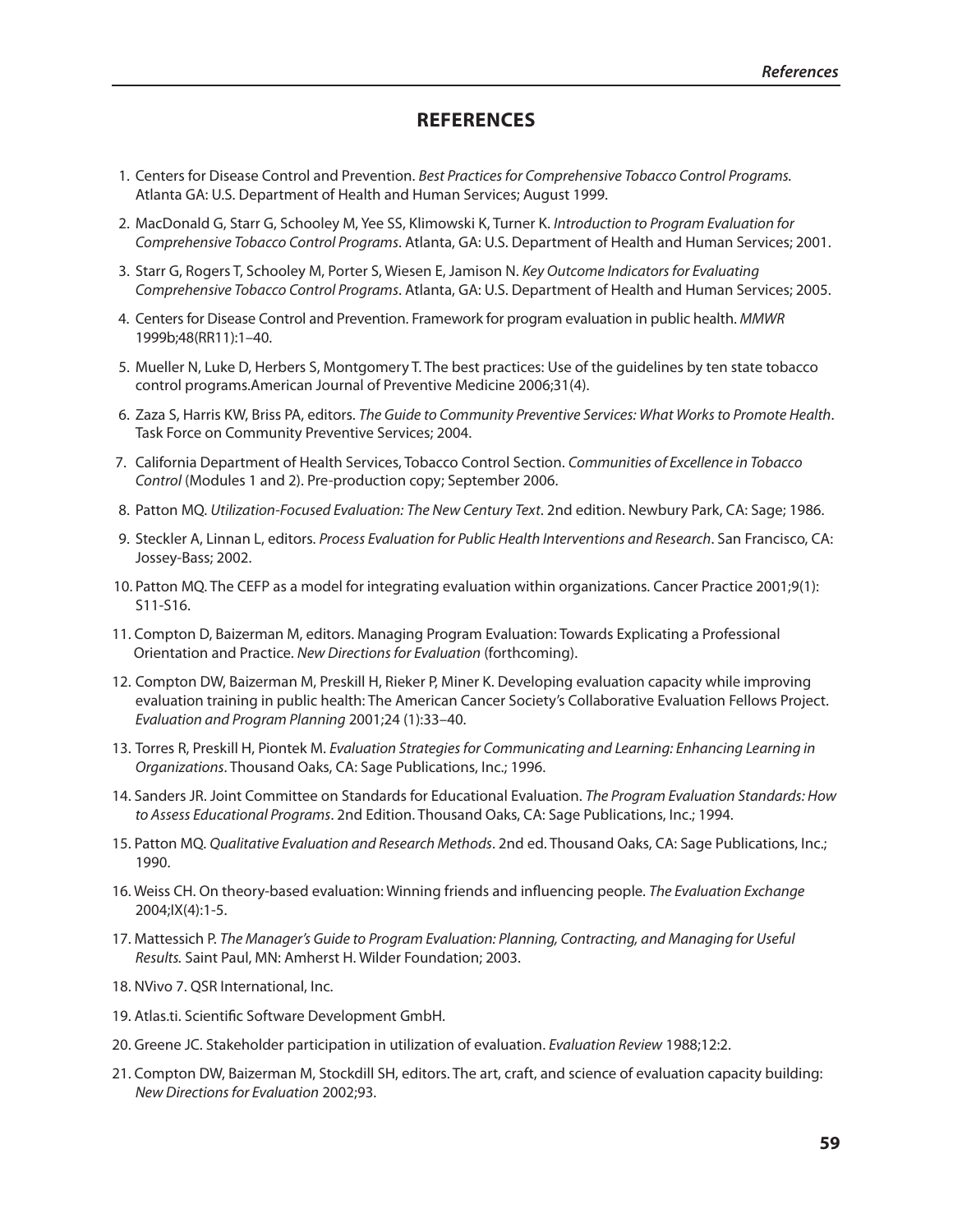## **REFEREnCEs**

- 1. Centers for Disease Control and Prevention. *Best Practices for Comprehensive Tobacco Control Programs.* Atlanta GA: U.S. Department of Health and Human Services; August 1999.
- 2. MacDonald G, Starr G, Schooley M, Yee SS, Klimowski K, Turner K. *Introduction to Program Evaluation for Comprehensive Tobacco Control Programs*. Atlanta, GA: U.S. Department of Health and Human Services; 2001.
- 3. Starr G, Rogers T, Schooley M, Porter S, Wiesen E, Jamison N. *Key Outcome Indicators for Evaluating Comprehensive Tobacco Control Programs*. Atlanta, GA: U.S. Department of Health and Human Services; 2005.
- 4. Centers for Disease Control and Prevention. Framework for program evaluation in public health. *MMWR* 1999b;48(RR11):1–40.
- 5. Mueller N, Luke D, Herbers S, Montgomery T. The best practices: Use of the guidelines by ten state tobacco control programs.American Journal of Preventive Medicine 2006;31(4).
- 6. Zaza S, Harris KW, Briss PA, editors. *The Guide to Community Preventive Services: What Works to Promote Health*. Task Force on Community Preventive Services; 2004.
- 7. California Department of Health Services, Tobacco Control Section. *Communities of Excellence in Tobacco Control* (Modules 1 and 2). Pre-production copy; September 2006.
- 8. Patton MQ. *Utilization-Focused Evaluation: The New Century Text*. 2nd edition. Newbury Park, CA: Sage; 1986.
- 9. Steckler A, Linnan L, editors. *Process Evaluation for Public Health Interventions and Research*. San Francisco, CA: Jossey-Bass; 2002.
- 10. Patton MQ. The CEFP as a model for integrating evaluation within organizations. Cancer Practice 2001;9(1): S11-S16.
- 11. Compton D, Baizerman M, editors. Managing Program Evaluation: Towards Explicating a Professional Orientation and Practice. *New Directions for Evaluation* (forthcoming).
- 12. Compton DW, Baizerman M, Preskill H, Rieker P, Miner K. Developing evaluation capacity while improving evaluation training in public health: The American Cancer Society's Collaborative Evaluation Fellows Project. *Evaluation and Program Planning* 2001;24 (1):33–40.
- 13. Torres R, Preskill H, Piontek M. *Evaluation Strategies for Communicating and Learning: Enhancing Learning in Organizations*. Thousand Oaks, CA: Sage Publications, Inc.; 1996.
- 14. Sanders JR. Joint Committee on Standards for Educational Evaluation. *The Program Evaluation Standards: How to Assess Educational Programs*. 2nd Edition. Thousand Oaks, CA: Sage Publications, Inc.; 1994.
- 15. Patton MQ. *Qualitative Evaluation and Research Methods*. 2nd ed. Thousand Oaks, CA: Sage Publications, Inc.; 1990.
- 16. Weiss CH. On theory-based evaluation: Winning friends and influencing people. *The Evaluation Exchange*  2004;IX(4):1-5.
- 17. Mattessich P. *The Manager's Guide to Program Evaluation: Planning, Contracting, and Managing for Useful Results.* Saint Paul, MN: Amherst H. Wilder Foundation; 2003.
- 18. NVivo 7. QSR International, Inc.
- 19. Atlas.ti. Scientific Software Development GmbH.
- 20. Greene JC. Stakeholder participation in utilization of evaluation. *Evaluation Review* 1988;12:2.
- 21. Compton DW, Baizerman M, Stockdill SH, editors. The art, craft, and science of evaluation capacity building: *New Directions for Evaluation* 2002;93.